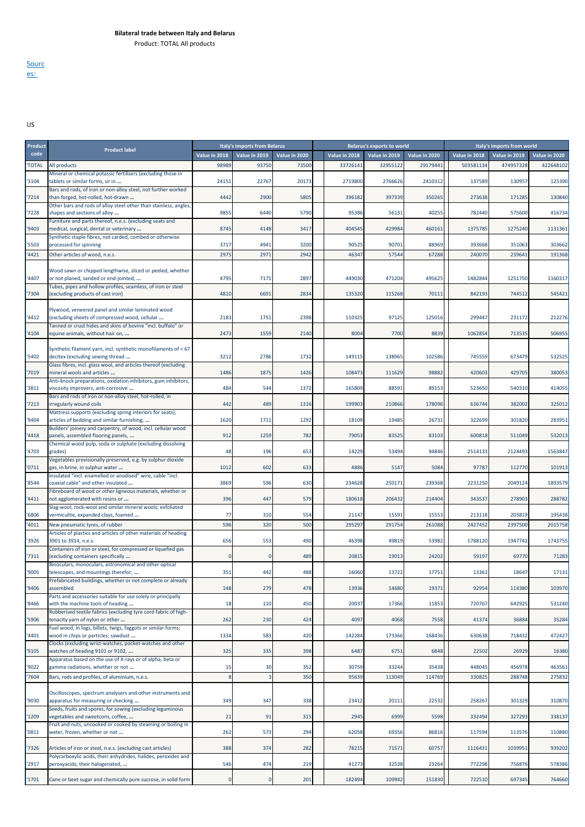**Sourc** es:

## US

| Product |                                                                                                                |               | Italy's imports from Belarus |               |               | <b>Belarus's exports to world</b> |               |               | Italy's imports from world |               |
|---------|----------------------------------------------------------------------------------------------------------------|---------------|------------------------------|---------------|---------------|-----------------------------------|---------------|---------------|----------------------------|---------------|
| code    | <b>Product label</b>                                                                                           | Value in 2018 | Value in 2019                | Value in 2020 | Value in 2018 | Value in 2019                     | Value in 2020 | Value in 2018 | Value in 2019              | Value in 2020 |
| 'TOTAL  | All products                                                                                                   | 98989         | 93750                        | 73500         | 33726141      | 32955122                          | 29179441      | 503581134     | 474957328                  | 422648102     |
|         | Mineral or chemical potassic fertilisers (excluding those in                                                   |               | 22767                        | 20173         | 2719800       | 2766626                           | 2410312       | 137589        | 130957                     | 125390        |
| 3104    | tablets or similar forms, or in<br>Bars and rods, of iron or non-alloy steel, not further worked               | 24151         |                              |               |               |                                   |               |               |                            |               |
| '7214   | than forged, hot-rolled, hot-drawn                                                                             | 4442          | 2900                         | 5805          | 396182        | 397339                            | 350265        | 273638        | 171285                     | 130840        |
| '7228   | Other bars and rods of alloy steel other than stainless, angles,<br>shapes and sections of alloy               | 9855          | 6440                         | 5790          | 95386         | 56131                             | 40255         | 782440        | 575600                     | 416734        |
|         | Furniture and parts thereof, n.e.s. (excluding seats and                                                       |               |                              |               |               |                                   |               |               |                            |               |
| '9403   | medical, surgical, dental or veterinary<br>Synthetic staple fibres, not carded, combed or otherwise            | 8745          | 4148                         | 3417          | 404545        | 429984                            | 460161        | 1375785       | 1275240                    | 1131361       |
| '5503   | processed for spinning                                                                                         | 3717          | 4941                         | 3200          | 90525         | 90701                             | 88969         | 393668        | 351063                     | 303662        |
| '4421   | Other articles of wood, n.e.s.                                                                                 | 2975          | 2971                         | 2942          | 46347         | 57544                             | 67288         | 240070        | 239641                     | 191368        |
|         | Wood sawn or chipped lengthwise, sliced or peeled, whether                                                     |               |                              |               |               |                                   |               |               |                            |               |
| '4407   | or not planed, sanded or end-jointed,                                                                          | 4795          | 7171                         | 2897          | 449030        | 471204                            | 495625        | 1482844       | 1251750                    | 1160317       |
|         | Tubes, pipes and hollow profiles, seamless, of iron or steel                                                   |               |                              |               |               |                                   |               |               |                            |               |
| '7304   | (excluding products of cast iron)                                                                              | 4810          | 6691                         | 2834          | 135320        | 115268                            | 70111         | 842193        | 744512                     | 545421        |
|         | Plywood, veneered panel and similar laminated wood                                                             |               |                              |               |               |                                   |               |               |                            |               |
| '4412   | (excluding sheets of compressed wood, cellular<br>Tanned or crust hides and skins of bovine "incl. buffalo" or | 2183          | 1751                         | 2398          | 110325        | 97125                             | 125016        | 299447        | 231172                     | 212276        |
| '4104   | equine animals, without hair on,                                                                               | 2473          | 1559                         | 2140          | 8004          | 7700                              | 8839          | 1062854       | 713535                     | 506955        |
|         | Synthetic filament yarn, incl. synthetic monofilaments of < 67                                                 |               |                              |               |               |                                   |               |               |                            |               |
| '5402   | decitex (excluding sewing thread                                                                               | 3212          | 2786                         | 1732          | 149115        | 138965                            | 102586        | 745559        | 673479                     | 532525        |
|         | Glass fibres, incl. glass wool, and articles thereof (excluding                                                |               |                              |               |               |                                   |               |               |                            |               |
| '7019   | mineral wools and articles<br>Anti-knock preparations, oxidation inhibitors, gum inhibitors,                   | 1486          | 1875                         | 1426          | 108473        | 111629                            | 98882         | 420603        | 429705                     | 380053        |
| '3811   | viscosity improvers, anti-corrosive                                                                            | 484           | 544                          | 1372          | 165809        | 88591                             | 89153         | 523650        | 540310                     | 414055        |
| 7213    | Bars and rods of iron or non-alloy steel, hot-rolled, in<br>irregularly wound coils                            | 442           | 489                          | 1316          | 199903        | 210866                            | 178096        | 636744        | 382002                     | 325012        |
|         | Mattress supports (excluding spring interiors for seats);                                                      |               |                              |               |               |                                   |               |               |                            |               |
| '9404   | articles of bedding and similar furnishing,                                                                    | 1620          | 1711                         | 1292          | 18109         | 19485                             | 26731         | 322699        | 301820                     | 283951        |
| '4418   | Builders' joinery and carpentry, of wood, incl. cellular wood<br>panels, assembled flooring panels,            | 912           | 1259                         | 782           | 79053         | 83525                             | 83103         | 600818        | 511049                     | 532013        |
|         | Chemical wood pulp, soda or sulphate (excluding dissolving                                                     |               |                              |               |               |                                   |               |               |                            |               |
| '4703   | grades)<br>Vegetables provisionally preserved, e.g. by sulphur dioxide                                         | 48            | 196                          | 653           | 14229         | 53494                             | 94846         | 2514133       | 2124493                    | 1563847       |
| '0711   | gas, in brine, in sulphur water                                                                                | 1012          | 602                          | 633           | 4886          | 5147                              | 5084          | 97787         | 112770                     | 101913        |
| '8544   | Insulated "incl. enamelled or anodised" wire, cable "incl.<br>coaxial cable" and other insulated               | 3869          | 596                          | 630           | 234628        | 250171                            | 239368        | 2231250       | 2049124                    | 1893579       |
|         | Fibreboard of wood or other ligneous materials, whether or                                                     |               |                              |               |               |                                   |               |               |                            |               |
| '4411   | not agglomerated with resins or                                                                                | 396           | 447                          | 579           | 180618        | 206432                            | 214404        | 343537        | 278903                     | 288782        |
| '6806   | Slag-wool, rock-wool and similar mineral wools; exfoliated<br>vermiculite, expanded clays, foamed              | 77            | 310                          | 554           | 21147         | 15591                             | 15553         | 213118        | 203819                     | 195438        |
| '4011   | New pneumatic tyres, of rubber                                                                                 | 596           | 320                          | 500           | 295297        | 291754                            | 261088        | 2427452       | 2397500                    | 2015758       |
|         | Articles of plastics and articles of other materials of heading                                                |               |                              | 490           |               |                                   |               | 1788120       | 1947742                    |               |
| '3926   | 3901 to 3914, n.e.s.<br>Containers of iron or steel, for compressed or liquefied gas                           | 656           | 553                          |               | 46398         | 49819                             | 53982         |               |                            | 1743755       |
| '7311   | (excluding containers specifically                                                                             | $\Omega$      | $\Omega$                     | 489           | 20815         | 19013                             | 24202         | 59197         | 69770                      | 71283         |
| '9005   | Binoculars, monoculars, astronomical and other optical<br>telescopes, and mountings therefor;                  | 351           | 442                          | 488           | 16060         | 13722                             | 17751         | 13361         | 18647                      | 17131         |
|         | Prefabricated buildings, whether or not complete or already                                                    |               |                              |               |               |                                   |               |               |                            |               |
| '9406   | assembled<br>Parts and accessories suitable for use solely or principally                                      | 148           | 279                          | 478           | 13936         | 14680                             | 19371         | 92954         | 114380                     | 103970        |
| '8466   | with the machine tools of heading                                                                              | 18            | 110                          | 450           | 20037         | 17366                             | 11853         | 720767        | 642925                     | 531240        |
| '5906   | Rubberised textile fabrics (excluding tyre cord fabric of high-<br>tenacity yarn of nylon or other             | 262           | 230                          | 424           | 4097          | 4068                              | 7558          | 41374         | 36884                      | 35284         |
|         | Fuel wood, in logs, billets, twigs, faggots or similar forms;                                                  |               |                              |               |               |                                   |               |               |                            |               |
| '4401   | wood in chips or particles; sawdust                                                                            | 1334          | 583                          | 420           | 142284        | 173366                            | 168436        | 630638        | 718432                     | 472427        |
| '9105   | Clocks (excluding wrist-watches, pocket-watches and other<br>watches of heading 9101 or 9102,                  | 325           | 335                          | 398           | 6487          | 6751                              | 6848          | 22502         | 26929                      | 16380         |
|         | Apparatus based on the use of X-rays or of alpha, beta or                                                      |               |                              |               |               |                                   |               |               |                            |               |
| '9022   | gamma radiations, whether or not                                                                               | 15            | 30                           | 352           | 30759         | 33244                             | 35438         | 448045        | 456978                     | 463561        |
| '7604   | Bars, rods and profiles, of aluminium, n.e.s.                                                                  | 8             |                              | 350           | 95639         | 113049                            | 114769        | 330825        | 288748                     | 275832        |
| '9030   | Oscilloscopes, spectrum analysers and other instruments and<br>apparatus for measuring or checking             | 349           | 347                          | 338           | 23412         | 20111                             | 22532         | 258267        | 301329                     | 310870        |
| '1209   | Seeds, fruits and spores, for sowing (excluding leguminous<br>vegetables and sweetcorn, coffee,                | 21            | 91                           | 315           | 2945          | 6999                              | 5598          | 332494        | 327293                     | 338137        |
|         | Fruit and nuts, uncooked or cooked by steaming or boiling in                                                   |               |                              |               |               |                                   |               |               |                            |               |
| '0811   | water, frozen, whether or not                                                                                  | 262           | 573                          | 294           | 62058         | 69356                             | 86816         | 117594        | 113576                     | 110880        |
| '7326   | Articles of iron or steel, n.e.s. (excluding cast articles)                                                    | 388           | 374                          | 282           | 78215         | 71571                             | 60757         | 1116431       | 1039951                    | 939202        |
|         | Polycarboxylic acids, their anhydrides, halides, peroxides and                                                 |               |                              |               |               |                                   |               |               |                            |               |
| '2917   | peroxyacids; their halogenated,                                                                                | 546           | 474                          | 219           | 41273         | 32538                             | 23264         | 772298        | 756876                     | 578386        |
| '1701   | Cane or beet sugar and chemically pure sucrose, in solid form                                                  | $\Omega$      | $\Omega$                     | 201           | 182494        | 109942                            | 151830        | 722510        | 697345                     | 764660        |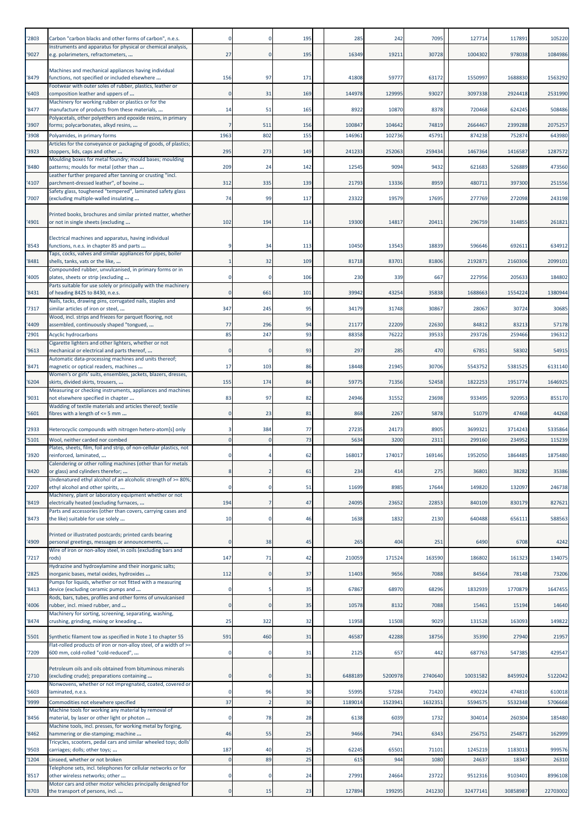| '2803 | Carbon "carbon blacks and other forms of carbon", n.e.s.                                                      |              |                | 195 | 285     | 242     | 7095    | 127714   | 117891   | 105220   |
|-------|---------------------------------------------------------------------------------------------------------------|--------------|----------------|-----|---------|---------|---------|----------|----------|----------|
| '9027 | Instruments and apparatus for physical or chemical analysis,<br>e.g. polarimeters, refractometers,            | 27           | $\mathbf{0}$   | 195 | 16349   | 19211   | 30728   | 1004302  | 978038   | 1084986  |
|       | Machines and mechanical appliances having individual                                                          |              |                |     |         |         |         |          |          |          |
| '8479 | functions, not specified or included elsewhere<br>Footwear with outer soles of rubber, plastics, leather or   | 156          | 97             | 171 | 41808   | 59777   | 63172   | 1550997  | 1688830  | 1563292  |
| '6403 | composition leather and uppers of<br>Machinery for working rubber or plastics or for the                      |              | 31             | 169 | 144978  | 129995  | 93027   | 3097338  | 2924418  | 2531990  |
| '8477 | manufacture of products from these materials,<br>Polyacetals, other polyethers and epoxide resins, in primary | 14           | 51             | 165 | 8922    | 10870   | 8378    | 720468   | 624245   | 508486   |
| '3907 | forms; polycarbonates, alkyd resins,                                                                          |              | 511            | 156 | 100847  | 104642  | 74819   | 2664467  | 2399288  | 2075257  |
| '3908 | Polyamides, in primary forms<br>Articles for the conveyance or packaging of goods, of plastics;               | 1963         | 802            | 155 | 146961  | 102736  | 45791   | 874238   | 752874   | 643980   |
| '3923 | stoppers, lids, caps and other<br>Moulding boxes for metal foundry; mould bases; moulding                     | 295          | 273            | 149 | 241233  | 252063  | 259434  | 1467364  | 1416587  | 1287572  |
| '8480 | patterns; moulds for metal (other than<br>Leather further prepared after tanning or crusting "incl.           | 209          | 24             | 142 | 12545   | 9094    | 9432    | 621683   | 526889   | 473560   |
| '4107 | parchment-dressed leather", of bovine<br>Safety glass, toughened "tempered", laminated safety glass           | 312          | 335            | 139 | 21793   | 13336   | 8959    | 480711   | 397300   | 251556   |
| '7007 | (excluding multiple-walled insulating                                                                         | 74           | 99             | 117 | 23322   | 19579   | 17695   | 277769   | 272098   | 243198   |
| '4901 | Printed books, brochures and similar printed matter, whether<br>or not in single sheets (excluding            | 102          | 194            | 114 | 19300   | 14817   | 20411   | 296759   | 314855   | 261821   |
|       | Electrical machines and apparatus, having individual                                                          |              |                |     |         |         |         |          |          |          |
| '8543 | functions, n.e.s. in chapter 85 and parts<br>Taps, cocks, valves and similar appliances for pipes, boiler     |              | 34             | 113 | 10450   | 13543   | 18839   | 596646   | 692611   | 634912   |
| '8481 | shells, tanks, vats or the like,                                                                              |              | 32             | 109 | 81718   | 83701   | 81806   | 219287   | 2160306  | 2099101  |
| '4005 | Compounded rubber, unvulcanised, in primary forms or in<br>plates, sheets or strip (excluding                 |              | $\Omega$       | 106 | 230     | 339     | 667     | 227956   | 205633   | 184802   |
| '8431 | Parts suitable for use solely or principally with the machinery<br>of heading 8425 to 8430, n.e.s.            |              | 661            | 101 | 39942   | 43254   | 35838   | 1688663  | 1554224  | 1380944  |
| '7317 | Nails, tacks, drawing pins, corrugated nails, staples and<br>similar articles of iron or steel,               | 347          | 245            | 95  | 34179   | 31748   | 30867   | 28067    | 30724    | 30685    |
| '4409 | Wood, incl. strips and friezes for parquet flooring, not<br>assembled, continuously shaped "tongued,          | 77           | 296            | 94  | 21177   | 22209   | 22630   | 84812    | 83213    | 57178    |
| '2901 | Acyclic hydrocarbons                                                                                          | 85           | 247            | 93  | 88358   | 76222   | 39533   | 293726   | 259466   | 196312   |
| '9613 | Cigarette lighters and other lighters, whether or not<br>mechanical or electrical and parts thereof,          | $\Omega$     | $\Omega$       | 93  | 297     | 285     | 470     | 67851    | 58302    | 54915    |
| '8471 | Automatic data-processing machines and units thereof;<br>magnetic or optical readers, machines                | 17           | 103            | 86  | 18448   | 21945   | 30706   | 5543752  | 5381525  | 6131140  |
| '6204 | Women's or girls' suits, ensembles, jackets, blazers, dresses,<br>skirts, divided skirts, trousers,           | 155          | 174            | 84  | 59775   | 71356   | 52458   | 1822253  | 1951774  | 1646925  |
| '9031 | Measuring or checking instruments, appliances and machines<br>not elsewhere specified in chapter              | 83           | 97             | 82  | 24946   | 31552   | 23698   | 933495   | 920953   | 855170   |
| '5601 | Wadding of textile materials and articles thereof; textile<br>fibres with a length of <= 5 mm                 | $\Omega$     | 23             | 81  | 868     | 2267    | 5878    | 51079    | 47468    | 44268    |
| '2933 |                                                                                                               |              | 384            | 77  | 27235   | 24173   | 8905    | 3699321  | 3714243  | 5335864  |
| '5101 | Heterocyclic compounds with nitrogen hetero-atom[s] only<br>Wool, neither carded nor combed                   |              | $\Omega$       | 73  | 5634    | 3200    | 2311    | 299160   | 234952   | 115239   |
| '3920 | Plates, sheets, film, foil and strip, of non-cellular plastics, not<br>reinforced, laminated,                 |              |                | 62  | 168017  | 174017  | 169146  | 1952050  | 1864485  | 1875480  |
| '8420 | Calendering or other rolling machines (other than for metals<br>or glass) and cylinders therefor;             |              |                | 61  | 234     | 414     | 275     | 36801    | 38282    | 35386    |
| '2207 | Undenatured ethyl alcohol of an alcoholic strength of >= 80%;<br>ethyl alcohol and other spirits,             |              | $\mathbf 0$    | 51  | 11699   | 8985    | 17644   | 149820   | 132097   | 246738   |
| '8419 | Machinery, plant or laboratory equipment whether or not<br>electrically heated (excluding furnaces,           | 194          | $\overline{7}$ | 47  | 24095   | 23652   | 22853   | 840109   | 830179   | 827621   |
|       | Parts and accessories (other than covers, carrying cases and                                                  |              | $\mathbf 0$    | 46  |         | 1832    |         | 640488   |          | 588563   |
| '8473 | the like) suitable for use solely                                                                             | 10           |                |     | 1638    |         | 2130    |          | 656111   |          |
| '4909 | Printed or illustrated postcards; printed cards bearing<br>personal greetings, messages or announcements,     | $\Omega$     | 38             | 45  | 265     | 404     | 251     | 6490     | 6708     | 4242     |
| 7217  | Wire of iron or non-alloy steel, in coils (excluding bars and<br>rods)                                        | 147          | 71             | 42  | 210059  | 171524  | 163590  | 186802   | 161323   | 134075   |
| '2825 | Hydrazine and hydroxylamine and their inorganic salts;<br>inorganic bases, metal oxides, hydroxides           | 112          | $\overline{0}$ | 37  | 11403   | 9656    | 7088    | 84564    | 78148    | 73206    |
| '8413 | Pumps for liquids, whether or not fitted with a measuring<br>device (excluding ceramic pumps and              | $\Omega$     | 5              | 35  | 67867   | 68970   | 68296   | 1832939  | 1770879  | 1647455  |
| '4006 | Rods, bars, tubes, profiles and other forms of unvulcanised<br>rubber, incl. mixed rubber, and                | $\Omega$     | $\mathbf{0}$   | 35  | 10578   | 8132    | 7088    | 15461    | 15194    | 14640    |
| '8474 | Machinery for sorting, screening, separating, washing,<br>crushing, grinding, mixing or kneading              | 25           | 322            | 32  | 11958   | 11508   | 9029    | 131528   | 163093   | 149822   |
| '5501 | Synthetic filament tow as specified in Note 1 to chapter 55                                                   | 591          | 460            | 31  | 46587   | 42288   | 18756   | 35390    | 27940    | 21957    |
|       | Flat-rolled products of iron or non-alloy steel, of a width of >=                                             |              |                |     |         |         |         |          |          |          |
| '7209 | 600 mm, cold-rolled "cold-reduced",                                                                           | 0            | $\mathbf 0$    | 31  | 2125    | 657     | 442     | 687763   | 547385   | 429547   |
| '2710 | Petroleum oils and oils obtained from bituminous minerals<br>(excluding crude); preparations containing       | $\Omega$     | $\mathbf{0}$   | 31  | 6488189 | 5200978 | 2740640 | 10031582 | 8459924  | 5122042  |
| '5603 | Nonwovens, whether or not impregnated, coated, covered or<br>laminated, n.e.s.                                |              | 96             | 30  | 55995   | 57284   | 71420   | 490224   | 474810   | 610018   |
| '9999 | Commodities not elsewhere specified                                                                           | 37           | $\overline{2}$ | 30  | 118901  | 1523941 | 1632351 | 5594575  | 5532348  | 5706668  |
| '8456 | Machine tools for working any material by removal of<br>material, by laser or other light or photon           | $\Omega$     | 78             | 28  | 6138    | 6039    | 1732    | 304014   | 260304   | 185480   |
| '8462 | Machine tools, incl. presses, for working metal by forging,<br>hammering or die-stamping; machine             | 46           | 55             | 25  | 9466    | 7941    | 6343    | 256751   | 254871   | 162999   |
| '9503 | Tricycles, scooters, pedal cars and similar wheeled toys; dolls'<br>carriages; dolls; other toys;             | 187          | 40             | 25  | 62245   | 65501   | 71101   | 1245219  | 1183013  | 999576   |
| '1204 | Linseed, whether or not broken<br>Telephone sets, incl. telephones for cellular networks or for               | $\Omega$     | 89             | 25  | 615     | 944     | 1080    | 24637    | 18347    | 26310    |
| '8517 | other wireless networks; other<br>Motor cars and other motor vehicles principally designed for                |              | $\Omega$       | 24  | 27991   | 24664   | 23722   | 9512316  | 9103401  | 8996108  |
| '8703 | the transport of persons, incl.                                                                               | $\mathbf{0}$ | 15             | 23  | 127894  | 199295  | 241230  | 32477141 | 30858987 | 22703002 |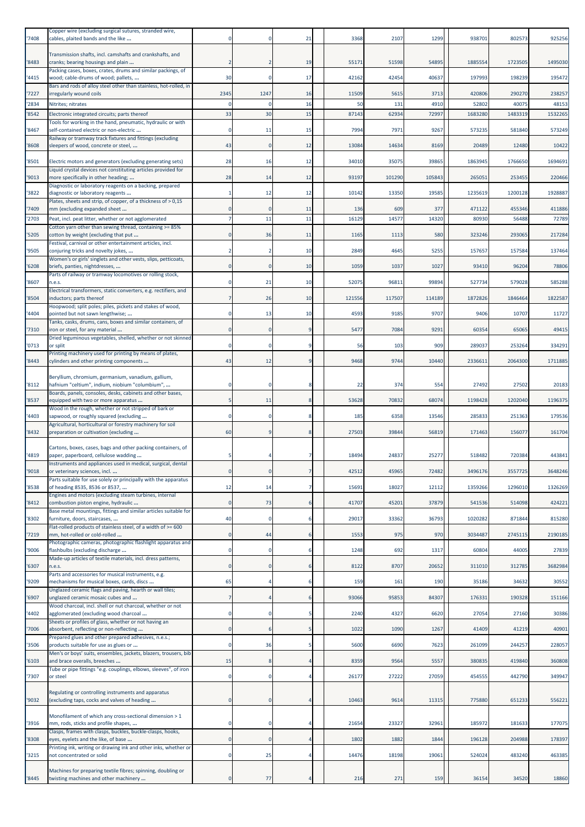| '7408 | Copper wire (excluding surgical sutures, stranded wire,<br>cables, plaited bands and the like                               |              |                | 21             | 3368   | 2107   | 1299   | 938701  | 802573  | 925256  |
|-------|-----------------------------------------------------------------------------------------------------------------------------|--------------|----------------|----------------|--------|--------|--------|---------|---------|---------|
| '8483 | Transmission shafts, incl. camshafts and crankshafts, and<br>cranks; bearing housings and plain                             |              |                | 19             | 55171  | 51598  | 54895  | 1885554 | 1723505 | 1495030 |
| '4415 | Packing cases, boxes, crates, drums and similar packings, of<br>wood; cable-drums of wood; pallets,                         | 30           | $\mathbf 0$    | 17             | 42162  | 42454  | 40637  | 197993  | 198239  | 195472  |
| '7227 | Bars and rods of alloy steel other than stainless, hot-rolled, in<br>irregularly wound coils                                | 2345         | 1247           | 16             | 11509  | 5615   | 3713   | 420806  | 290270  | 238257  |
| '2834 | Nitrites; nitrates                                                                                                          |              |                | 16             | 50     | 131    | 4910   | 52802   | 40075   | 48153   |
| '8542 | Electronic integrated circuits; parts thereof                                                                               | 33           | 30             | 15             | 87143  | 62934  | 72997  | 1683280 | 1483319 | 1532265 |
| '8467 | Tools for working in the hand, pneumatic, hydraulic or with<br>self-contained electric or non-electric                      |              | 11             | 15             | 7994   | 7971   | 9267   | 573235  | 581840  | 573249  |
|       | Railway or tramway track fixtures and fittings (excluding                                                                   |              |                |                |        |        |        |         |         |         |
| '8608 | sleepers of wood, concrete or steel,                                                                                        | 43           | 0              | 12             | 13084  | 14634  | 8169   | 20489   | 12480   | 10422   |
| '8501 | Electric motors and generators (excluding generating sets)<br>Liquid crystal devices not constituting articles provided for | 28           | 16             | 12             | 34010  | 35075  | 39865  | 1863945 | 1766650 | 1694691 |
| '9013 | more specifically in other heading;<br>Diagnostic or laboratory reagents on a backing, prepared                             | 28           | 14             | 12             | 93197  | 101290 | 105843 | 265051  | 253455  | 220466  |
| '3822 | diagnostic or laboratory reagents<br>Plates, sheets and strip, of copper, of a thickness of > 0,15                          |              | 12             | 12             | 10142  | 13350  | 19585  | 1235619 | 1200128 | 1928887 |
| '7409 | mm (excluding expanded sheet                                                                                                |              | $\Omega$       | 11             | 136    | 609    | 377    | 471122  | 455346  | 411886  |
| 2703  | Peat, incl. peat litter, whether or not agglomerated                                                                        |              | 11             | 11             | 16129  | 14577  | 14320  | 80930   | 56488   | 72789   |
| '5205 | Cotton yarn other than sewing thread, containing >= 85%<br>cotton by weight (excluding that put                             |              | 36             | 11             | 1165   | 1113   | 580    | 323246  | 293065  | 217284  |
| '9505 | Festival, carnival or other entertainment articles, incl.<br>conjuring tricks and novelty jokes,                            |              |                | 10             | 2849   | 4645   | 5255   | 157657  | 157584  | 137464  |
|       | Women's or girls' singlets and other vests, slips, petticoats,                                                              |              |                |                |        |        |        |         |         |         |
| '6208 | briefs, panties, nightdresses,<br>Parts of railway or tramway locomotives or rolling stock,                                 | $\Omega$     | $\mathbf{0}$   | 10             | 1059   | 1037   | 1027   | 93410   | 96204   | 78806   |
| '8607 | n.e.s.                                                                                                                      |              | 21             | 10             | 52075  | 96811  | 99894  | 527734  | 579028  | 585288  |
| '8504 | Electrical transformers, static converters, e.g. rectifiers, and<br>inductors; parts thereof                                |              | 26             | 10             | 121556 | 117507 | 114189 | 1872826 | 1846464 | 1822587 |
| '4404 | Hoopwood; split poles; piles, pickets and stakes of wood,<br>pointed but not sawn lengthwise;                               |              | 13             | 10             | 4593   | 9185   | 9707   | 9406    | 10707   | 11727   |
|       | Tanks, casks, drums, cans, boxes and similar containers, of                                                                 |              |                |                |        |        |        |         |         |         |
| '7310 | iron or steel, for any material<br>Dried leguminous vegetables, shelled, whether or not skinned                             | $\Omega$     | $\mathbf{0}$   | q              | 5477   | 7084   | 9291   | 60354   | 65065   | 49415   |
| '0713 | or split<br>Printing machinery used for printing by means of plates,                                                        |              |                |                | 56     | 103    | 909    | 289037  | 253264  | 334291  |
| '8443 | cylinders and other printing components                                                                                     | 43           | 12             | 9              | 9468   | 9744   | 10440  | 2336611 | 2064300 | 1711885 |
|       | Beryllium, chromium, germanium, vanadium, gallium,                                                                          |              |                |                |        |        |        |         |         |         |
| '8112 | hafnium "celtium", indium, niobium "columbium",<br>Boards, panels, consoles, desks, cabinets and other bases,               |              | 0              | 8              | 22     | 374    | 554    | 27492   | 27502   | 20183   |
| '8537 | equipped with two or more apparatus                                                                                         | 5            | 11             | 8              | 53628  | 70832  | 68074  | 1198428 | 1202040 | 1196375 |
| '4403 | Wood in the rough, whether or not stripped of bark or<br>sapwood, or roughly squared (excluding                             |              | 0              |                | 185    | 6358   | 13546  | 285833  | 251363  | 179536  |
| '8432 | Agricultural, horticultural or forestry machinery for soil<br>preparation or cultivation (excluding                         | 60           | 9              | 8              | 27503  | 39844  | 56819  | 171463  | 156077  | 161704  |
|       | Cartons, boxes, cases, bags and other packing containers, of                                                                |              |                |                |        |        |        |         |         |         |
| '4819 | paper, paperboard, cellulose wadding<br>Instruments and appliances used in medical, surgical, dental                        |              | 4              | 7              | 18494  | 24837  | 25277  | 518482  | 720384  | 443841  |
| '9018 | or veterinary sciences, incl.<br>Parts suitable for use solely or principally with the apparatus                            | $\Omega$     | $\overline{0}$ |                | 42512  | 45965  | 72482  | 3496176 | 3557725 | 3648246 |
| '8538 | of heading 8535, 8536 or 8537,                                                                                              | 12           | 14             | 7              | 15691  | 18027  | 12112  | 1359266 | 1296010 | 1326269 |
| '8412 | Engines and motors (excluding steam turbines, internal<br>combustion piston engine, hydraulic                               | $\mathbf{0}$ | 73             | 6              | 41707  | 45201  | 37879  | 541536  | 514098  | 424221  |
|       | Base metal mountings, fittings and similar articles suitable for                                                            | 40           | $\mathbf 0$    | 6              |        |        |        |         |         |         |
| '8302 | furniture, doors, staircases,<br>Flat-rolled products of stainless steel, of a width of >= 600                              |              |                |                | 29017  | 33362  | 36793  | 1020282 | 871844  | 815280  |
| 7219  | mm, hot-rolled or cold-rolled<br>Photographic cameras, photographic flashlight apparatus and                                | $\Omega$     | 44             | 6              | 1553   | 975    | 970    | 3034487 | 2745115 | 2190185 |
| '9006 | flashbulbs (excluding discharge                                                                                             | $\Omega$     | $\mathbf 0$    | 6              | 1248   | 692    | 1317   | 60804   | 44005   | 27839   |
| '6307 | Made-up articles of textile materials, incl. dress patterns,<br>n.e.s.                                                      | $\Omega$     | $\mathbf{0}$   | 6              | 8122   | 8707   | 20652  | 311010  | 312785  | 3682984 |
| '9209 | Parts and accessories for musical instruments, e.g.<br>mechanisms for musical boxes, cards, discs                           | 65           |                | 6              | 159    | 161    | 190    | 35186   | 34632   | 30552   |
|       | Unglazed ceramic flags and paving, hearth or wall tiles;                                                                    |              |                |                |        |        |        |         |         |         |
| '6907 | unglazed ceramic mosaic cubes and<br>Wood charcoal, incl. shell or nut charcoal, whether or not                             |              |                | 6              | 93066  | 95853  | 84307  | 176331  | 190328  | 151166  |
| '4402 | agglomerated (excluding wood charcoal                                                                                       | 0            | $\mathbf 0$    |                | 2240   | 4327   | 6620   | 27054   | 27160   | 30386   |
| 7006  | Sheets or profiles of glass, whether or not having an<br>absorbent, reflecting or non-reflecting                            | $\mathbf{0}$ | 6              | 5              | 1022   | 1090   | 1267   | 41409   | 41219   | 40901   |
| '3506 | Prepared glues and other prepared adhesives, n.e.s.;<br>products suitable for use as glues or                               | $\Omega$     | 36             | 5              | 5600   | 6690   | 7623   | 261099  | 244257  | 228057  |
|       | Men's or boys' suits, ensembles, jackets, blazers, trousers, bib                                                            |              |                |                |        |        |        |         |         |         |
| '6103 | and brace overalls, breeches<br>Tube or pipe fittings "e.g. couplings, elbows, sleeves", of iron                            | 15           | 8              | $\overline{4}$ | 8359   | 9564   | 5557   | 380835  | 419840  | 360808  |
| '7307 | or steel                                                                                                                    | $\mathbf 0$  | $\mathbf 0$    | 4              | 26177  | 27222  | 27059  | 454555  | 442790  | 349947  |
| '9032 | Regulating or controlling instruments and apparatus<br>(excluding taps, cocks and valves of heading                         | $\Omega$     | $\mathbf{0}$   | $\overline{4}$ | 10463  | 9614   | 11315  | 775880  | 651233  | 556221  |
|       | Monofilament of which any cross-sectional dimension > 1                                                                     |              |                |                |        |        |        |         |         |         |
| '3916 | mm, rods, sticks and profile shapes,                                                                                        |              | $\mathbf 0$    |                | 21654  | 23327  | 32961  | 185972  | 181633  | 177075  |
| '8308 | Clasps, frames with clasps, buckles, buckle-clasps, hooks,<br>eyes, eyelets and the like, of base                           | $\Omega$     | $\Omega$       |                | 1802   | 1882   | 1844   | 196128  | 204988  | 178397  |
| '3215 | Printing ink, writing or drawing ink and other inks, whether or<br>not concentrated or solid                                | $\Omega$     | 25             |                | 14476  | 18198  | 19061  | 524024  | 483240  | 463385  |
|       | Machines for preparing textile fibres; spinning, doubling or                                                                |              |                |                |        |        |        |         |         |         |
| '8445 | twisting machines and other machinery                                                                                       |              | 77             |                | 216    | 271    | 159    | 36154   | 34520   | 18860   |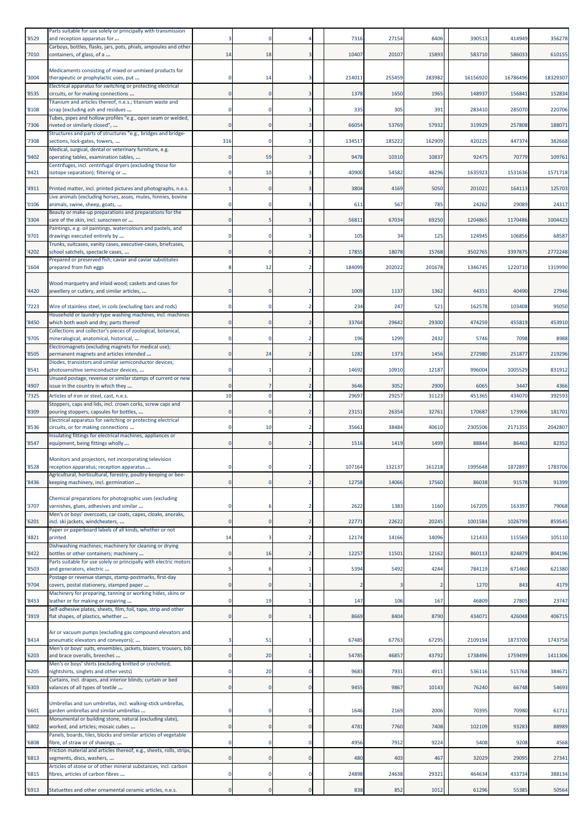| '8529 | Parts suitable for use solely or principally with transmission<br>and reception apparatus for                                               |     |             |                | 7316   | 27154  | 8406   | 390513   | 414949   | 356278   |
|-------|---------------------------------------------------------------------------------------------------------------------------------------------|-----|-------------|----------------|--------|--------|--------|----------|----------|----------|
| '7010 | Carboys, bottles, flasks, jars, pots, phials, ampoules and other<br>containers, of glass, of a                                              | 14  | 18          | 3              | 10407  | 20107  | 15893  | 583710   | 586033   | 610155   |
|       | Medicaments consisting of mixed or unmixed products for                                                                                     |     | 14          | 3              | 214011 | 255459 | 283982 | 16156920 | 16786496 | 18329307 |
| '3004 | therapeutic or prophylactic uses, put<br>Electrical apparatus for switching or protecting electrical<br>circuits, or for making connections |     | $\mathbf 0$ |                | 1378   | 1650   | 1965   |          | 15684    | 152834   |
| '8535 | Titanium and articles thereof, n.e.s.; titanium waste and                                                                                   |     |             |                |        |        |        | 148937   |          |          |
| '8108 | scrap (excluding ash and residues<br>Tubes, pipes and hollow profiles "e.g., open seam or welded,                                           |     | $\Omega$    |                | 335    | 305    | 391    | 283410   | 285070   | 220706   |
| '7306 | riveted or similarly closed",<br>Structures and parts of structures "e.g., bridges and bridge-                                              |     | $\Omega$    | 3              | 66054  | 53769  | 57932  | 319929   | 257808   | 188071   |
| '7308 | sections, lock-gates, towers,<br>Medical, surgical, dental or veterinary furniture, e.g.                                                    | 316 | $\Omega$    | 3              | 134517 | 185222 | 162909 | 420225   | 447374   | 382668   |
| '9402 | operating tables, examination tables,<br>Centrifuges, incl. centrifugal dryers (excluding those for                                         |     | 59          |                | 9478   | 10310  | 10837  | 92475    | 70779    | 109761   |
| '8421 | isotope separation); filtering or                                                                                                           |     | 10          |                | 40900  | 54582  | 48296  | 1635923  | 1531636  | 1571718  |
| '4911 | Printed matter, incl. printed pictures and photographs, n.e.s.<br>Live animals (excluding horses, asses, mules, hinnies, bovine             |     | $\mathbf 0$ | 3              | 3804   | 4169   | 5050   | 20102:   | 164113   | 125703   |
| '0106 | animals, swine, sheep, goats,<br>Beauty or make-up preparations and preparations for the                                                    |     |             |                | 611    | 567    | 785    | 24262    | 29089    | 24317    |
| '3304 | care of the skin, incl. sunscreen or<br>Paintings, e.g. oil paintings, watercolours and pastels, and                                        |     |             |                | 56811  | 67034  | 69250  | 1204865  | 1170486  | 1004423  |
| '9701 | drawings executed entirely by<br>Trunks, suitcases, vanity cases, executive-cases, briefcases,                                              |     |             | 3              | 105    | 34     | 125    | 124945   | 106856   | 68587    |
| '4202 | school satchels, spectacle cases,<br>Prepared or preserved fish; caviar and caviar substitutes                                              |     |             |                | 17855  | 18078  | 15768  | 3502765  | 3397875  | 2772248  |
| '1604 | prepared from fish eggs                                                                                                                     |     | 12          |                | 184099 | 202022 | 201678 | 1346745  | 1220710  | 1319990  |
| '4420 | Wood marquetry and inlaid wood; caskets and cases for<br>jewellery or cutlery, and similar articles,                                        |     | $\Omega$    |                | 1009   | 1137   | 1362   | 44351    | 40490    | 27946    |
| '7223 | Wire of stainless steel, in coils (excluding bars and rods)                                                                                 |     | 0           | 2              | 234    | 247    | 521    | 162578   | 103408   | 95050    |
| '8450 | Household or laundry-type washing machines, incl. machines<br>which both wash and dry; parts thereof                                        |     |             |                | 33764  | 29642  | 29300  | 474259   | 455819   | 453910   |
| '9705 | Collections and collector's pieces of zoological, botanical,<br>mineralogical, anatomical, historical,                                      |     |             |                | 196    | 1299   | 2432   | 5746     | 7098     | 8988     |
| '8505 | Electromagnets (excluding magnets for medical use);<br>permanent magnets and articles intended                                              |     | 24          | 2              | 1282   | 1373   | 1456   | 272980   | 251877   | 219296   |
| '8541 | Diodes, transistors and similar semiconductor devices;<br>photosensitive semiconductor devices,                                             |     |             | 2              | 14692  | 10910  | 12187  | 996004   | 1005529  | 831912   |
| '4907 | Unused postage, revenue or similar stamps of current or new<br>issue in the country in which they                                           |     |             |                | 3646   | 3052   | 2900   | 6065     | 3447     | 4366     |
| '7325 | Articles of iron or steel, cast, n.e.s.                                                                                                     | 10  | $\Omega$    | $\overline{2}$ | 29697  | 29257  | 31123  | 45136    | 434070   | 392593   |
| '8309 | Stoppers, caps and lids, incl. crown corks, screw caps and<br>pouring stoppers, capsules for bottles,                                       |     | $\Omega$    | 2              | 23151  | 26354  | 32761  | 170687   | 173906   | 181701   |
| '8536 | Electrical apparatus for switching or protecting electrical<br>circuits, or for making connections                                          |     | 10          |                | 35661  | 38484  | 40610  | 2305506  | 2171355  | 2042807  |
| '8547 | Insulating fittings for electrical machines, appliances or<br>equipment, being fittings wholly                                              |     | 0           | $\overline{2}$ | 1516   | 1419   | 1499   | 88844    | 86463    | 82352    |
|       | Monitors and projectors, not incorporating television                                                                                       |     |             |                |        |        |        |          |          |          |
| '8528 | reception apparatus; reception apparatus<br>Agricultural, horticultural, forestry, poultry-keeping or bee-                                  |     |             |                | 107164 | 132137 | 161218 | 1995648  | 1872897  | 1783706  |
| '8436 | keeping machinery, incl. germination                                                                                                        |     | O           |                | 12758  | 14066  | 17560  | 86038    | 91578    | 91399    |
| '3707 | Chemical preparations for photographic uses (excluding<br>varnishes, glues, adhesives and similar                                           |     | 6           | 2              | 2622   | 1383   | 1160   | 167205   | 163397   | 79068    |
| '6201 | Men's or boys' overcoats, car coats, capes, cloaks, anoraks,<br>incl. ski jackets, windcheaters,                                            | 0   | 0           | 2              | 22771  | 22622  | 20245  | 1001584  | 1026799  | 859545   |
| '4821 | Paper or paperboard labels of all kinds, whether or not<br>printed                                                                          | 14  | 3           | $\overline{2}$ | 12174  | 14166  | 14096  | 121433   | 115569   | 105110   |
| '8422 | Dishwashing machines; machinery for cleaning or drying<br>bottles or other containers; machinery                                            |     | 16          | $\overline{2}$ | 12257  | 11501  | 12162  | 860113   | 824879   | 804196   |
| '8503 | Parts suitable for use solely or principally with electric motors<br>and generators, electric                                               |     | 6           | 1              | 5394   | 5492   | 4244   | 784119   | 671460   | 621380   |
| '9704 | Postage or revenue stamps, stamp-postmarks, first-day<br>covers, postal stationery, stamped paper                                           |     | $\Omega$    |                |        |        | -2     | 1270     | 843      | 4179     |
| '8453 | Machinery for preparing, tanning or working hides, skins or<br>leather or for making or repairing                                           |     | 19          | 1              | 147    | 106    | 167    | 46809    | 27805    | 23747    |
| '3919 | Self-adhesive plates, sheets, film, foil, tape, strip and other<br>flat shapes, of plastics, whether                                        |     | $\mathbf 0$ |                | 8669   | 8404   | 8790   | 434071   | 426048   | 406715   |
| '8414 | Air or vacuum pumps (excluding gas compound elevators and<br>pneumatic elevators and conveyors);                                            |     | 51          | -1             | 67485  | 67763  | 67295  | 2109194  | 1873700  | 1743758  |
| '6203 | Men's or boys' suits, ensembles, jackets, blazers, trousers, bib<br>and brace overalls, breeches                                            |     | 20          | -1             | 54785  | 46857  | 43792  | 1738496  | 1759499  | 1411306  |
| '6205 | Men's or boys' shirts (excluding knitted or crocheted,<br>nightshirts, singlets and other vests)                                            |     | 20          | 0              | 9683   | 7931   | 4911   | 536116   | 515768   | 384671   |
| '6303 | Curtains, incl. drapes, and interior blinds; curtain or bed<br>valances of all types of textile                                             |     | $\mathbf 0$ | $\mathbf{0}$   | 9455   | 9867   | 10143  | 76240    | 66748    | 54693    |
|       | Umbrellas and sun umbrellas, incl. walking-stick umbrellas,                                                                                 |     |             |                |        |        |        |          |          |          |
| '6601 | garden umbrellas and similar umbrellas<br>Monumental or building stone, natural (excluding slate),                                          |     | 0           | 0              | 1646   | 2169   | 2006   | 70395    | 70980    | 61711    |
| '6802 | worked, and articles; mosaic cubes<br>Panels, boards, tiles, blocks and similar articles of vegetable                                       |     | $\Omega$    | $\Omega$       | 4781   | 7760   | 7408   | 102109   | 93283    | 88989    |
| '6808 | fibre, of straw or of shavings,<br>Friction material and articles thereof, e.g., sheets, rolls, strips,                                     |     | 0           | 0              | 4956   | 7912   | 9224   | 5408     | 9208     | 4568     |
| '6813 | segments, discs, washers,<br>Articles of stone or of other mineral substances, incl. carbon                                                 |     | $\mathbf 0$ | $\mathbf 0$    | 480    | 403    | 467    | 32029    | 29095    | 27341    |
| '6815 | fibres, articles of carbon fibres                                                                                                           |     | 0           | 0              | 24898  | 24638  | 29321  | 464634   | 433734   | 388134   |
| '6913 | Statuettes and other ornamental ceramic articles, n.e.s.                                                                                    |     | 0           | 0              | 838    | 852    | 1012   | 61296    | 55385    | 50564    |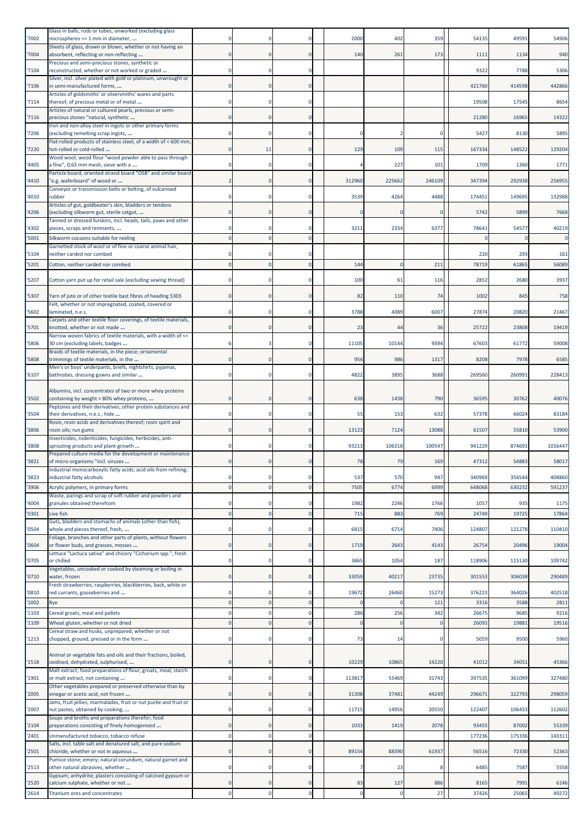| '7002          | Glass in balls, rods or tubes, unworked (excluding glass<br>microspheres <= 1 mm in diameter,          |              |                |                          | 2000        | 402                  | 359          | 54135            | 49591            | 54906            |
|----------------|--------------------------------------------------------------------------------------------------------|--------------|----------------|--------------------------|-------------|----------------------|--------------|------------------|------------------|------------------|
| '7004          | Sheets of glass, drawn or blown, whether or not having an<br>absorbent, reflecting or non-reflecting   |              | $\Omega$       |                          | 140         | 261                  | 173          | 1111             | 1134             | 940              |
| '7104          | Precious and semi-precious stones, synthetic or<br>reconstructed, whether or not worked or graded      |              | 0              | $\Omega$                 |             |                      |              | 9322             | 7788             | 5306             |
| '7106          | Silver, incl. silver plated with gold or platinum, unwrought or<br>in semi-manufactured forms,         |              |                |                          |             |                      |              | 421760           | 414598           | 442866           |
|                | Articles of goldsmiths' or silversmiths' wares and parts                                               |              |                |                          |             |                      |              | 19508            |                  | 8654             |
| '7114          | thereof, of precious metal or of metal<br>Articles of natural or cultured pearls, precious or semi-    |              |                |                          |             |                      |              |                  | 17545            |                  |
| '7116          | precious stones "natural, synthetic<br>Iron and non-alloy steel in ingots or other primary forms       |              | $\Omega$       | $\Omega$                 |             |                      |              | 21280            | 16965            | 14322            |
| '7206          | (excluding remelting scrap ingots,<br>Flat-rolled products of stainless steel, of a width of < 600 mm, |              |                |                          |             |                      |              | 5427             | 8130             | 5895             |
| '7220          | hot-rolled or cold-rolled<br>Wood wool; wood flour "wood powder able to pass through                   |              | 11             |                          | 129         | 109                  | 115          | 167334           | 148522           | 129204           |
| '4405          | a fine", 0,63 mm mesh, sieve with a<br>Particle board, oriented strand board "OSB" and similar board   |              | 0              | $\Omega$                 |             | 227                  | 101          | 1709             | 1360             | 1771             |
| '4410          | 'e.g. waferboard" of wood or                                                                           |              | $\mathbf 0$    | $\Omega$                 | 312960      | 225662               | 246109       | 347394           | 292938           | 256955           |
| '4010          | Conveyor or transmission belts or belting, of vulcanised<br>rubber                                     |              |                |                          | 3539        | 4264                 | 4488         | 17445            | 149695           | 132988           |
| '4206          | Articles of gut, goldbeater's skin, bladders or tendons<br>(excluding silkworm gut, sterile catgut,    |              | $\mathbf 0$    | $\Omega$                 |             |                      | $\Omega$     | 5742             | 5899             | 7668             |
| '4302          | Tanned or dressed furskins, incl. heads, tails, paws and other<br>pieces, scraps and remnants,         |              |                | $\Omega$                 | 3211        | 2334                 | 6377         | 78641            | 54577            | 40219            |
| '5001          | Silkworm cocoons suitable for reeling<br>Garnetted stock of wool or of fine or coarse animal hair,     |              | $\Omega$       | $\Omega$                 |             |                      |              |                  |                  | $\mathbf 0$      |
| '5104          | neither carded nor combed                                                                              |              |                |                          |             |                      |              | 220              | 293              | 161              |
| '5201          | Cotton, neither carded nor combed                                                                      |              |                |                          | 144         |                      | 211          | 78719            | 61865            | 56089            |
| '5207          | Cotton yarn put up for retail sale (excluding sewing thread)                                           |              |                | $\Omega$                 | 100         | 61                   | 116          | 2852             | 2680             | 3937             |
| '5307          | Yarn of jute or of other textile bast fibres of heading 5303                                           |              | $\Omega$       |                          | 82          | 110                  | 74           | 1002             | 845              | 758              |
| '5602          | Felt, whether or not impregnated, coated, covered or<br>laminated, n.e.s.                              |              | 0              |                          | 3788        | 4089                 | 6007         | 27874            | 20820            | 21467            |
| '5701          | Carpets and other textile floor coverings, of textile materials,<br>knotted, whether or not made       |              |                | $\mathbf 0$              | 23          | 44                   | 36           | 25722            | 23808            | 19419            |
| '5806          | Narrow woven fabrics of textile materials, with a width of <=<br>30 cm (excluding labels, badges       |              |                |                          | 11105       | 10144                | 9394         | 67603            | 61772            | 59008            |
|                | Braids of textile materials, in the piece; ornamental                                                  |              |                | $\Omega$                 |             |                      |              |                  |                  |                  |
| '5808          | trimmings of textile materials, in the<br>Men's or boys' underpants, briefs, nightshirts, pyjamas,     |              | $\Omega$       |                          | 956         | 986                  | 1317         | 8208             | 7978             | 6585             |
| '6107          | bathrobes, dressing gowns and similar                                                                  |              | $\Omega$       | $\Omega$                 | 4822        | 3895                 | 3688         | 269560           | 260991           | 228413           |
| '3502          | Albumins, incl. concentrates of two or more whey proteins<br>containing by weight > 80% whey proteins, |              |                |                          | 638         | 1438                 | 790          | 36595            | 30762            | 40076            |
| '3504          | Peptones and their derivatives; other protein substances and<br>their derivatives, n.e.s.; hide        |              |                |                          | 55          | 153                  | 632          | 57378            | 66024            | 83184            |
| '3806          | Rosin, resin acids and derivatives thereof; rosin spirit and<br>rosin oils; run gums                   |              | $\mathbf{0}$   | $\Omega$                 | 13123       | 7124                 | 13088        | 61507            | 55810            | 53900            |
| '3808          | Insecticides, rodenticides, fungicides, herbicides, anti-<br>sprouting products and plant-growth       |              |                |                          | 93213       | 106318               | 100547       | 941229           | 874691           | 1016447          |
| '3821          | Prepared culture media for the development or maintenance<br>of micro-organisms "incl. viruses         |              |                |                          | 78          | 79                   | 169          | 47312            | 54883            | 58017            |
|                | Industrial monocarboxylic fatty acids; acid oils from refining;                                        |              |                |                          |             |                      |              |                  |                  |                  |
| '3823<br>'3906 | industrial fatty alcohols                                                                              | $\Omega$     | 0<br>$\Omega$  | $\Omega$<br>$\Omega$     | 537<br>7505 | 570<br>6774          | 947<br>6999  | 340969<br>648068 | 356544<br>630232 | 404860<br>591237 |
|                | Acrylic polymers, in primary forms<br>Waste, parings and scrap of soft rubber and powders and          |              |                |                          |             |                      |              |                  |                  |                  |
| '4004<br>'0301 | granules obtained therefrom<br>Live fish                                                               |              | $\overline{0}$ | $\Omega$<br>$\mathbf{0}$ | 1982<br>715 | 2246<br>883          | 1766<br>769  | 1057<br>24749    | 935<br>19725     | 1175<br>17864    |
| '0504          | Guts, bladders and stomachs of animals (other than fish),<br>whole and pieces thereof, fresh,          |              | $\mathbf 0$    | 0                        | 6815        | 6714                 | 7406         | 124807           | 121278           | 110410           |
| '0604          | Foliage, branches and other parts of plants, without flowers                                           | $\mathbf{0}$ | $\overline{0}$ | $\mathbf 0$              | 1719        | 2643                 | 4143         | 26754            | 20496            | 19004            |
|                | or flower buds, and grasses, mosses<br>Lettuce "Lactuca sativa" and chicory "Cichorium spp.", fresh    |              |                |                          |             |                      |              |                  |                  |                  |
| '0705          | or chilled<br>Vegetables, uncooked or cooked by steaming or boiling in                                 | $\Omega$     | $\mathbf 0$    | $\Omega$                 | 3865        | 1054                 | 187          | 118906           | 115130           | 109742           |
| '0710'         | water, frozen<br>Fresh strawberries, raspberries, blackberries, back, white or                         | $\mathbf{0}$ | $\mathbf{0}$   | $\overline{0}$           | 33059       | 40217                | 23735        | 301553           | 306038           | 290489           |
| '0810<br>'1002 | red currants, gooseberries and<br>Rye                                                                  | 0            | 0              | 0<br>$\Omega$            | 19672       | 26460                | 15273<br>121 | 376223<br>3316   | 364026<br>3588   | 402518<br>2811   |
| '1103          | Cereal groats, meal and pellets                                                                        |              |                | $\Omega$                 | 286         | 256                  | 342          | 26675            | 9685             | 9216             |
| '1109          | Wheat gluten, whether or not dried                                                                     | $\Omega$     |                | $\Omega$                 |             |                      | $\Omega$     | 26093            | 19881            | 19516            |
| '1213          | Cereal straw and husks, unprepared, whether or not<br>chopped, ground, pressed or in the form          |              | 0              | $\Omega$                 | 73          | 14                   |              | 5059             | 9500             | 5960             |
|                | Animal or vegetable fats and oils and their fractions, boiled,                                         |              |                |                          |             |                      |              |                  |                  |                  |
| '1518          | oxidised, dehydrated, sulphurised,<br>Malt extract; food preparations of flour, groats, meal, starch   |              | $\mathbf{0}$   | $\mathbf 0$              | 10229       | 10865                | 14220        | 41012            | 34051            | 45366            |
| '1901          | or malt extract, not containing                                                                        | $\Omega$     | $\mathbf 0$    | 0                        | 113817      | 55469                | 31743        | 397535           | 361099           | 327480           |
| '2005          | Other vegetables prepared or preserved otherwise than by<br>vinegar or acetic acid, not frozen         | $\Omega$     | $\overline{0}$ | $\Omega$                 | 31308       | 37481                | 44249        | 296671           | 322793           | 298059           |
| '2007          | Jams, fruit jellies, marmalades, fruit or nut purée and fruit or<br>nut pastes, obtained by cooking,   |              | $\mathbf 0$    | $\Omega$                 | 11715       | 14956                | 20550        | 122407           | 106433           | 112602           |
| '2104          | Soups and broths and preparations therefor; food<br>preparations consisting of finely homogenised      |              | $\mathbf 0$    | $\Omega$                 | 1033        | 1419                 | 2078         | 93455            | 87002            | 55339            |
| '2401          | Unmanufactured tobacco; tobacco refuse                                                                 |              | 0              | $\Omega$                 |             |                      |              | 177236           | 175336           | 143311           |
| 2501           | Salts, incl. table salt and denatured salt, and pure sodium<br>chloride, whether or not in aqueous     | $\Omega$     | $\mathbf 0$    | $\mathbf 0$              | 89154       | 88390                | 61937        | 56516            | 72330            | 52363            |
| '2513          | Pumice stone; emery; natural corundum, natural garnet and<br>other natural abrasives, whether          | $\Omega$     | $\Omega$       | $\Omega$                 |             | 23                   | ۶            | 6485             | 7587             | 5558             |
|                | Gypsum; anhydrite; plasters consisting of calcined gypsum or                                           |              |                |                          |             |                      |              |                  |                  |                  |
| '2520<br>'2614 | calcium sulphate, whether or not<br><b>Titanium ores and concentrates</b>                              |              | $\mathbf 0$    | $\mathbf 0$              | 83          | 127<br>$\mathcal{C}$ | 886<br>27    | 8165<br>37426    | 7991<br>25065    | 6146<br>49272    |
|                |                                                                                                        |              |                |                          |             |                      |              |                  |                  |                  |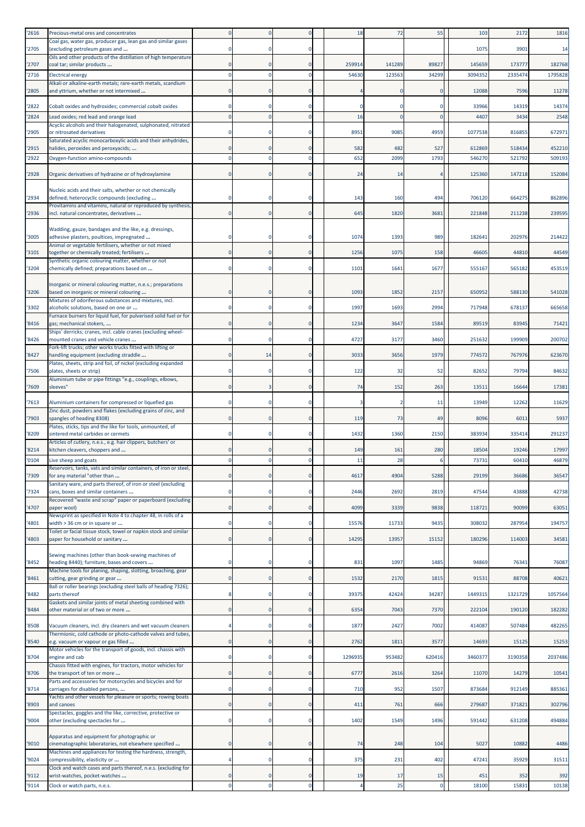| '2616 | Precious-metal ores and concentrates                                                                      |                |                |             | 18      | 72     | 55           | 103     | 2172    | 1816    |
|-------|-----------------------------------------------------------------------------------------------------------|----------------|----------------|-------------|---------|--------|--------------|---------|---------|---------|
| '2705 | Coal gas, water gas, producer gas, lean gas and similar gases<br>(excluding petroleum gases and           | $^{\circ}$     | 0              | $\Omega$    |         |        |              | 107     | 3901    | 14      |
|       | Oils and other products of the distillation of high temperature                                           |                |                |             |         |        |              |         |         |         |
| '2707 | coal tar; similar products                                                                                | $\Omega$       |                | $\Omega$    | 259914  | 141289 | 89827        | 145659  | 173777  | 182768  |
| '2716 | <b>Electrical energy</b><br>Alkali or alkaline-earth metals; rare-earth metals, scandium                  | $\Omega$       | $\Omega$       |             | 54630   | 123563 | 34299        | 3094352 | 2335474 | 1795828 |
| '2805 | and yttrium, whether or not intermixed                                                                    | $\Omega$       |                | $\Omega$    |         |        | $\Omega$     | 12088   | 7596    | 11278   |
| '2822 | Cobalt oxides and hydroxides; commercial cobalt oxides                                                    | $^{\circ}$     |                | $\Omega$    |         |        |              | 33966   | 14319   | 14374   |
| '2824 | Lead oxides; red lead and orange lead                                                                     | $\Omega$       | $\Omega$       | $\mathbf 0$ | 16      |        | $\Omega$     | 4407    | 3434    | 2548    |
| '2905 | Acyclic alcohols and their halogenated, sulphonated, nitrated<br>or nitrosated derivatives                |                |                | $\Omega$    | 8951    | 9085   | 4959         | 1077538 | 816855  | 672971  |
|       | Saturated acyclic monocarboxylic acids and their anhydrides,                                              |                |                |             |         |        |              |         |         |         |
| '2915 | halides, peroxides and peroxyacids;                                                                       | $\Omega$       | $\Omega$       | $\Omega$    | 582     | 482    | 527          | 612869  | 518434  | 452210  |
| '2922 | Oxygen-function amino-compounds                                                                           | $\Omega$       | $\Omega$       | $\Omega$    | 652     | 2099   | 1793         | 546270  | 521792  | 509193  |
| '2928 | Organic derivatives of hydrazine or of hydroxylamine                                                      | $\Omega$       |                | $\Omega$    | 24      | 14     |              | 125360  | 147218  | 152084  |
|       | Nucleic acids and their salts, whether or not chemically                                                  |                |                |             |         |        |              |         |         |         |
| '2934 | defined; heterocyclic compounds (excluding                                                                |                |                | $\Omega$    | 143     | 160    | 494          | 706120  | 664275  | 862896  |
| '2936 | Provitamins and vitamins, natural or reproduced by synthesis,<br>incl. natural concentrates, derivatives  | $\mathbf 0$    | $\mathbf 0$    | $\mathbf 0$ | 645     | 1820   | 3681         | 221848  | 211238  | 239595  |
|       | Wadding, gauze, bandages and the like, e.g. dressings,                                                    |                |                |             |         |        |              |         |         |         |
| '3005 | adhesive plasters, poultices, impregnated                                                                 | $^{\circ}$     | 0              | $\Omega$    | 1074    | 1393   | 989          | 18264   | 202976  | 214422  |
| '3101 | Animal or vegetable fertilisers, whether or not mixed<br>together or chemically treated; fertilisers      | $\mathbf 0$    |                | $\Omega$    | 1256    | 1075   | 158          | 46605   | 44810   | 44549   |
|       | Synthetic organic colouring matter, whether or not                                                        |                |                |             |         |        |              |         |         |         |
| '3204 | chemically defined; preparations based on                                                                 | 0              |                |             | 1101    | 1641   | 1677         | 555167  | 565182  | 453519  |
| '3206 | Inorganic or mineral colouring matter, n.e.s.; preparations<br>based on inorganic or mineral colouring    |                |                |             | 1093    | 1852   | 2157         | 650952  | 588130  | 541028  |
|       | Mixtures of odoriferous substances and mixtures, incl.                                                    |                |                |             |         |        |              |         |         |         |
| '3302 | alcoholic solutions, based on one or<br>Furnace burners for liquid fuel, for pulverised solid fuel or for | $\Omega$       | $\mathbf 0$    | $\mathbf 0$ | 1997    | 1693   | 2994         | 717948  | 678137  | 665658  |
| '8416 | gas; mechanical stokers,                                                                                  | $\mathbf 0$    |                | $\Omega$    | 1234    | 3647   | 1584         | 89519   | 83945   | 71421   |
| '8426 | Ships' derricks; cranes, incl. cable cranes (excluding wheel-<br>mounted cranes and vehicle cranes        |                |                |             | 4727    | 3177   | 3460         | 251632  | 199909  | 200702  |
| '8427 | Fork-lift trucks; other works trucks fitted with lifting or<br>handling equipment (excluding straddle     | $\mathbf 0$    | 14             | $\mathbf 0$ | 3033    | 3656   | 1979         | 774572  | 767976  | 623670  |
|       | Plates, sheets, strip and foil, of nickel (excluding expanded                                             |                |                |             |         |        |              |         |         |         |
| '7506 | plates, sheets or strip)<br>Aluminium tube or pipe fittings "e.g., couplings, elbows,                     | $\Omega$       | $\Omega$       | $\Omega$    | 122     | 32     | 52           | 82652   | 79794   | 84632   |
| '7609 | sleeves"                                                                                                  | $\Omega$       | 3              | $\Omega$    | 74      | 152    | 263          | 1351:   | 16644   | 17381   |
| '7613 | Aluminium containers for compressed or liquefied gas                                                      | $\Omega$       | $\Omega$       | $\Omega$    | э       |        | 11           | 13949   | 12262   | 11629   |
| '7903 | Zinc dust, powders and flakes (excluding grains of zinc, and<br>spangles of heading 8308)                 | $\Omega$       | $\Omega$       | $\Omega$    | 119     | 73     | 49           | 8096    | 6011    | 5937    |
|       | Plates, sticks, tips and the like for tools, unmounted, of                                                |                |                |             |         |        |              |         |         |         |
| '8209 | sintered metal carbides or cermets<br>Articles of cutlery, n.e.s., e.g. hair clippers, butchers' or       | $\Omega$       |                | $\Omega$    | 1432    | 1360   | 2150         | 383934  | 335414  | 291237  |
| '8214 | kitchen cleavers, choppers and                                                                            |                |                | $\Omega$    | 149     | 161    | 280          | 18504   | 19246   | 17997   |
| '0104 | Live sheep and goats                                                                                      |                |                |             | 11      | 28     | 6            | 7373    | 60410   | 46879   |
| '7309 | Reservoirs, tanks, vats and similar containers, of iron or steel<br>for any material "other than          |                |                | $\Omega$    | 4617    | 4904   | 5288         | 29199   | 36686   | 36547   |
|       | Sanitary ware, and parts thereof, of iron or steel (excluding                                             |                |                |             |         |        |              |         |         |         |
| '7324 | cans, boxes and similar containers<br>Recovered "waste and scrap" paper or paperboard (excluding          | $\Omega$       |                | $\Omega$    | 2446    | 2692   | 2819         | 47544   | 43888   | 42738   |
| '4707 | paper wool)                                                                                               | $\mathbf 0$    | $\mathbf 0$    | $\mathbf 0$ | 4099    | 3339   | 9838         | 118721  | 90099   | 63051   |
| '4801 | Newsprint as specified in Note 4 to chapter 48, in rolls of a<br>width > 36 cm or in square or            | $\mathbf 0$    | $\Omega$       | $\mathbf 0$ | 15576   | 11733  | 9435         | 308032  | 287954  | 194757  |
| '4803 | Toilet or facial tissue stock, towel or napkin stock and similar<br>paper for household or sanitary       | $\Omega$       |                | $\Omega$    | 14295   | 13957  | 15152        | 180296  | 114003  | 34581   |
|       |                                                                                                           |                |                |             |         |        |              |         |         |         |
| '8452 | Sewing machines (other than book-sewing machines of<br>heading 8440); furniture, bases and covers         | $\Omega$       | $\Omega$       | $\Omega$    | 831     | 1097   | 1485         | 94869   | 76341   | 76087   |
|       | Machine tools for planing, shaping, slotting, broaching, gear                                             |                |                |             |         |        |              |         |         |         |
| '8461 | cutting, gear grinding or gear<br>Ball or roller bearings (excluding steel balls of heading 7326);        | $\mathbf 0$    | $\mathbf 0$    | $\mathbf 0$ | 1532    | 2170   | 1815         | 9153    | 88708   | 40621   |
| '8482 | parts thereof                                                                                             | 8              | $\Omega$       | $\mathbf 0$ | 39375   | 42424  | 34287        | 1449315 | 1321729 | 1057564 |
| '8484 | Gaskets and similar joints of metal sheeting combined with<br>other material or of two or more            | $\mathbf 0$    |                | $\mathbf 0$ | 6354    | 7043   | 7370         | 222104  | 190120  | 182282  |
| '8508 | Vacuum cleaners, incl. dry cleaners and wet vacuum cleaners                                               | 4              | $\mathbf 0$    | $\mathbf 0$ | 1877    | 2427   | 7002         | 414087  | 507484  | 482265  |
|       | Thermionic, cold cathode or photo-cathode valves and tubes,                                               |                |                |             |         |        |              |         |         |         |
| '8540 | e.g. vacuum or vapour or gas filled<br>Motor vehicles for the transport of goods, incl. chassis with      | $\mathbf 0$    |                | $\Omega$    | 2762    | 1811   | 3577         | 14693   | 15125   | 15253   |
| '8704 | engine and cab<br>Chassis fitted with engines, for tractors, motor vehicles for                           | $^{\circ}$     |                | 0           | 1296935 | 953482 | 620416       | 346037  | 3190358 | 2037486 |
| '8706 | the transport of ten or more                                                                              | $\mathbf 0$    | $\mathbf 0$    | $\mathbf 0$ | 6777    | 2616   | 3264         | 11070   | 14279   | 10541   |
| '8714 | Parts and accessories for motorcycles and bicycles and for<br>carriages for disabled persons,             | $\mathbf 0$    | $\Omega$       | $\mathbf 0$ | 710     | 952    | 1507         | 873684  | 912149  | 885361  |
| '8903 | Yachts and other vessels for pleasure or sports; rowing boats<br>and canoes                               | $\mathbf 0$    |                | $\mathbf 0$ | 411     | 761    | 666          | 279687  | 371821  | 302796  |
| '9004 | Spectacles, goggles and the like, corrective, protective or<br>other (excluding spectacles for            | $\mathbf 0$    | $\mathbf 0$    | $\mathbf 0$ | 1402    | 1549   | 1496         | 591442  | 631208  | 494884  |
|       |                                                                                                           |                |                |             |         |        |              |         |         |         |
| '9010 | Apparatus and equipment for photographic or<br>cinematographic laboratories, not elsewhere specified      | $\bf{0}$       | $\mathbf 0$    | $\mathbf 0$ | 74      | 248    | 104          | 5027    | 10882   | 4486    |
|       | Machines and appliances for testing the hardness, strength,                                               |                |                |             |         |        |              |         |         |         |
| '9024 | compressibility, elasticity or<br>Clock and watch cases and parts thereof, n.e.s. (excluding for          | $\overline{a}$ | $\overline{0}$ | $\mathbf 0$ | 375     | 231    | 402          | 47241   | 35929   | 31511   |
| '9112 | wrist-watches, pocket-watches                                                                             | $\mathbf 0$    |                | $\mathbf 0$ | 19      | 17     | 15           | 451     | 352     | 392     |
| '9114 | Clock or watch parts, n.e.s.                                                                              | $\mathbf 0$    | $\mathbf 0$    | $\mathbf 0$ | 4       | 25     | $\mathbf{0}$ | 18100   | 15831   | 10138   |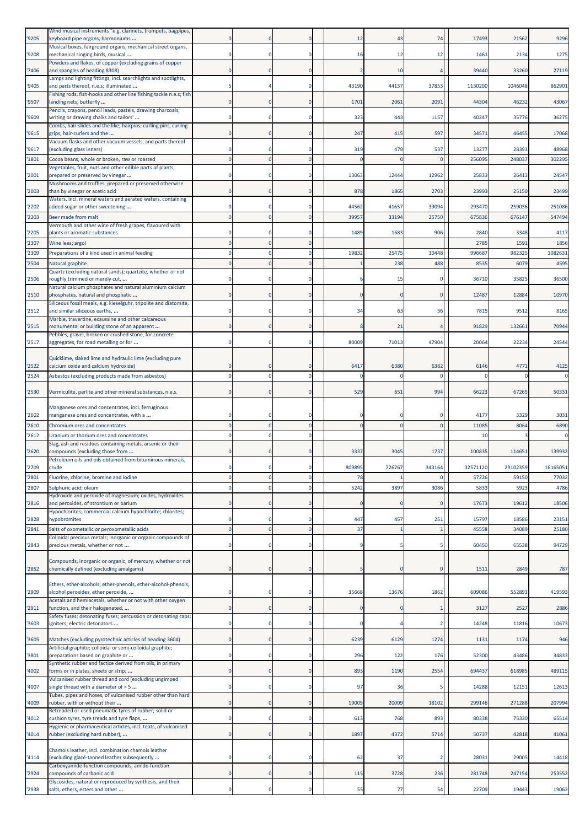|       | Wind musical instruments "e.g. clarinets, trumpets, bagpipes,                                                 |   |          |                |            |        |          |          |          |             |
|-------|---------------------------------------------------------------------------------------------------------------|---|----------|----------------|------------|--------|----------|----------|----------|-------------|
| '9205 | keyboard pipe organs, harmoniums                                                                              |   |          | 0              | 12         | 43     | 74       | 17493    | 21562    | 9296        |
|       | Musical boxes, fairground organs, mechanical street organs,                                                   |   |          |                |            |        |          |          |          |             |
| '9208 | mechanical singing birds, musical<br>Powders and flakes, of copper (excluding grains of copper                |   |          | $\mathbf 0$    | 16         | 12     | 12       | 1461     | 2134     | 1275        |
| '7406 | and spangles of heading 8308)                                                                                 |   |          | $\mathbf 0$    | -2         | 10     |          | 39440    | 33260    | 27119       |
|       | Lamps and lighting fittings, incl. searchlights and spotlights,                                               |   |          |                |            |        |          |          |          |             |
| '9405 | and parts thereof, n.e.s; illuminated<br>Fishing rods, fish-hooks and other line fishing tackle n.e.s; fish   |   |          | $\mathbf 0$    | 43190      | 44137  | 37853    | 1130200  | 1046048  | 862901      |
| '9507 | landing nets, butterfly                                                                                       |   |          | $\mathbf 0$    | 1701       | 2061   | 2091     | 44304    | 46232    | 43067       |
|       | Pencils, crayons, pencil leads, pastels, drawing charcoals,                                                   |   |          |                |            |        |          |          |          |             |
| '9609 | writing or drawing chalks and tailors'<br>Combs, hair-slides and the like; hairpins; curling pins, curling    |   |          | 0              | 323        | 443    | 1157     | 40247    | 35776    | 36275       |
| '9615 | grips, hair-curlers and the                                                                                   |   |          | $\mathbf 0$    | 247        | 415    | 597      | 34571    | 46455    | 17068       |
|       | Vacuum flasks and other vacuum vessels, and parts thereof                                                     |   |          |                |            |        |          |          |          |             |
| '9617 | (excluding glass inners)                                                                                      |   |          | $\Omega$       | 319        | 479    | 537      | 13277    | 28393    | 48968       |
| '1801 | Cocoa beans, whole or broken, raw or roasted                                                                  |   |          | $\mathbf 0$    |            |        | $\Omega$ | 256095   | 24803    | 302295      |
| '2001 | Vegetables, fruit, nuts and other edible parts of plants,<br>prepared or preserved by vinegar                 |   |          | $\mathbf 0$    | 13063      | 12444  | 12962    | 25833    | 2641     | 24547       |
|       | Mushrooms and truffles, prepared or preserved otherwise                                                       |   |          |                |            |        |          |          |          |             |
| '2003 | than by vinegar or acetic acid                                                                                |   |          | $\mathbf 0$    | 878        | 1865   | 2703     | 23993    | 25150    | 23499       |
| '2202 | Waters, incl. mineral waters and aerated waters, containing<br>added sugar or other sweetening                |   |          | $\mathbf 0$    | 44562      | 41657  | 39094    | 293470   | 259036   | 251086      |
| '2203 | Beer made from malt                                                                                           |   |          | $\Omega$       | 39957      | 33194  | 25750    | 675836   | 676147   | 547494      |
|       | Vermouth and other wine of fresh grapes, flavoured with                                                       |   |          |                |            |        |          |          |          |             |
| '2205 | plants or aromatic substances                                                                                 |   |          | 0              | 1489       | 1683   | 906      | 2840     | 3348     | 4117        |
| '2307 | Wine lees; argol                                                                                              |   |          | $\mathbf 0$    |            |        |          | 2785     | 1591     | 1856        |
| '2309 | Preparations of a kind used in animal feeding                                                                 |   |          | 0              | 19832      | 25475  | 30448    | 996687   | 982325   | 1082631     |
| '2504 | Natural graphite                                                                                              |   |          | $\overline{0}$ |            | 238    | 488      | 8535     | 6079     | 4595        |
|       | Quartz (excluding natural sands); quartzite, whether or not                                                   |   |          | $\Omega$       |            |        |          |          |          |             |
| '2506 | roughly trimmed or merely cut,<br>Natural calcium phosphates and natural aluminium calcium                    |   |          |                |            | 15     |          | 36710    | 35825    | 36500       |
| '2510 | phosphates, natural and phosphatic                                                                            |   |          | $\mathbf 0$    |            |        |          | 12487    | 12884    | 10970       |
|       | Siliceous fossil meals, e.g. kieselguhr, tripolite and diatomite,                                             |   |          |                |            |        |          |          |          |             |
| '2512 | and similar siliceous earths,<br>Marble, travertine, ecaussine and other calcareous                           |   |          | $\mathbf 0$    | 34         | 63     | 36       | 7815     | 9512     | 8165        |
| '2515 | monumental or building stone of an apparent                                                                   |   |          | $\Omega$       |            | 21     |          | 91829    | 132661   | 70944       |
|       | Pebbles, gravel, broken or crushed stone, for concrete                                                        |   |          |                |            |        |          |          |          |             |
| '2517 | aggregates, for road metalling or for                                                                         |   |          | $\mathbf 0$    | 80009      | 71013  | 47904    | 20064    | 22234    | 24544       |
|       | Quicklime, slaked lime and hydraulic lime (excluding pure                                                     |   |          |                |            |        |          |          |          |             |
| '2522 | calcium oxide and calcium hydroxide)                                                                          |   |          | 0              | 6417       | 6380   | 6382     | 6146     | 4771     | 4125        |
| '2524 | Asbestos (excluding products made from asbestos)                                                              |   |          | $\Omega$       |            |        | $\Omega$ |          |          | $\mathbf 0$ |
|       |                                                                                                               |   |          |                |            |        |          |          |          |             |
| '2530 | Vermiculite, perlite and other mineral substances, n.e.s.                                                     |   |          | $\mathbf 0$    | 529        | 651    | 994      | 66223    | 67265    | 50331       |
|       | Manganese ores and concentrates, incl. ferruginous                                                            |   |          |                |            |        |          |          |          |             |
| '2602 | manganese ores and concentrates, with a                                                                       |   |          | 0              |            |        |          | 4177     | 3329     | 3031        |
| '2610 | Chromium ores and concentrates                                                                                |   |          | $\mathbf 0$    | $\Omega$   |        | $\Omega$ | 11085    | 8064     | 6890        |
| '2612 | Uranium or thorium ores and concentrates                                                                      |   |          | 0              |            |        |          | 10       |          | 0           |
| '2620 | Slag, ash and residues containing metals, arsenic or their                                                    |   |          | $\mathbf 0$    | 3337       | 3045   | 1737     | 100835   | 114651   | 139932      |
|       | compounds (excluding those from<br>Petroleum oils and oils obtained from bituminous minerals,                 |   |          |                |            |        |          |          |          |             |
| '2709 | crude                                                                                                         |   |          | $\mathbf 0$    | 809895     | 726767 | 343164   | 32571120 | 29102359 | 16165051    |
| '2801 | Fluorine, chlorine, bromine and iodine                                                                        |   |          | $\mathbf 0$    | 78         |        |          | 57226    | 59150    | 77032       |
| '2807 | Sulphuric acid: oleum                                                                                         |   |          | $\Omega$       | 5242       | 3897   | 3086     | 5833     | 5923     | 4786        |
|       | Hydroxide and peroxide of magnesium; oxides, hydroxides                                                       |   |          |                |            |        |          |          |          |             |
| '2816 | and peroxides, of strontium or barium<br>Hypochlorites; commercial calcium hypochlorite; chlorites;           |   |          | $\mathbf 0$    |            |        |          | 17673    | 19612    | 18506       |
| '2828 | hypobromites                                                                                                  |   |          | $\mathbf 0$    | 447        | 457    | 251      | 15797    | 18586    | 23151       |
| '2841 | Salts of oxometallic or peroxometallic acids                                                                  |   |          | $\mathbf{0}$   | 37         |        |          | 45558    | 34089    | 25180       |
|       | Colloidal precious metals; inorganic or organic compounds of                                                  |   |          |                |            |        |          |          |          |             |
| '2843 | precious metals, whether or not                                                                               |   |          | $\mathbf 0$    |            |        |          | 60450    | 65538    | 94729       |
|       | Compounds, inorganic or organic, of mercury, whether or not                                                   |   |          |                |            |        |          |          |          |             |
| '2852 | chemically defined (excluding amalgams)                                                                       |   |          | $\overline{0}$ |            |        | 0        | 1511     | 2849     | 787         |
|       |                                                                                                               |   |          |                |            |        |          |          |          |             |
| '2909 | Ethers, ether-alcohols, ether-phenols, ether-alcohol-phenols,<br>alcohol peroxides, ether peroxide,           |   |          | 0              | 35668      | 13676  | 1862     | 609086   | 552893   | 419593      |
|       | Acetals and hemiacetals, whether or not with other oxygen                                                     |   |          |                |            |        |          |          |          |             |
| '2911 | function, and their halogenated,                                                                              | 0 | $\Omega$ | $\mathbf 0$    | $\sqrt{ }$ |        |          | 3127     | 2527     | 2886        |
| '3603 | Safety fuses; detonating fuses; percussion or detonating caps;<br>igniters; electric detonators               |   |          | $\mathbf 0$    | 0          |        |          | 14248    | 11816    | 10673       |
|       |                                                                                                               |   |          |                |            |        |          |          |          |             |
| '3605 | Matches (excluding pyrotechnic articles of heading 3604)                                                      |   |          | $\mathbf 0$    | 6239       | 6129   | 1274     | 1131     | 1174     | 946         |
|       | Artificial graphite; colloidal or semi-colloidal graphite;                                                    |   |          | $\mathbf 0$    | 296        | 122    | 176      | 52300    | 43486    | 34833       |
| '3801 | preparations based on graphite or<br>Synthetic rubber and factice derived from oils, in primary               |   |          |                |            |        |          |          |          |             |
| '4002 | forms or in plates, sheets or strip;                                                                          |   |          | $\mathbf{0}$   | 893        | 1190   | 2554     | 694437   | 618985   | 489115      |
|       | Vulcanised rubber thread and cord (excluding ungimped                                                         |   |          |                |            |        |          |          |          |             |
| '4007 | single thread with a diameter of > 5<br>Tubes, pipes and hoses, of vulcanised rubber other than hard          |   |          | $\mathbf 0$    | 97         | 36     |          | 14288    | 12151    | 12613       |
| '4009 | rubber, with or without their                                                                                 |   |          | $\mathbf 0$    | 19009      | 20009  | 18102    | 299146   | 271288   | 207994      |
|       | Retreaded or used pneumatic tyres of rubber; solid or                                                         |   |          |                |            |        |          |          |          |             |
| '4012 | cushion tyres, tyre treads and tyre flaps,<br>Hygienic or pharmaceutical articles, incl. teats, of vulcanised |   |          | 0              | 613        | 768    | 893      | 80338    | 75330    | 65514       |
| '4014 | rubber (excluding hard rubber),                                                                               |   |          | $\mathbf 0$    | 1897       | 4372   | 5714     | 50737    | 42818    | 41061       |
|       |                                                                                                               |   |          |                |            |        |          |          |          |             |
| '4114 | Chamois leather, incl. combination chamois leather<br>(excluding glacé-tanned leather subsequently            |   |          | $\mathbf 0$    | 62         | 37     |          | 28031    | 29005    | 14418       |
|       | Carboxyamide-function compounds; amide-function                                                               |   |          |                |            |        |          |          |          |             |
| '2924 | compounds of carbonic acid                                                                                    |   |          | $\mathbf 0$    | 115        | 3728   | 236      | 281748   | 247154   | 253552      |
| '2938 | Glycosides, natural or reproduced by synthesis, and their<br>salts, ethers, esters and other                  |   |          | $\mathbf 0$    | 55         | 77     | 54       | 22709    | 19443    | 19062       |
|       |                                                                                                               |   |          |                |            |        |          |          |          |             |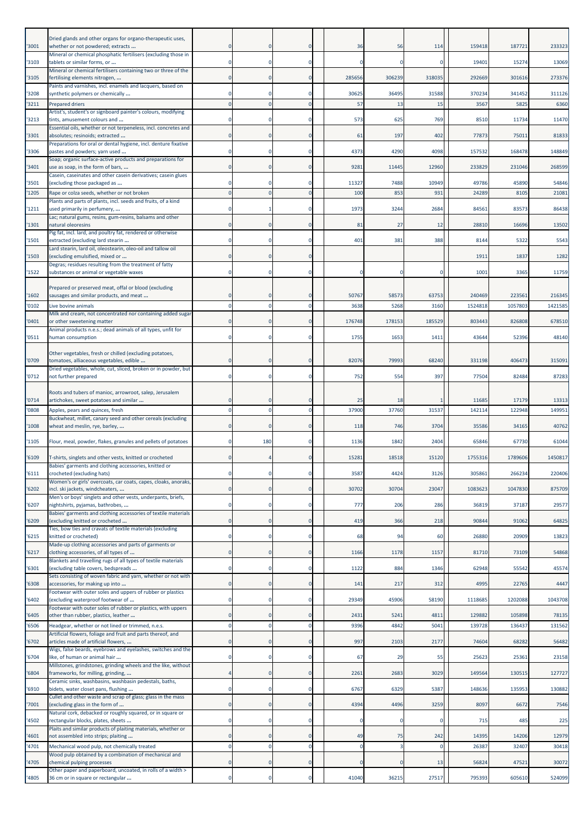| '3001         | Dried glands and other organs for organo-therapeutic uses,<br>whether or not powdered; extracts       |                         | $\mathbf 0$          | $\mathbf 0$             | 36           | 56           | 114          | 159418           | 187721           | 233323          |
|---------------|-------------------------------------------------------------------------------------------------------|-------------------------|----------------------|-------------------------|--------------|--------------|--------------|------------------|------------------|-----------------|
| '3103         | Mineral or chemical phosphatic fertilisers (excluding those in<br>tablets or similar forms, or        |                         |                      | $\Omega$                |              |              | $\Omega$     | 19401            | 15274            | 13069           |
| '3105         | Mineral or chemical fertilisers containing two or three of the<br>fertilising elements nitrogen,      | 0                       | $\Omega$             | 0                       | 285656       | 306239       | 318035       | 292669           | 301616           | 273376          |
| '3208         | Paints and varnishes, incl. enamels and lacquers, based on<br>synthetic polymers or chemically        |                         | $\Omega$             | 0                       | 30625        | 36495        | 31588        | 370234           | 341452           | 311126          |
| 3211          | Prepared driers                                                                                       |                         |                      | $\Omega$                | 57           | 13           | 15           | 3567             | 582              | 6360            |
| '3213         | Artist's, student's or signboard painter's colours, modifying<br>tints, amusement colours and         |                         | $\Omega$             | 0                       | 573          | 625          | 769          | 8510             | 11734            | 11470           |
| '3301         | Essential oils, whether or not terpeneless, incl. concretes and<br>absolutes; resinoids; extracted    | $\Omega$                | $\Omega$             | $\Omega$                | 61           | 197          | 402          | 77873            | 75011            | 81833           |
| '3306         | Preparations for oral or dental hygiene, incl. denture fixative<br>pastes and powders; yarn used      |                         | $\Omega$             | 0                       | 4373         | 4290         | 4098         | 157532           | 168478           | 148849          |
|               | Soap; organic surface-active products and preparations for                                            |                         |                      |                         |              |              |              |                  |                  |                 |
| 3401          | use as soap, in the form of bars,<br>Casein, caseinates and other casein derivatives; casein glues    |                         | $\mathbf 0$          | 0                       | 9281         | 11445        | 12960        | 233829           | 231046           | 268599          |
| '3501<br>1205 | (excluding those packaged as<br>Rape or colza seeds, whether or not broken                            |                         | $\Omega$<br>$\Omega$ | 0<br>$\Omega$           | 11327<br>100 | 7488<br>853  | 10949<br>931 | 49786<br>24289   | 45890<br>8105    | 54846<br>21081  |
|               | Plants and parts of plants, incl. seeds and fruits, of a kind                                         |                         |                      |                         |              |              |              |                  |                  |                 |
| '1211         | used primarily in perfumery,<br>Lac; natural gums, resins, gum-resins, balsams and other              |                         |                      | O                       | 1973         | 3244         | 2684         | 8456             | 83573            | 86438           |
| 1301          | natural oleoresins<br>Pig fat, incl. lard, and poultry fat, rendered or otherwise                     |                         | $\mathbf 0$          | $\mathbf 0$             | 81           | 27           | 12           | 28810            | 16696            | 13502           |
| 1501          | extracted (excluding lard stearin<br>Lard stearin, lard oil, oleostearin, oleo-oil and tallow oil     |                         | $\Omega$             | 0                       | 401          | 381          | 388          | 8144             | 5322             | 5543            |
| '1503         | (excluding emulsified, mixed or                                                                       |                         | $\Omega$             | $\Omega$                |              |              |              | 1911             | 1837             | 1282            |
| 1522          | Degras; residues resulting from the treatment of fatty<br>substances or animal or vegetable waxes     |                         | $^{\circ}$           | 0                       |              |              | $\Omega$     | 1001             | 3365             | 11759           |
|               | Prepared or preserved meat, offal or blood (excluding                                                 |                         |                      |                         |              |              |              |                  |                  |                 |
| 1602          | sausages and similar products, and meat                                                               |                         | 0                    | O                       | 50767        | 58573        | 63753        | 240469           | 223561           | 216345          |
| '0102         | Live bovine animals<br>Milk and cream, not concentrated nor containing added sugar                    |                         |                      | O                       | 3638         | 5268         | 3160         | 1524818          | 1057803          | 1421585         |
| '0401         | or other sweetening matter<br>Animal products n.e.s.; dead animals of all types, unfit for            |                         |                      |                         | 176748       | 178153       | 185529       | 803443           | 826808           | 678510          |
| 0511          | human consumption                                                                                     |                         | $\Omega$             | 0                       | 1755         | 1653         | 1411         | 43644            | 52396            | 48140           |
| '0709         | Other vegetables, fresh or chilled (excluding potatoes,<br>tomatoes, alliaceous vegetables, edible    |                         | $\Omega$             | $\Omega$                | 82076        | 79993        | 68240        | 331198           | 406473           | 315091          |
|               | Dried vegetables, whole, cut, sliced, broken or in powder, but                                        |                         |                      |                         |              |              |              |                  |                  |                 |
| '0712         | not further prepared                                                                                  | $\Omega$                | $\Omega$             | $\mathbf 0$             | 752          | 554          | 397          | 77504            | 82484            | 87283           |
| '0714         | Roots and tubers of manioc, arrowroot, salep, Jerusalem<br>artichokes, sweet potatoes and similar     |                         |                      |                         | 25           | 18           |              | 11685            | 17179            | 13313           |
| 0808          | Apples, pears and quinces, fresh                                                                      |                         | $\Omega$             | $\Omega$                | 37900        | 37760        | 31537        | 14211            | 122948           | 149951          |
| 1008          | Buckwheat, millet, canary seed and other cereals (excluding<br>wheat and meslin, rye, barley,         | 0                       | $\Omega$             | $\mathbf 0$             | 118          | 746          | 3704         | 35586            | 34165            | 40762           |
| '1105         | Flour, meal, powder, flakes, granules and pellets of potatoes                                         | 0                       | 180                  | $\Omega$                | 1136         | 1842         | 2404         | 65846            | 67730            | 61044           |
| '6109         | T-shirts, singlets and other vests, knitted or crocheted                                              |                         |                      |                         | 15281        | 18518        | 15120        | 1755316          | 1789606          | 1450817         |
| '6111         | Babies' garments and clothing accessories, knitted or<br>crocheted (excluding hats)                   |                         | $^{\circ}$           | 0                       | 3587         | 4424         | 3126         | 305861           | 266234           | 220406          |
|               | Women's or girls' overcoats, car coats, capes, cloaks, anoraks,                                       |                         |                      |                         |              |              |              |                  |                  |                 |
| '6202         | incl. ski jackets, windcheaters,<br>Men's or boys' singlets and other vests, underpants, briefs,      | $\overline{0}$          | $\Omega$             | $\mathbf 0$             | 30702        | 30704        | 23047        | 1083623          | 1047830          | 875709          |
| 6207          | nightshirts, pyjamas, bathrobes,<br>Babies' garments and clothing accessories of textile materials    | 0                       | $\Omega$             | 0                       | 777          | 206          | 286          | 36819            | 37187            | 29577           |
| '6209         | (excluding knitted or crocheted<br>Ties, bow ties and cravats of textile materials (excluding         | $\mathbf{0}$            | $\mathbf 0$          | $\mathbf 0$             | 419          | 366          | 218          | 90844            | 91062            | 64825           |
| 6215          | knitted or crocheted)                                                                                 | $\mathbf 0$             | $\mathbf 0$          | $\mathbf 0$             | 68           | 94           | 60           | 26880            | 20909            | 13823           |
| 6217          | Made-up clothing accessories and parts of garments or<br>clothing accessories, of all types of        | $\mathbf{0}$            | $\Omega$             | $\mathbf 0$             | 1166         | 1178         | 1157         | 81710            | 73109            | 54868           |
| '6301         | Blankets and travelling rugs of all types of textile materials<br>(excluding table covers, bedspreads | $\mathbf 0$             | $\mathbf 0$          | 0                       | 1122         | 884          | 1346         | 62948            | 55542            | 45574           |
| 6308          | Sets consisting of woven fabric and yarn, whether or not with<br>accessories, for making up into      | $\mathbf{0}$            | $\overline{0}$       | $\circ$                 | 141          | 217          | 312          | 4995             | 22765            | 4447            |
| 6402          | Footwear with outer soles and uppers of rubber or plastics                                            | 0                       | $\mathbf 0$          | $\mathbf 0$             | 29349        | 45906        | 58190        | 1118685          | 1202088          | 1043708         |
|               | (excluding waterproof footwear of<br>Footwear with outer soles of rubber or plastics, with uppers     |                         |                      |                         |              |              |              |                  |                  |                 |
| 6405<br>6506  | other than rubber, plastics, leather<br>Headgear, whether or not lined or trimmed, n.e.s.             | $\Omega$<br>$\mathbf 0$ | $\Omega$<br>$\Omega$ | $\Omega$<br>$\mathbf 0$ | 2431<br>9396 | 5241<br>4842 | 4811<br>5041 | 129882<br>139728 | 105898<br>136437 | 78135<br>131562 |
| 6702          | Artificial flowers, foliage and fruit and parts thereof, and<br>articles made of artificial flowers,  | 0                       | $\Omega$             | $\mathbf{0}$            | 997          | 2103         | 2177         | 74604            | 68282            | 56482           |
|               | Wigs, false beards, eyebrows and eyelashes, switches and the                                          |                         |                      |                         |              |              |              |                  |                  |                 |
| '6704         | like, of human or animal hair<br>Millstones, grindstones, grinding wheels and the like, without       |                         | $\Omega$             | 0                       | 67           | 29           | 55           | 25623            | 25361            | 23158           |
| 6804          | frameworks, for milling, grinding,<br>Ceramic sinks, washbasins, washbasin pedestals, baths,          |                         | $\overline{0}$       | $\mathbf 0$             | 2261         | 2683         | 3029         | 149564           | 130515           | 127727          |
| 6910          | bidets, water closet pans, flushing<br>Cullet and other waste and scrap of glass; glass in the mass   | $\mathbf 0$             | $\mathbf 0$          | $\mathbf 0$             | 6767         | 6329         | 5387         | 148636           | 135953           | 130882          |
| 7001          | (excluding glass in the form of                                                                       |                         | $\mathbf 0$          | 0                       | 4394         | 4496         | 3259         | 8097             | 6672             | 7546            |
| 4502          | Natural cork, debacked or roughly squared, or in square or<br>rectangular blocks, plates, sheets      | 0                       | $\mathbf 0$          | $\mathbf 0$             | r            | -C           | $\mathbf 0$  | 715              | 485              | 225             |
| 4601          | Plaits and similar products of plaiting materials, whether or<br>not assembled into strips; plaiting  | $\mathbf{0}$            | $\Omega$             | $\mathbf 0$             | 49           | 75           | 242          | 14395            | 14206            | 12979           |
| 4701          | Mechanical wood pulp, not chemically treated                                                          | $\Omega$                | $\Omega$             | $\Omega$                | C            |              | $\mathbf 0$  | 26387            | 32407            | 30418           |
| 4705          | Wood pulp obtained by a combination of mechanical and<br>chemical pulping processes                   | 0                       | $\mathbf 0$          | $\mathbf 0$             | C            | C            | 13           | 56824            | 47521            | 30072           |
| 4805          | Other paper and paperboard, uncoated, in rolls of a width ><br>36 cm or in square or rectangular      | $\mathbf 0$             | $\mathbf 0$          | $\mathbf 0$             | 41040        | 36215        | 27517        | 795393           | 605610           | 524099          |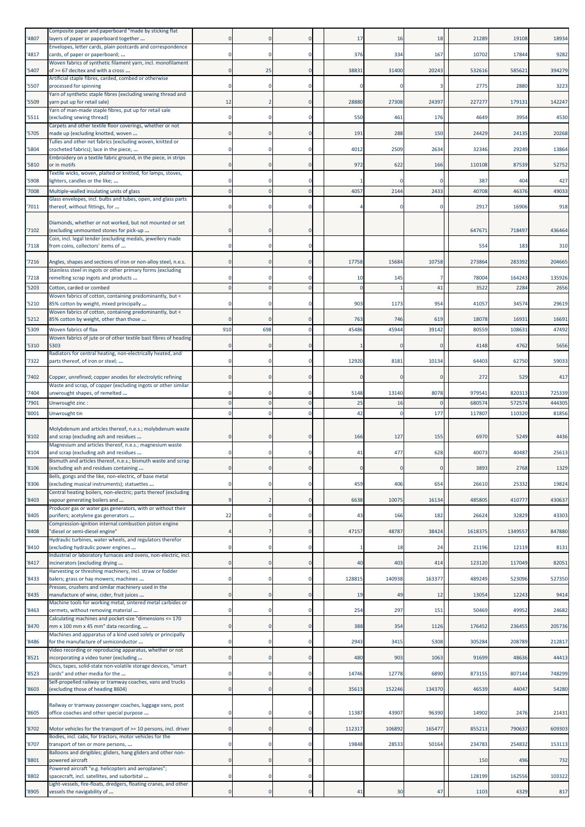| '4807          | Composite paper and paperboard "made by sticking flat<br>layers of paper or paperboard together                                                               |          |              | $\Omega$                      | 17         | 16          | 18     | 21289            | 19108            | 18934            |
|----------------|---------------------------------------------------------------------------------------------------------------------------------------------------------------|----------|--------------|-------------------------------|------------|-------------|--------|------------------|------------------|------------------|
| '4817          | Envelopes, letter cards, plain postcards and correspondence<br>cards, of paper or paperboard;                                                                 |          |              | $\Omega$                      | 376        | 334         | 167    | 10702            | 17844            | 9282             |
| '5407          | Woven fabrics of synthetic filament yarn, incl. monofilament<br>of >= 67 decitex and with a cross                                                             |          | 25           | $\mathbf 0$                   | 38831      | 31400       | 20243  | 532616           | 585621           | 394279           |
| '5507          | Artificial staple fibres, carded, combed or otherwise<br>processed for spinning                                                                               |          |              | 0                             |            |             |        | 2775             | 2880             | 3223             |
| '5509          | Yarn of synthetic staple fibres (excluding sewing thread and<br>yarn put up for retail sale)                                                                  | 12       |              | $\Omega$                      | 28880      | 27308       | 24397  | 227277           | 179131           | 142247           |
| '5511          | Yarn of man-made staple fibres, put up for retail sale<br>(excluding sewing thread)                                                                           |          |              | $\mathbf 0$                   | 550        | 461         | 176    | 4649             | 3954             | 4530             |
| '5705          | Carpets and other textile floor coverings, whether or not<br>made up (excluding knotted, woven                                                                |          |              | $\mathbf 0$                   | 191        | 288         | 150    | 24429            | 24135            | 20268            |
|                | Tulles and other net fabrics (excluding woven, knitted or                                                                                                     |          |              | 0                             | 4012       | 2509        |        |                  | 29249            |                  |
| '5804          | crocheted fabrics); lace in the piece,<br>Embroidery on a textile fabric ground, in the piece, in strips                                                      |          |              |                               |            |             | 2634   | 32346            |                  | 13864            |
| '5810          | or in motifs<br>Textile wicks, woven, plaited or knitted, for lamps, stoves,                                                                                  |          |              | $\mathbf 0$                   | 972        | 622         | 166    | 110108           | 87539            | 52752            |
| '5908<br>'7008 | lighters, candles or the like;<br>Multiple-walled insulating units of glass                                                                                   |          |              | $\mathbf 0$<br>$\overline{0}$ | 4057       | 2144        | 2433   | 387<br>40708     | 404<br>46376     | 427<br>49033     |
| '7011          | Glass envelopes, incl. bulbs and tubes, open, and glass parts<br>thereof, without fittings, for                                                               |          |              | $\mathbf 0$                   |            |             |        | 2917             | 16906            | 918              |
|                | Diamonds, whether or not worked, but not mounted or set                                                                                                       |          |              |                               |            |             |        |                  |                  |                  |
| '7102          | (excluding unmounted stones for pick-up<br>Coin, incl. legal tender (excluding medals, jewellery made                                                         |          |              | $\mathbf 0$                   |            |             |        | 64767            | 718497           | 436464           |
| '7118          | from coins, collectors' items of                                                                                                                              |          |              | $\mathbf 0$                   |            |             |        | 554              | 183              | 310              |
| '7216          | Angles, shapes and sections of iron or non-alloy steel, n.e.s.                                                                                                |          |              | $\mathbf 0$                   | 17758      | 15684       | 10758  | 273864           | 283392           | 204665           |
| '7218          | Stainless steel in ingots or other primary forms (excluding<br>remelting scrap ingots and products                                                            |          |              | 0                             | 10         | 145         |        | 78004            | 164243           | 135926           |
| '5203          | Cotton, carded or combed<br>Woven fabrics of cotton, containing predominantly, but <                                                                          |          |              | $\overline{0}$                |            |             | 41     | 3522             | 2284             | 2656             |
| '5210          | 85% cotton by weight, mixed principally<br>Woven fabrics of cotton, containing predominantly, but <                                                           |          |              | $\mathbf 0$                   | 903        | 1173        | 954    | 41057            | 34574            | 29619            |
| '5212          | 85% cotton by weight, other than those                                                                                                                        |          |              | $\Omega$                      | 763        | 746         | 619    | 18078            | 16931            | 16691            |
| '5309          | Woven fabrics of flax<br>Woven fabrics of jute or of other textile bast fibres of heading                                                                     | 910      | 698          | $\mathbf 0$                   | 45486      | 45944       | 39142  | 80559            | 10863:           | 47492            |
| '5310          | 5303<br>Radiators for central heating, non-electrically heated, and                                                                                           |          |              | $\mathbf 0$                   |            |             |        | 4148             | 4762             | 5656             |
| '7322          | parts thereof, of iron or steel;                                                                                                                              |          |              | $\Omega$                      | 12920      | 8181        | 10134  | 64403            | 62750            | 59033            |
| '7402          | Copper, unrefined; copper anodes for electrolytic refining<br>Waste and scrap, of copper (excluding ingots or other similar                                   |          |              | $\mathbf 0$                   |            | C           | 0      | 272              | 529              | 417              |
| '7404<br>'7901 | unwrought shapes, of remelted<br>Unwrought zinc:                                                                                                              |          |              | $\mathbf 0$<br>$\overline{0}$ | 5148<br>25 | 13140<br>16 | 8078   | 979541<br>680574 | 820313<br>572574 | 725339<br>444305 |
| '8001          | Unwrought tin                                                                                                                                                 |          |              | $\mathbf 0$                   | 42         |             | 177    | 117807           | 110320           | 81856            |
|                |                                                                                                                                                               |          |              |                               |            |             |        |                  |                  |                  |
| '8102          | Molybdenum and articles thereof, n.e.s.; molybdenum waste<br>and scrap (excluding ash and residues<br>Magnesium and articles thereof, n.e.s.; magnesium waste |          |              | $\mathbf 0$                   | 166        | 127         | 155    | 6970             | 5249             | 4436             |
| '8104          | and scrap (excluding ash and residues                                                                                                                         |          |              | $\mathbf 0$                   | 41         | 477         | 628    | 40073            | 40487            | 25613            |
| '8106          | Bismuth and articles thereof, n.e.s.; bismuth waste and scrap<br>(excluding ash and residues containing                                                       |          |              |                               |            |             | U      | 389:             | 2768             | 1329             |
| '8306          | Bells, gongs and the like, non-electric, of base metal<br>(excluding musical instruments); statuettes                                                         |          | $\Omega$     | $\mathbf 0$                   | 459        | 406         | 654    | 26610            | 25332            | 19824            |
| '8403          | Central heating boilers, non-electric; parts thereof (excluding<br>vapour generating boilers and                                                              |          |              | $\mathbf 0$                   | 6638       | 10075       | 16134  | 485805           | 410777           | 430637           |
| '8405          | Producer gas or water gas generators, with or without their<br>purifiers; acetylene gas generators                                                            | 22       |              | $\bf{0}$                      | 43         | 166         | 182    | 26624            | 32829            | 43303            |
| '8408          | Compression-ignition internal combustion piston engine<br>"diesel or semi-diesel engine"                                                                      |          |              | $\mathbf 0$                   | 47157      | 48787       | 38424  | 1618375          | 1349557          | 847880           |
| '8410          | Hydraulic turbines, water wheels, and regulators therefor<br>(excluding hydraulic power engines                                                               |          |              | $\bf{0}$                      |            | 18          | 24     | 21196            | 12119            | 8131             |
| '8417          | ndustrial or laboratory furnaces and ovens, non-electric, incl.<br>incinerators (excluding drying                                                             |          | $\Omega$     | $\mathbf 0$                   | 40         | 403         | 414    | 123120           | 117049           | 82051            |
| '8433          | Harvesting or threshing machinery, incl. straw or fodder<br>balers; grass or hay mowers; machines                                                             |          | $\Omega$     | $\mathbf 0$                   | 128815     | 140938      | 163377 | 489249           | 523096           | 527350           |
| '8435          | Presses, crushers and similar machinery used in the<br>manufacture of wine, cider, fruit juices                                                               |          | $\mathbf{0}$ | $\bf{0}$                      | 19         | 49          | 12     | 13054            | 12243            | 9414             |
| '8463          | Machine tools for working metal, sintered metal carbides or<br>cermets, without removing material                                                             |          |              | $\mathbf 0$                   | 254        | 297         | 151    | 50469            | 49952            | 24682            |
| '8470          | Calculating machines and pocket-size "dimensions <= 170                                                                                                       |          |              | $\mathbf 0$                   | 388        | 354         | 1126   | 176452           | 236455           | 205736           |
|                | mm x 100 mm x 45 mm" data recording,<br>Machines and apparatus of a kind used solely or principally                                                           |          |              |                               |            |             |        |                  |                  |                  |
| '8486          | for the manufacture of semiconductor<br>Video recording or reproducing apparatus, whether or not                                                              |          |              | $\mathbf 0$                   | 2943       | 3415        | 5308   | 305284           | 208789           | 212817           |
| '8521          | incorporating a video tuner (excluding<br>Discs, tapes, solid-state non-volatile storage devices, "smart                                                      |          |              | $\mathbf 0$                   | 480        | 903         | 1063   | 91699            | 48636            | 44413            |
| '8523          | cards" and other media for the<br>Self-propelled railway or tramway coaches, vans and trucks                                                                  |          |              | $\mathbf 0$                   | 14746      | 12778       | 6890   | 873155           | 807144           | 748299           |
| '8603          | (excluding those of heading 8604)                                                                                                                             |          | 0            | $\bf{0}$                      | 35613      | 152246      | 134370 | 46539            | 44047            | 54280            |
| '8605          | Railway or tramway passenger coaches, luggage vans, post<br>office coaches and other special purpose                                                          |          | 0            | $\bf{0}$                      | 11387      | 43907       | 96390  | 14902            | 2476             | 21431            |
| '8702          | Motor vehicles for the transport of >= 10 persons, incl. driver                                                                                               |          |              | $\mathbf 0$                   | 112317     | 106892      | 165477 | 855213           | 790637           | 609303           |
| '8707          | Bodies, incl. cabs, for tractors, motor vehicles for the<br>transport of ten or more persons,                                                                 |          |              | $\mathbf 0$                   | 19848      | 28533       | 50164  | 234783           | 254832           | 153113           |
| '8801          | Balloons and dirigibles; gliders, hang gliders and other non-<br>powered aircraft                                                                             | 0        | $\mathbf{0}$ | $\bf{0}$                      |            |             |        | 150              | 496              | 732              |
| '8802          | Powered aircraft "e.g. helicopters and aeroplanes";<br>spacecraft, incl. satellites, and suborbital                                                           | $\Omega$ | $\Omega$     | $\mathbf 0$                   |            |             |        | 128199           | 162556           | 103322           |
| '8905          | Light-vessels, fire-floats, dredgers, floating cranes, and other<br>vessels the navigability of                                                               |          |              | $\bf{0}$                      | 41         | 30          | 47     | 1103             | 4329             | 817              |
|                |                                                                                                                                                               |          |              |                               |            |             |        |                  |                  |                  |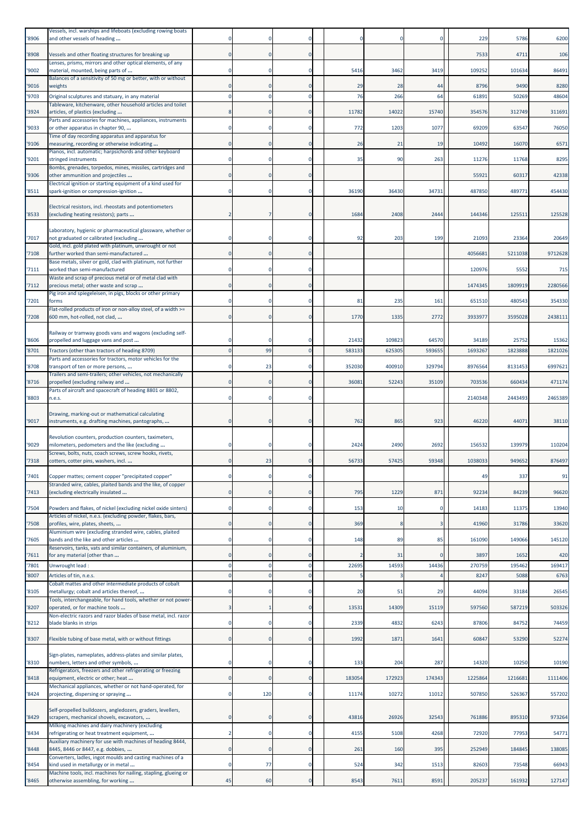| '8906          | Vessels, incl. warships and lifeboats (excluding rowing boats<br>and other vessels of heading                |          |              | 0                |        |             |                   | 229            | 5786           | 6200          |
|----------------|--------------------------------------------------------------------------------------------------------------|----------|--------------|------------------|--------|-------------|-------------------|----------------|----------------|---------------|
| '8908          | Vessels and other floating structures for breaking up                                                        |          |              | $\mathbf 0$      |        |             |                   | 7533           | 4711           | 106           |
| '9002          | Lenses, prisms, mirrors and other optical elements, of any<br>material, mounted, being parts of              |          |              | $\mathbf 0$      | 5416   | 3462        | 3419              | 109252         | 101634         | 86491         |
| '9016          | Balances of a sensitivity of 50 mg or better, with or without<br>weights                                     |          |              | $\mathbf 0$      | 29     | 28          | 44                | 8796           | 9490           | 8280          |
| '9703          | Original sculptures and statuary, in any material                                                            |          |              | $\Omega$         | 76     | 266         | 64                | 61891          | 50269          | 48604         |
| '3924          | Tableware, kitchenware, other household articles and toilet<br>articles, of plastics (excluding              |          |              | $\mathbf 0$      | 11782  | 14022       | 15740             | 354576         | 312749         | 311691        |
| '9033          | Parts and accessories for machines, appliances, instruments<br>or other apparatus in chapter 90,             |          |              | $\mathbf 0$      | 772    | 1203        | 1077              | 69209          | 63547          | 76050         |
| '9106          | Time of day recording apparatus and apparatus for<br>measuring, recording or otherwise indicating            |          |              | $\mathbf 0$      | 26     | 21          | 19                | 10492          | 16070          | 6571          |
| '9201          | Pianos, incl. automatic; harpsichords and other keyboard<br>stringed instruments                             |          |              | $\mathbf 0$      | 35     | 90          | 263               | 11276          | 11768          | 8295          |
| '9306          | Bombs, grenades, torpedos, mines, missiles, cartridges and<br>other ammunition and projectiles               |          |              | $\mathbf 0$      |        |             |                   | 55921          | 6031           | 42338         |
|                | Electrical ignition or starting equipment of a kind used for                                                 |          |              |                  |        |             |                   |                |                |               |
| '8511          | spark-ignition or compression-ignition                                                                       |          |              | 0                | 36190  | 36430       | 34731             | 487850         | 489771         | 454430        |
| '8533          | Electrical resistors, incl. rheostats and potentiometers<br>(excluding heating resistors); parts             |          |              | $\mathbf 0$      | 1684   | 2408        | 2444              | 144346         | 125511         | 125528        |
| '7017          | Laboratory, hygienic or pharmaceutical glassware, whether or<br>not graduated or calibrated (excluding       |          |              | $\Omega$         | 92     | 203         | 199               | 21093          | 23364          | 20649         |
| '7108          | Gold, incl. gold plated with platinum, unwrought or not<br>further worked than semi-manufactured             |          |              | $\mathbf 0$      |        |             |                   | 4056681        | 5211038        | 9712628       |
| 7111           | Base metals, silver or gold, clad with platinum, not further<br>worked than semi-manufactured                |          |              | $\mathbf 0$      |        |             |                   | 120976         | 5552           | 715           |
| '7112          | Waste and scrap of precious metal or of metal clad with<br>precious metal; other waste and scrap             |          |              | $\mathbf 0$      |        |             |                   | 1474345        | 1809919        | 2280566       |
| '7201          | Pig iron and spiegeleisen, in pigs, blocks or other primary<br>forms                                         |          |              | $\mathbf 0$      | 81     | 235         | 161               | 651510         | 480543         | 354330        |
| '7208          | Flat-rolled products of iron or non-alloy steel, of a width >=<br>600 mm, hot-rolled, not clad,              |          |              | $\mathbf 0$      | 1770   | 1335        | 2772              | 3933977        | 3595028        | 2438111       |
|                |                                                                                                              |          |              |                  |        |             |                   |                |                |               |
| '8606          | Railway or tramway goods vans and wagons (excluding self-<br>propelled and luggage vans and post             |          |              | 0                | 21432  | 109823      | 64570             | 34189          | 25752          | 15362         |
| '8701          | Tractors (other than tractors of heading 8709)<br>Parts and accessories for tractors, motor vehicles for the |          | 99           | $\overline{0}$   | 583133 | 625305      | 593655            | 1693267        | 1823888        | 1821026       |
| '8708          | transport of ten or more persons,<br>Trailers and semi-trailers; other vehicles, not mechanically            |          | 23           | $\mathbf 0$      | 352030 | 400910      | 329794            | 8976564        | 8131453        | 6997621       |
| '8716          | propelled (excluding railway and                                                                             |          | $\Omega$     | $\mathbf 0$      | 36081  | 52243       | 35109             | 703536         | 660434         | 471174        |
| '8803          | Parts of aircraft and spacecraft of heading 8801 or 8802,<br>n.e.s.                                          |          |              | 0                |        |             |                   | 2140348        | 2443493        | 2465389       |
| '9017          | Drawing, marking-out or mathematical calculating<br>instruments, e.g. drafting machines, pantographs,        |          |              | $\mathbf 0$      | 762    | 865         | 923               | 46220          | 44071          | 38110         |
| '9029          | Revolution counters, production counters, taximeters,<br>milometers, pedometers and the like (excluding      |          |              | 0                | 2424   | 2490        | 2692              | 156532         | 139979         | 110204        |
| '7318          | Screws, bolts, nuts, coach screws, screw hooks, rivets,<br>cotters, cotter pins, washers, incl.              |          | 23           | $\Omega$         | 56733  | 57425       | 59348             | 1038033        | 949652         | 876497        |
| '7401          | Copper mattes; cement copper "precipitated copper"                                                           |          |              | $\mathbf 0$      |        |             |                   | 49             | 337            | 91            |
| '7413          | Stranded wire, cables, plaited bands and the like, of copper<br>(excluding electrically insulated            |          |              | $\mathbf 0$      | 795    | 1229        | 871               | 92234          | 84239          | 96620         |
| '7504          | Powders and flakes, of nickel (excluding nickel oxide sinters)                                               | 0        | 0            | $\mathbf 0$      | 153    | 10          | 0                 | 14183          | 11375          | 13940         |
| '7508          | Articles of nickel, n.e.s. (excluding powder, flakes, bars,<br>profiles, wire, plates, sheets,               |          | $\Omega$     | $\mathbf 0$      | 369    | Я           | 3                 | 41960          | 31786          | 33620         |
| '7605          | Aluminium wire (excluding stranded wire, cables, plaited<br>bands and the like and other articles            |          |              | $\mathbf 0$      | 148    | 89          | 85                | 161090         | 149066         | 145120        |
|                | Reservoirs, tanks, vats and similar containers, of aluminium,                                                |          |              |                  |        |             |                   |                |                |               |
| '7611<br>'7801 | for any material (other than<br>Unwrought lead :                                                             |          |              | $\mathbf 0$<br>0 | 22695  | 31<br>14593 | $\Omega$<br>14436 | 3897<br>270759 | 1652<br>195462 | 420<br>169417 |
| '8007          | Articles of tin, n.e.s.<br>Cobalt mattes and other intermediate products of cobalt                           |          |              | $\overline{0}$   |        |             |                   | 8247           | 5088           | 6763          |
| '8105          | metallurgy; cobalt and articles thereof,                                                                     |          |              | $\Omega$         | 20     | 51          | 29                | 44094          | 33184          | 26545         |
| '8207          | Tools, interchangeable, for hand tools, whether or not power-<br>operated, or for machine tools              |          |              | $\mathbf 0$      | 13531  | 14309       | 15119             | 597560         | 587219         | 503326        |
| '8212          | Non-electric razors and razor blades of base metal, incl. razor<br>blade blanks in strips                    |          |              | $\mathbf 0$      | 2339   | 4832        | 6243              | 87806          | 84752          | 74459         |
| '8307          | Flexible tubing of base metal, with or without fittings                                                      |          |              | $\mathbf 0$      | 1992   | 1871        | 1641              | 60847          | 53290          | 52274         |
| '8310          | Sign-plates, nameplates, address-plates and similar plates,<br>numbers, letters and other symbols,           |          | $\Omega$     | $\mathbf 0$      | 133    | 204         | 287               | 14320          | 10250          | 10190         |
| '8418          | Refrigerators, freezers and other refrigerating or freezing<br>equipment, electric or other; heat            |          | $\Omega$     | $\mathbf 0$      | 183054 | 172923      | 174343            | 1225864        | 1216681        | 1111406       |
| '8424          | Mechanical appliances, whether or not hand-operated, for<br>projecting, dispersing or spraying               | $\Omega$ | 120          | $\mathbf 0$      | 11174  | 10272       | 11012             | 507850         | 526367         | 557202        |
| '8429          | Self-propelled bulldozers, angledozers, graders, levellers,<br>scrapers, mechanical shovels, excavators,     |          | $\Omega$     | $\mathbf 0$      | 43816  | 26926       | 32543             | 761886         | 895310         | 973264        |
| '8434          | Milking machines and dairy machinery (excluding<br>refrigerating or heat treatment equipment,                |          |              | $\mathbf 0$      | 4155   | 5108        | 4268              | 72920          | 77953          | 54771         |
| '8448          | Auxiliary machinery for use with machines of heading 8444,<br>8445, 8446 or 8447, e.g. dobbies,              | 0        | $\mathbf{0}$ | $\bf{0}$         | 261    | 160         | 395               | 252949         | 184845         | 138085        |
| '8454          | Converters, ladles, ingot moulds and casting machines of a<br>kind used in metallurgy or in metal            | $\Omega$ | 77           | $\mathbf 0$      | 524    | 342         | 1513              | 82603          | 73548          | 66943         |
| '8465          | Machine tools, incl. machines for nailing, stapling, glueing or<br>otherwise assembling, for working         | 45       | 60           | $\bf{0}$         | 8543   | 7611        | 8591              | 205237         | 161932         | 127147        |
|                |                                                                                                              |          |              |                  |        |             |                   |                |                |               |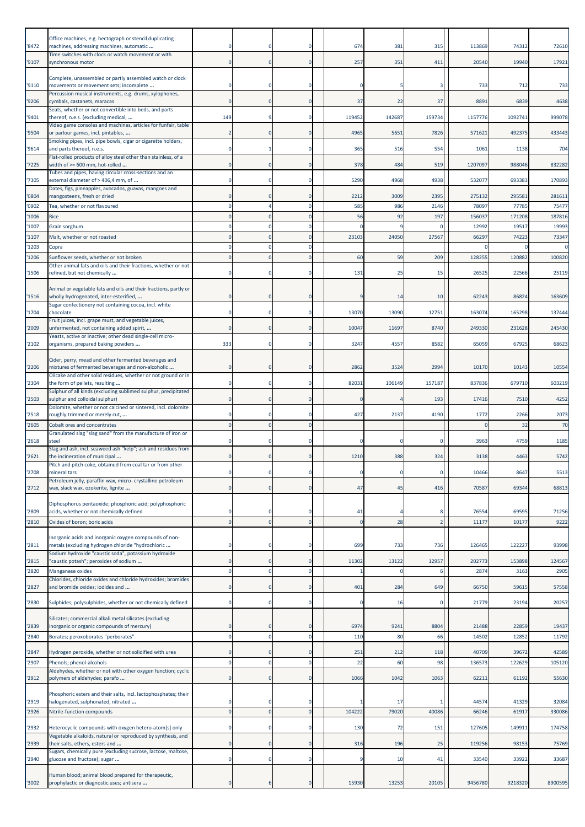| '8472          | Office machines, e.g. hectograph or stencil duplicating<br>machines, addressing machines, automatic<br>Time switches with clock or watch movement or with |                      | $\Omega$                    | $\Omega$                      | 674            | 381       | 315            | 113869          | 74312           | 72610                |
|----------------|-----------------------------------------------------------------------------------------------------------------------------------------------------------|----------------------|-----------------------------|-------------------------------|----------------|-----------|----------------|-----------------|-----------------|----------------------|
| '9107          | synchronous motor                                                                                                                                         |                      | $\mathbf{0}$                | $\Omega$                      | 257            | 351       | 411            | 20540           | 19940           | 17921                |
| '9110          | Complete, unassembled or partly assembled watch or clock<br>movements or movement sets; incomplete                                                        |                      |                             |                               |                |           |                | 733             | 712             | 733                  |
| '9206          | Percussion musical instruments, e.g. drums, xylophones,<br>cymbals, castanets, maracas                                                                    | $\Omega$             | $\mathbf{0}$                | $\mathbf 0$                   | 37             | 22        | 37             | 8891            | 6839            | 4638                 |
| '9401          | Seats, whether or not convertible into beds, and parts<br>thereof, n.e.s. (excluding medical,                                                             | 149                  | q                           | $\Omega$                      | 119452         | 142687    | 159734         | 1157776         | 1092741         | 999078               |
| '9504          | Video game consoles and machines, articles for funfair, table<br>or parlour games, incl. pintables,                                                       |                      | $\Omega$                    | $\Omega$                      | 4965           | 5651      | 7826           | 571621          | 492375          | 433443               |
| '9614          | Smoking pipes, incl. pipe bowls, cigar or cigarette holders,<br>and parts thereof, n.e.s.                                                                 |                      |                             | $\Omega$                      | 365            | 516       | 554            | 1061            | 1138            | 704                  |
|                | Flat-rolled products of alloy steel other than stainless, of a                                                                                            |                      |                             | $\Omega$                      |                |           |                |                 |                 |                      |
| '7225          | width of >= 600 mm, hot-rolled<br>Tubes and pipes, having circular cross-sections and an                                                                  |                      | $\Omega$                    |                               | 378            | 484       | 519            | 1207097         | 988046          | 832282               |
| '7305          | external diameter of > 406,4 mm, of<br>Dates, figs, pineapples, avocados, guavas, mangoes and                                                             |                      |                             | $\Omega$                      | 5290           | 4968      | 4938           | 532077          | 693383          | 170893               |
| '0804          | mangosteens, fresh or dried                                                                                                                               |                      | $\Omega$                    |                               | 2212           | 3009      | 2395           | 275132          | 295581          | 281611               |
| '0902<br>'1006 | Tea, whether or not flavoured<br>Rice                                                                                                                     |                      |                             | $\Omega$                      | 585<br>56      | 986<br>92 | 2146<br>197    | 78097<br>156037 | 77785<br>171208 | 75477<br>187816      |
| '1007          | Grain sorghum                                                                                                                                             |                      |                             |                               |                |           |                | 12992           | 19517           | 19993                |
| '1107<br>'1203 | Malt, whether or not roasted                                                                                                                              |                      |                             | $\Omega$                      | 23103          | 24050     | 27567          | 6629            | 74223           | 73347<br>$\mathbf 0$ |
| '1206          | Copra<br>Sunflower seeds, whether or not broken                                                                                                           |                      |                             | $\Omega$                      | 60             | 59        | 209            | 128255          | 120882          | 100820               |
| '1506          | Other animal fats and oils and their fractions, whether or not<br>refined, but not chemically                                                             |                      |                             | $\Omega$                      | 131            | 25        | 15             | 26525           | 22566           | 25119                |
|                |                                                                                                                                                           |                      |                             |                               |                |           |                |                 |                 |                      |
| '1516          | Animal or vegetable fats and oils and their fractions, partly or<br>wholly hydrogenated, inter-esterified,                                                |                      | $\Omega$                    | $\Omega$                      |                | 14        | 10             | 62243           | 86824           | 163609               |
| '1704          | Sugar confectionery not containing cocoa, incl. white<br>chocolate                                                                                        |                      | $\mathbf 0$                 | $\Omega$                      | 13070          | 13090     | 12751          | 163074          | 165298          | 137444               |
| '2009          | Fruit juices, incl. grape must, and vegetable juices,<br>unfermented, not containing added spirit,                                                        |                      | $\mathbf 0$                 | $\mathbf 0$                   | 10047          | 11697     | 8740           | 249330          | 231628          | 245430               |
|                | Yeasts, active or inactive; other dead single-cell micro-                                                                                                 |                      | $\Omega$                    | $\Omega$                      | 3247           |           | 8582           | 65059           | 67925           | 68623                |
| '2102          | organisms, prepared baking powders                                                                                                                        | 333                  |                             |                               |                | 4557      |                |                 |                 |                      |
| '2206          | Cider, perry, mead and other fermented beverages and<br>mixtures of fermented beverages and non-alcoholic                                                 |                      | $\Omega$                    | $\Omega$                      | 2862           | 3524      | 2994           | 10170           | 10143           | 10554                |
| '2304          | Oilcake and other solid residues, whether or not ground or in<br>the form of pellets, resulting                                                           |                      | $\mathbf 0$                 | $\Omega$                      | 82031          | 106149    | 157187         | 837836          | 679710          | 603219               |
|                | Sulphur of all kinds (excluding sublimed sulphur, precipitated                                                                                            |                      | $\mathbf 0$                 | $\mathbf 0$                   |                |           | 193            | 17416           | 7510            | 4252                 |
| '2503          | sulphur and colloidal sulphur)<br>Dolomite, whether or not calcined or sintered, incl. dolomite                                                           |                      |                             |                               |                |           |                |                 |                 |                      |
| '2518<br>'2605 | roughly trimmed or merely cut,<br>Cobalt ores and concentrates                                                                                            |                      | $\Omega$                    | $\Omega$                      | 427            | 2137      | 4190           | 1772            | 2266<br>32      | 2073<br>70           |
|                | Granulated slag "slag sand" from the manufacture of iron or                                                                                               |                      | $\Omega$                    |                               |                |           |                |                 | 4759            |                      |
| '2618          | steel<br>Slag and ash, incl. seaweed ash "kelp"; ash and residues from                                                                                    |                      |                             |                               |                |           |                | 3963            |                 | 1185                 |
| '2621          | the incineration of municipal<br>Pitch and pitch coke, obtained from coal tar or from other                                                               |                      |                             |                               | 1210           | 388       | 324            | 3138            | 4463            | 5742                 |
| '2708          | mineral tars<br>Petroleum jelly, paraffin wax, micro- crystalline petroleum                                                                               |                      |                             | $\Omega$                      |                | $\Omega$  | 0              | 10466           | 8647            | 5513                 |
| '2712          | wax, slack wax, ozokerite, lignite                                                                                                                        | $\Omega$             | $\Omega$                    | $\mathbf 0$                   | 47             | 45        | 416            | 70587           | 69344           | 68813                |
|                | Diphosphorus pentaoxide; phosphoric acid; polyphosphoric                                                                                                  |                      |                             |                               |                |           |                |                 |                 |                      |
| '2809<br>'2810 | acids, whether or not chemically defined<br>Oxides of boron; boric acids                                                                                  | $\Omega$             | $\Omega$                    | $\Omega$<br>$\mathbf{0}$      | 41<br>$\Omega$ | 28        | $\overline{2}$ | 76554<br>11177  | 69595<br>10177  | 71256<br>9222        |
|                | Inorganic acids and inorganic oxygen compounds of non-                                                                                                    |                      |                             |                               |                |           |                |                 |                 |                      |
| '2811          | metals (excluding hydrogen chloride "hydrochloric                                                                                                         |                      |                             |                               | 699            | 733       | 736            | 126465          | 122227          | 93998                |
| '2815          | Sodium hydroxide "caustic soda", potassium hydroxide<br>'caustic potash"; peroxides of sodium                                                             | $\Omega$             | $\mathbf{0}$                | $\mathbf 0$                   | 11302          | 13122     | 12957          | 202773          | 153898          | 124567               |
| '2820          | Manganese oxides<br>Chlorides, chloride oxides and chloride hydroxides; bromides                                                                          |                      | 0                           | $\mathbf 0$                   |                |           |                | 287             | 3163            | 2905                 |
| '2827          | and bromide oxides; iodides and                                                                                                                           | $\Omega$             | $\Omega$                    | $\mathbf 0$                   | 401            | 284       | 649            | 66750           | 59615           | 57558                |
| '2830          | Sulphides; polysulphides, whether or not chemically defined                                                                                               | $\Omega$             | $\Omega$                    | $\Omega$                      | O              | 16        | r              | 21779           | 23194           | 20257                |
|                | Silicates; commercial alkali metal silicates (excluding                                                                                                   |                      |                             |                               |                |           |                |                 |                 |                      |
| '2839          | inorganic or organic compounds of mercury)                                                                                                                |                      | $\mathbf{0}$                | $\Omega$                      | 6974           | 9241      | 8804           | 21488           | 22859           | 19437                |
| '2840          | Borates; peroxoborates "perborates"                                                                                                                       |                      | 0                           | $\mathbf 0$                   | 110            | 80        | 66             | 14502           | 12852           | 11792                |
| '2847<br>'2907 | Hydrogen peroxide, whether or not solidified with urea<br>Phenols; phenol-alcohols                                                                        | $\Omega$<br>$\Omega$ | $\mathbf{0}$<br>$\mathbf 0$ | $\mathbf 0$<br>$\overline{0}$ | 251<br>22      | 212<br>60 | 118<br>98      | 40709<br>136573 | 39672<br>122629 | 42589<br>105120      |
|                | Aldehydes, whether or not with other oxygen function; cyclic                                                                                              |                      |                             |                               |                |           |                |                 |                 |                      |
| '2912          | polymers of aldehydes; parafo                                                                                                                             | $\Omega$             | $\mathbf{0}$                | $\Omega$                      | 1066           | 1042      | 1063           | 62211           | 61192           | 55630                |
| '2919          | Phosphoric esters and their salts, incl. lactophosphates; their<br>halogenated, sulphonated, nitrated                                                     |                      | $\mathbf 0$                 | $\Omega$                      |                | 17        |                | 44574           | 41329           | 32084                |
| '2926          | Nitrile-function compounds                                                                                                                                | $\Omega$             | $\Omega$                    | $\mathbf{0}$                  | 104222         | 79020     | 40086          | 66246           | 61917           | 330086               |
| '2932          | Heterocyclic compounds with oxygen hetero-atom[s] only                                                                                                    |                      | $\Omega$                    | $\Omega$                      | 130            | 72        | 151            | 127605          | 149911          | 174758               |
| '2939          | Vegetable alkaloids, natural or reproduced by synthesis, and<br>their salts, ethers, esters and                                                           | $\Omega$             | $\mathbf{0}$                | $\mathbf 0$                   | 316            | 196       | 25             | 119256          | 98153           | 75769                |
| '2940          | Sugars, chemically pure (excluding sucrose, lactose, maltose,<br>glucose and fructose); sugar                                                             | $\Omega$             | $\mathbf 0$                 | $\mathbf 0$                   | q              | 10        | 41             | 33540           | 33922           | 33687                |
|                | Human blood; animal blood prepared for therapeutic,                                                                                                       |                      |                             |                               |                |           |                |                 |                 |                      |
| '3002          | prophylactic or diagnostic uses; antisera                                                                                                                 |                      |                             |                               | 15930          | 13253     | 20105          | 9456780         | 9218320         | 8900595              |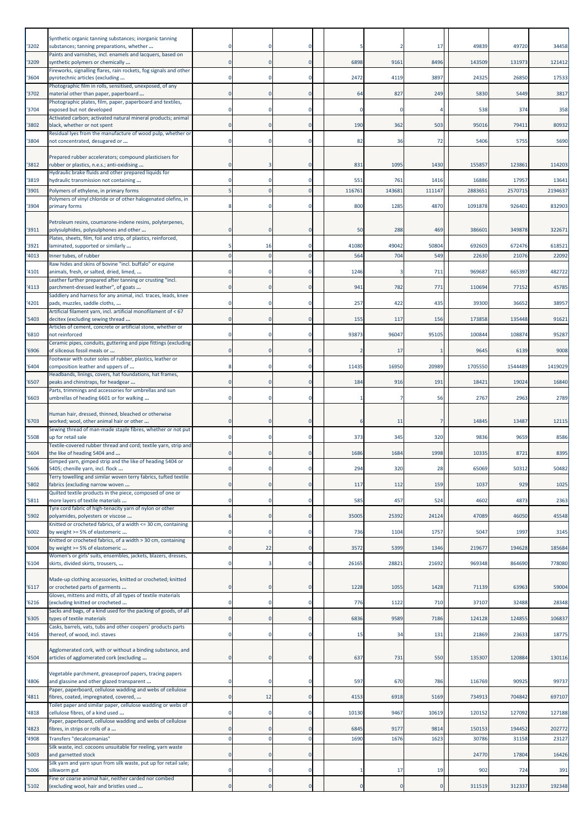|               | Synthetic organic tanning substances; inorganic tanning                                                 |             |                |              |               |               |                |                 |                 |                  |
|---------------|---------------------------------------------------------------------------------------------------------|-------------|----------------|--------------|---------------|---------------|----------------|-----------------|-----------------|------------------|
| '3202         | substances; tanning preparations, whether<br>Paints and varnishes, incl. enamels and lacquers, based on |             |                | 0            |               |               | 17             | 49839           | 49720           | 34458            |
| '3209         | synthetic polymers or chemically                                                                        |             |                | O            | 6898          | 9161          | 8496           | 143509          | 131973          | 121412           |
| 3604          | Fireworks, signalling flares, rain rockets, fog signals and other<br>pyrotechnic articles (excluding    |             | $\Omega$       | $\Omega$     | 2472          | 4119          | 3897           | 24325           | 26850           | 17533            |
| '3702         | Photographic film in rolls, sensitised, unexposed, of any<br>material other than paper, paperboard      |             | $\Omega$       | 0            | 64            | 827           | 249            | 5830            | 5449            | 3817             |
| '3704         | Photographic plates, film, paper, paperboard and textiles,<br>exposed but not developed                 |             |                |              |               |               |                | 538             | 374             | 358              |
|               | Activated carbon; activated natural mineral products; animal                                            |             |                |              |               |               |                |                 |                 |                  |
| 3802          | black, whether or not spent<br>Residual lyes from the manufacture of wood pulp, whether or              |             | $\Omega$       | $\mathbf 0$  | 190           | 362           | 503            | 95016           | 79411           | 80932            |
| '3804         | not concentrated, desugared or                                                                          |             | $\Omega$       | $\mathbf{0}$ | 82            | 36            | 72             | 5406            | 5755            | 5690             |
| '3812         | Prepared rubber accelerators; compound plasticisers for<br>rubber or plastics, n.e.s.; anti-oxidising   |             |                |              | 831           | 1095          | 1430           | 155857          | 123861          | 114203           |
|               | Hydraulic brake fluids and other prepared liquids for                                                   |             |                |              |               |               |                |                 |                 |                  |
| '3819<br>3901 | hydraulic transmission not containing<br>Polymers of ethylene, in primary forms                         |             | $\Omega$       | $\mathbf 0$  | 551<br>116761 | 761<br>143681 | 1416<br>111147 | 16886<br>288365 | 17957<br>257071 | 13641<br>2194637 |
| '3904         | Polymers of vinyl chloride or of other halogenated olefins, in<br>primary forms                         |             | $\Omega$       | $\Omega$     | 800           | 1285          | 4870           | 1091878         | 926401          | 832903           |
|               |                                                                                                         |             |                |              |               |               |                |                 |                 |                  |
| '3911         | Petroleum resins, coumarone-indene resins, polyterpenes,<br>polysulphides, polysulphones and other      |             | $\Omega$       | O            | 50            | 288           | 469            | 386601          | 349878          | 322671           |
| '3921         | Plates, sheets, film, foil and strip, of plastics, reinforced,<br>laminated, supported or similarly     |             | 16             | 0            | 41080         | 49042         | 50804          | 692603          | 672476          | 618521           |
| 4013          | Inner tubes, of rubber                                                                                  |             | $\Omega$       | $\Omega$     | 564           | 704           | 549            | 22630           | 21076           | 22092            |
| 4101          | Raw hides and skins of bovine "incl. buffalo" or equine<br>animals, fresh, or salted, dried, limed,     |             | $^{\circ}$     | 0            | 1246          |               | 711            | 969687          | 665397          | 482722           |
| 4113          | Leather further prepared after tanning or crusting "incl.<br>parchment-dressed leather", of goats       |             | $\Omega$       | $\mathbf 0$  | 941           | 782           | 771            | 110694          | 77152           | 45785            |
| 4201          | Saddlery and harness for any animal, incl. traces, leads, knee                                          |             | $\Omega$       | O            | 257           | 422           | 435            | 39300           | 36652           | 38957            |
|               | pads, muzzles, saddle cloths,<br>Artificial filament yarn, incl. artificial monofilament of < 67        |             |                |              |               |               |                |                 |                 |                  |
| 5403          | decitex (excluding sewing thread<br>Articles of cement, concrete or artificial stone, whether or        |             | $\mathbf 0$    | $\mathbf 0$  | 155           | 117           | 156            | 173858          | 135448          | 91621            |
| 6810          | not reinforced<br>Ceramic pipes, conduits, guttering and pipe fittings (excluding                       |             |                | 0            | 93873         | 96047         | 95105          | 100844          | 108874          | 95287            |
| '6906         | of siliceous fossil meals or                                                                            |             | $\Omega$       | $\Omega$     |               | 17            |                | 9645            | 6139            | 9008             |
| 6404          | Footwear with outer soles of rubber, plastics, leather or<br>composition leather and uppers of          |             | $^{\circ}$     | 0            | 11435         | 16950         | 20989          | 1705550         | 1544489         | 1419029          |
| 6507          | Headbands, linings, covers, hat foundations, hat frames,<br>peaks and chinstraps, for headgear          |             |                | 0            | 184           | 916           | 191            | 18421           | 19024           | 16840            |
| '6603         | Parts, trimmings and accessories for umbrellas and sun<br>umbrellas of heading 6601 or for walking      |             |                | O            |               |               | 56             | 2767            | 2963            | 2789             |
|               | Human hair, dressed, thinned, bleached or otherwise                                                     |             |                |              |               |               |                |                 |                 |                  |
| '6703         | worked; wool, other animal hair or other                                                                |             | $\Omega$       | $\Omega$     |               | 11            |                | 14845           | 13487           | 12115            |
| '5508         | Sewing thread of man-made staple fibres, whether or not put<br>up for retail sale                       |             | $\Omega$       | 0            | 373           | 345           | 320            | 9836            | 9659            | 8586             |
| '5604         | Textile-covered rubber thread and cord; textile yarn, strip and<br>the like of heading 5404 and         |             | $\Omega$       | 0            | 1686          | 1684          | 1998           | 10335           | 8721            | 8395             |
| 5606          | Gimped yarn, gimped strip and the like of heading 5404 or<br>5405; chenille yarn, incl. flock           |             |                |              | 294           | 320           | 28             | 65069           | 50312           | 50482            |
|               | Terry towelling and similar woven terry fabrics, tufted textile                                         |             |                |              |               |               |                |                 |                 |                  |
| 5802          | fabrics (excluding narrow woven<br>Quilted textile products in the piece, composed of one or            | 0           | $\mathbf 0$    | $\mathbf 0$  | 117           | 112           | 159            | 1037            | 929             | 1025             |
| 5811          | more layers of textile materials<br>Tyre cord fabric of high-tenacity yarn of nylon or other            |             | $\Omega$       | 0            | 585           | 457           | 524            | 4602            | 4873            | 2363             |
| '5902         | polyamides, polyesters or viscose<br>Knitted or crocheted fabrics, of a width <= 30 cm, containing      |             |                |              | 35005         | 25392         | 24124          | 47089           | 46050           | 45548            |
| '6002         | by weight >= 5% of elastomeric                                                                          | 0           | $\mathbf 0$    | $\mathbf 0$  | 736           | 1104          | 1757           | 5047            | 1997            | 3145             |
| 6004          | Knitted or crocheted fabrics, of a width > 30 cm, containing<br>by weight >= 5% of elastomeric          | $\mathbf 0$ | 22             | $\mathbf 0$  | 3572          | 5399          | 1346           | 219677          | 194628          | 185684           |
| '6104         | Women's or girls' suits, ensembles, jackets, blazers, dresses,<br>skirts, divided skirts, trousers,     |             | 3              | 0            | 26165         | 28821         | 21692          | 969348          | 864690          | 778080           |
|               | Made-up clothing accessories, knitted or crocheted; knitted                                             |             |                |              |               |               |                |                 |                 |                  |
| '6117         | or crocheted parts of garments<br>Gloves, mittens and mitts, of all types of textile materials          |             | $\mathbf 0$    | 0            | 1228          | 1055          | 1428           | 71139           | 63963           | 59004            |
| '6216         | (excluding knitted or crocheted                                                                         | 0           | $\mathbf 0$    | $\mathbf 0$  | 776           | 1122          | 710            | 37107           | 32488           | 28348            |
| 6305          | Sacks and bags, of a kind used for the packing of goods, of all<br>types of textile materials           | $\mathbf 0$ | $\Omega$       | $\mathbf 0$  | 6836          | 9589          | 7186           | 124128          | 124855          | 106837           |
| 4416          | Casks, barrels, vats, tubs and other coopers' products parts<br>thereof, of wood, incl. staves          |             | $^{\circ}$     | 0            | 15            | 34            | 131            | 21869           | 23633           | 18775            |
|               |                                                                                                         |             |                |              |               |               |                |                 |                 |                  |
| '4504         | Agglomerated cork, with or without a binding substance, and<br>articles of agglomerated cork (excluding |             | $\mathbf 0$    | $\circ$      | 637           | 731           | 550            | 135307          | 120884          | 130116           |
|               | Vegetable parchment, greaseproof papers, tracing papers                                                 |             |                |              |               |               |                |                 |                 |                  |
| 4806          | and glassine and other glazed transparent<br>Paper, paperboard, cellulose wadding and webs of cellulose |             | $^{\circ}$     | 0            | 597           | 670           | 786            | 116769          | 90925           | 99737            |
| 4811          | fibres, coated, impregnated, covered,<br>Toilet paper and similar paper, cellulose wadding or webs of   | 0           | 12             | $\mathbf 0$  | 4153          | 6918          | 5169           | 734913          | 704842          | 697107           |
| 4818          | cellulose fibres, of a kind used                                                                        | $\Omega$    | $\Omega$       | $\mathbf 0$  | 10130         | 9467          | 10619          | 120152          | 127092          | 127188           |
| 4823          | Paper, paperboard, cellulose wadding and webs of cellulose<br>fibres, in strips or rolls of a           |             |                | 0            | 6845          | 9177          | 9814           | 150153          | 194452          | 202772           |
| 4908          | Transfers "decalcomanias"<br>Silk waste, incl. cocoons unsuitable for reeling, yarn waste               |             | $\overline{0}$ | $\mathbf 0$  | 1690          | 1676          | 1623           | 30786           | 31158           | 23127            |
| 5003          | and garnetted stock                                                                                     | $\mathbf 0$ | $\mathbf 0$    | $\circ$      |               |               |                | 24770           | 17804           | 16426            |
| 5006          | Silk yarn and yarn spun from silk waste, put up for retail sale;<br>silkworm gut                        | 0           | $^{\circ}$     | $\mathbf 0$  |               | 17            | 19             | 902             | 724             | 391              |
| '5102         | Fine or coarse animal hair, neither carded nor combed<br>(excluding wool, hair and bristles used        | $\pmb{0}$   | $\bf{0}$       | $\mathbf 0$  | $\Omega$      | $\Omega$      | $\mathbf 0$    | 311519          | 312337          | 192348           |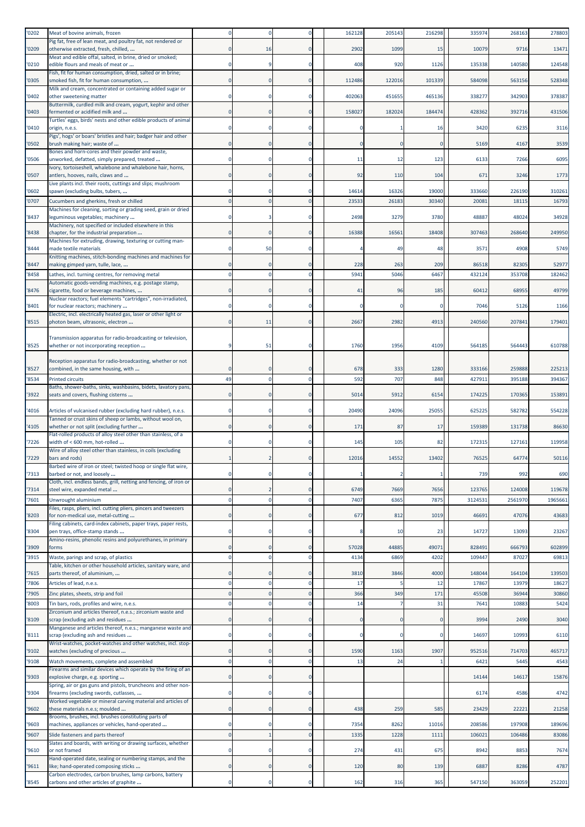| '0202          | Meat of bovine animals, frozen                                                                                             |                               |                      |                      | 162128       | 205143       | 216298       | 33597            | 268163            | 278803            |
|----------------|----------------------------------------------------------------------------------------------------------------------------|-------------------------------|----------------------|----------------------|--------------|--------------|--------------|------------------|-------------------|-------------------|
| '0209          | Pig fat, free of lean meat, and poultry fat, not rendered or<br>otherwise extracted, fresh, chilled,                       |                               | 16                   | $\Omega$             | 2902         | 1099         | 15           | 10079            | 9716              | 13471             |
| '0210          | Meat and edible offal, salted, in brine, dried or smoked;<br>edible flours and meals of meat or                            | $^{\circ}$                    |                      | $\Omega$             | 408          | 920          | 1126         | 135338           | 140580            | 124548            |
|                | Fish, fit for human consumption, dried, salted or in brine;                                                                |                               |                      |                      |              |              |              |                  |                   |                   |
| '0305          | smoked fish, fit for human consumption,<br>Milk and cream, concentrated or containing added sugar or                       | $\Omega$                      | $\Omega$             | $\Omega$             | 112486       | 122016       | 101339       | 584098           | 563156            | 528348            |
| '0402          | other sweetening matter<br>Buttermilk, curdled milk and cream, yogurt, kephir and other                                    | $\Omega$                      |                      | $\Omega$             | 402063       | 451655       | 465136       | 338277           | 342903            | 378387            |
| '0403          | fermented or acidified milk and                                                                                            | $\mathbf 0$                   | $\Omega$             | $\Omega$             | 158027       | 182024       | 184474       | 428362           | 392716            | 431506            |
| '0410          | Turtles' eggs, birds' nests and other edible products of animal<br>origin, n.e.s.                                          | $^{\circ}$                    | $\Omega$             | 0                    |              |              | 16           | 3420             | 6235              | 3116              |
| '0502          | Pigs', hogs' or boars' bristles and hair; badger hair and other<br>brush making hair; waste of                             | $\Omega$                      |                      | $\Omega$             | $\Omega$     |              | $\Omega$     | 5169             | 4167              | 3539              |
|                | Bones and horn-cores and their powder and waste,                                                                           |                               |                      |                      |              |              |              |                  |                   |                   |
| '0506          | unworked, defatted, simply prepared, treated<br>Ivory, tortoiseshell, whalebone and whalebone hair, horns,                 | $^{\circ}$                    | 0                    | $\Omega$             | 11           | 12           | 123          | 613              | 7266              | 6095              |
| '0507          | antlers, hooves, nails, claws and                                                                                          | $\Omega$                      | $\Omega$             | $\Omega$             | 92           | 110          | 104          | 67 <sup>2</sup>  | 3246              | 1773              |
| '0602          | Live plants incl. their roots, cuttings and slips; mushroom<br>spawn (excluding bulbs, tubers,                             |                               |                      |                      | 14614        | 16326        | 19000        | 333660           | 226190            | 310261            |
| '0707          | Cucumbers and gherkins, fresh or chilled<br>Machines for cleaning, sorting or grading seed, grain or dried                 | $\Omega$                      | $\Omega$             | $\Omega$             | 23533        | 26183        | 30340        | 2008             | 1811              | 16793             |
| '8437          | leguminous vegetables; machinery                                                                                           | $\Omega$                      | 3                    | $\Omega$             | 2498         | 3279         | 3780         | 48887            | 48024             | 34928             |
| '8438          | Machinery, not specified or included elsewhere in this<br>chapter, for the industrial preparation                          | $\Omega$                      |                      | $\Omega$             | 16388        | 16561        | 18408        | 307463           | 268640            | 249950            |
| '8444          | Machines for extruding, drawing, texturing or cutting man-<br>made textile materials                                       | $^{\circ}$                    | 50                   | 0                    |              | 49           | 48           | 357              | 4908              | 5749              |
|                | Knitting machines, stitch-bonding machines and machines for                                                                |                               |                      |                      |              |              |              |                  |                   |                   |
| '8447<br>'8458 | making gimped yarn, tulle, lace,<br>Lathes, incl. turning centres, for removing metal                                      | $\Omega$<br>$\Omega$          | $\Omega$             | $\Omega$<br>$\Omega$ | 228<br>5941  | 263<br>5046  | 209<br>6467  | 86518<br>432124  | 82305<br>353708   | 52977<br>182462   |
|                | Automatic goods-vending machines, e.g. postage stamp,                                                                      |                               |                      |                      |              |              |              |                  |                   |                   |
| '8476          | cigarette, food or beverage machines,<br>Nuclear reactors; fuel elements "cartridges", non-irradiated,                     | $\Omega$                      |                      | $\Omega$             | 41           | 96           | 185          | 60412            | 68955             | 49799             |
| '8401          | for nuclear reactors; machinery<br>Electric, incl. electrically heated gas, laser or other light or                        | $^{\circ}$                    |                      | $\Omega$             |              |              |              | 7046             | 5126              | 1166              |
| '8515          | photon beam, ultrasonic, electron                                                                                          | $\mathbf 0$                   | 11                   | $\mathbf 0$          | 2667         | 2982         | 4913         | 240560           | 207841            | 179401            |
|                | Transmission apparatus for radio-broadcasting or television,                                                               |                               |                      |                      |              |              |              |                  |                   |                   |
| '8525          | whether or not incorporating reception                                                                                     | ٠q                            | 51                   | 0                    | 1760         | 1956         | 4109         | 564185           | 564443            | 610788            |
|                | Reception apparatus for radio-broadcasting, whether or not                                                                 |                               |                      |                      |              |              |              |                  |                   |                   |
| '8527<br>'8534 | combined, in the same housing, with<br><b>Printed circuits</b>                                                             | $\Omega$<br>49                | $\Omega$             | $\Omega$             | 678<br>592   | 333<br>707   | 1280<br>848  | 333166<br>42791  | 259888<br>395188  | 225213<br>394367  |
|                | Baths, shower-baths, sinks, washbasins, bidets, lavatory pans                                                              |                               |                      |                      |              |              |              |                  |                   |                   |
| '3922          | seats and covers, flushing cisterns                                                                                        | $\mathbf 0$                   | $\Omega$             | $\Omega$             | 5014         | 5912         | 6154         | 174225           | 170365            | 153891            |
| '4016          | Articles of vulcanised rubber (excluding hard rubber), n.e.s.<br>Tanned or crust skins of sheep or lambs, without wool on, | $^{\circ}$                    | 0                    | $\Omega$             | 20490        | 24096        | 25055        | 625225           | 582782            | 554228            |
| '4105          | whether or not split (excluding further<br>Flat-rolled products of alloy steel other than stainless, of a                  |                               |                      | $\Omega$             | 171          | 87           | 17           | 159389           | 131738            | 86630             |
| '7226          | width of < 600 mm, hot-rolled                                                                                              | $\Omega$                      | 0                    | $\Omega$             | 145          | 105          | 82           | 172315           | 127161            | 119958            |
| '7229          | Wire of alloy steel other than stainless, in coils (excluding<br>bars and rods)                                            |                               |                      |                      | 12016        | 14552        | 13402        | 7652             | 64774             | 50116             |
| '7313          | Barbed wire of iron or steel; twisted hoop or single flat wire,<br>barbed or not, and loosely                              |                               |                      | $\Omega$             |              |              |              | 739              | 992               | 690               |
|                | Cloth, incl. endless bands, grill, netting and fencing, of iron or                                                         |                               |                      |                      |              |              |              |                  |                   |                   |
| '7314<br>'7601 | steel wire, expanded metal<br>Unwrought aluminium                                                                          | $\mathbf 0$<br>$\Omega$       | $\Omega$             | $\Omega$<br>$\Omega$ | 6749<br>7407 | 7669<br>6365 | 7656<br>7875 | 123765<br>312453 | 124008<br>2561970 | 119678<br>1965661 |
|                | Files, rasps, pliers, incl. cutting pliers, pincers and tweezers                                                           |                               |                      |                      |              |              |              |                  |                   |                   |
| '8203          | for non-medical use, metal-cutting<br>Filing cabinets, card-index cabinets, paper trays, paper rests,                      | $\mathbf 0$                   |                      | 0                    | 677          | 812          | 1019         | 46691            | 47076             | 43683             |
| '8304          | pen trays, office-stamp stands<br>Amino-resins, phenolic resins and polyurethanes, in primary                              | $\mathbf 0$                   | $\mathbf 0$          | 0                    | Я            | 10           | 23           | 14727            | 13093             | 23267             |
| '3909          | forms                                                                                                                      | $\mathbf 0$                   |                      | $\mathbf{0}$         | 57028        | 44885        | 49071        | 828491           | 666793            | 602899            |
| '3915          | Waste, parings and scrap, of plastics<br>Table, kitchen or other household articles, sanitary ware, and                    | $\Omega$                      | $\Omega$             | $\Omega$             | 4134         | 6869         | 4202         | 109447           | 87027             | 69813             |
| '7615          | parts thereof, of aluminium,                                                                                               | $\Omega$                      |                      | $\Omega$             | 3810         | 3846         | 4000         | 148044           | 164104            | 139503            |
| 7806<br>'7905  | Articles of lead, n.e.s.<br>Zinc plates, sheets, strip and foil                                                            | $\Omega$<br>$\overline{0}$    | $\Omega$<br>$\Omega$ | $\mathbf{0}$         | 17<br>366    | 349          | 12<br>171    | 17867<br>45508   | 13979<br>36944    | 18627<br>30860    |
| '8003          | Tin bars, rods, profiles and wire, n.e.s.                                                                                  | $\mathbf 0$                   | $\Omega$             | $\Omega$             | 14           |              | 31           | 764              | 10883             | 5424              |
| '8109          | Zirconium and articles thereof, n.e.s.; zirconium waste and<br>scrap (excluding ash and residues                           | $\mathbf 0$                   | $\mathbf 0$          | $\mathbf{0}$         | $\Omega$     |              | $\Omega$     | 3994             | 2490              | 3040              |
|                | Manganese and articles thereof, n.e.s.; manganese waste and                                                                |                               |                      |                      |              |              |              |                  |                   |                   |
| '8111          | scrap (excluding ash and residues<br>Wrist-watches, pocket-watches and other watches, incl. stop-                          | $\mathbf 0$                   | $\Omega$             | $\mathbf 0$          | $\Omega$     |              | $\Omega$     | 14697            | 10993             | 6110              |
| '9102<br>'9108 | watches (excluding of precious                                                                                             | $\mathbf 0$<br>$\overline{0}$ | $\mathbf 0$          | 0<br>$\mathbf{0}$    | 1590<br>13   | 1163<br>24   | 1907         | 952516<br>642:   | 714703<br>5445    | 465717<br>4543    |
|                | Watch movements, complete and assembled<br>Firearms and similar devices which operate by the firing of an                  |                               |                      |                      |              |              |              |                  |                   |                   |
| '9303          | explosive charge, e.g. sporting<br>Spring, air or gas guns and pistols, truncheons and other non-                          | $\mathbf 0$                   |                      | $\mathbf{0}$         |              |              |              | 14144            | 14617             | 15876             |
| '9304          | firearms (excluding swords, cutlasses,                                                                                     | $^{\circ}$                    |                      | $\Omega$             |              |              |              | 6174             | 4586              | 4742              |
| '9602          | Worked vegetable or mineral carving material and articles of<br>these materials n.e.s; moulded                             | $\mathbf 0$                   | $\Omega$             | $\Omega$             | 438          | 259          | 585          | 23429            | 22221             | 21258             |
| '9603          | Brooms, brushes, incl. brushes constituting parts of<br>machines, appliances or vehicles, hand-operated                    | $^{\circ}$                    |                      | $\Omega$             | 7354         | 8262         | 11016        | 208586           | 197908            | 189696            |
| '9607          | Slide fasteners and parts thereof                                                                                          | $\overline{0}$                |                      | $\mathbf{0}$         | 1335         | 1228         | 1111         | 10602            | 106486            | 83086             |
| '9610          | Slates and boards, with writing or drawing surfaces, whether<br>or not framed                                              | $\Omega$                      |                      | $\mathbf 0$          | 274          | 431          | 675          | 8942             | 8853              | 7674              |
| '9611          | Hand-operated date, sealing or numbering stamps, and the<br>like; hand-operated composing sticks                           | $\mathbf 0$                   | $\Omega$             | $\circ$              | 120          | 80           | 139          | 6887             | 8286              | 4787              |
|                | Carbon electrodes, carbon brushes, lamp carbons, battery                                                                   |                               |                      |                      |              |              |              |                  |                   |                   |
| '8545          | carbons and other articles of graphite                                                                                     | $^{\circ}$                    | $\mathbf 0$          | $\mathbf 0$          | 162          | 316          | 365          | 547150           | 363059            | 252201            |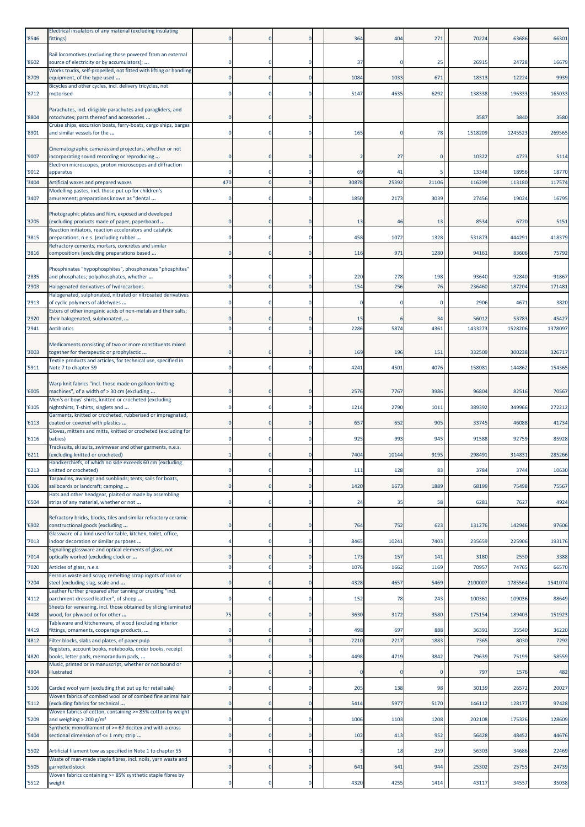| '8546 | Electrical insulators of any material (excluding insulating<br>fittings)                                                                                         |              |                |             | 364   | 404   | 271         | 70224   | 63686   | 66301   |
|-------|------------------------------------------------------------------------------------------------------------------------------------------------------------------|--------------|----------------|-------------|-------|-------|-------------|---------|---------|---------|
| '8602 | Rail locomotives (excluding those powered from an external<br>source of electricity or by accumulators);                                                         |              |                |             | 37    |       | 25          | 26915   | 24728   | 16679   |
| '8709 | Works trucks, self-propelled, not fitted with lifting or handling                                                                                                | $\mathbf{0}$ | $\Omega$       | $\mathbf 0$ | 1084  | 1033  | 671         | 18313   | 12224   | 9939    |
|       | equipment, of the type used<br>Bicycles and other cycles, incl. delivery tricycles, not                                                                          |              |                |             |       |       |             |         |         |         |
| '8712 | motorised                                                                                                                                                        | $\Omega$     | $\Omega$       | $\Omega$    | 5147  | 4635  | 6292        | 138338  | 196333  | 165033  |
| '8804 | Parachutes, incl. dirigible parachutes and paragliders, and<br>rotochutes; parts thereof and accessories                                                         |              | $\Omega$       | O           |       |       |             | 3587    | 3840    | 3580    |
| 8901  | Cruise ships, excursion boats, ferry-boats, cargo ships, barges<br>and similar vessels for the                                                                   |              | $\Omega$       | 0           | 165   |       | 78          | 1518209 | 1245523 | 269565  |
|       |                                                                                                                                                                  |              |                |             |       |       |             |         |         |         |
| '9007 | Cinematographic cameras and projectors, whether or not<br>incorporating sound recording or reproducing                                                           |              |                |             |       | 27    |             | 10322   | 4723    | 5114    |
| '9012 | Electron microscopes, proton microscopes and diffraction<br>apparatus                                                                                            | 0            | $\Omega$       | 0           | 69    | 41    |             | 13348   | 18956   | 18770   |
| '3404 | Artificial waxes and prepared waxes                                                                                                                              | 470          |                | $\Omega$    | 30878 | 25392 | 21106       | 116299  | 113180  | 117574  |
| '3407 | Modelling pastes, incl. those put up for children's<br>amusement; preparations known as "dental                                                                  |              | $\Omega$       | 0           | 1850  | 2173  | 3039        | 27456   | 19024   | 16795   |
| '3705 | Photographic plates and film, exposed and developed<br>(excluding products made of paper, paperboard                                                             |              | $\Omega$       | 0           | 13    | 46    | 13          | 8534    | 6720    | 5151    |
| '3815 | Reaction initiators, reaction accelerators and catalytic                                                                                                         | 0            | $^{\circ}$     | 0           | 458   | 1072  | 1328        | 531873  | 444291  | 418379  |
|       | preparations, n.e.s. (excluding rubber<br>Refractory cements, mortars, concretes and similar                                                                     |              |                |             |       |       |             |         |         |         |
| '3816 | compositions (excluding preparations based                                                                                                                       | $\Omega$     | $\Omega$       | $\Omega$    | 116   | 971   | 1280        | 9416:   | 83606   | 75792   |
| '2835 | Phosphinates "hypophosphites", phosphonates "phosphites"<br>and phosphates; polyphosphates, whether                                                              |              | $\Omega$       | 0           | 220   | 278   | 198         | 93640   | 92840   | 91867   |
| 2903  | Halogenated derivatives of hydrocarbons                                                                                                                          |              | $\Omega$       | $\Omega$    | 154   | 256   | 76          | 236460  | 187204  | 171481  |
| '2913 | Halogenated, sulphonated, nitrated or nitrosated derivatives<br>of cyclic polymers of aldehydes                                                                  |              | $\Omega$       | 0           |       |       | $\mathbf 0$ | 2906    | 4671    | 3820    |
| '2920 | Esters of other inorganic acids of non-metals and their salts;<br>their halogenated, sulphonated,                                                                |              | $\Omega$       | 0           | 15    |       | 34          | 56012   | 53783   | 45427   |
| '2941 | <b>Antibiotics</b>                                                                                                                                               |              | $\Omega$       | $\Omega$    | 2286  | 5874  | 4361        | 1433273 | 1528206 | 1378097 |
| 3003  | Medicaments consisting of two or more constituents mixed<br>together for therapeutic or prophylactic                                                             |              | $\Omega$       | 0           | 169   | 196   | 151         | 332509  | 300238  | 326717  |
|       | Textile products and articles, for technical use, specified in                                                                                                   |              |                |             |       |       |             |         |         |         |
| '5911 | Note 7 to chapter 59                                                                                                                                             |              |                | $\Omega$    | 4241  | 4501  | 4076        | 158081  | 144862  | 154365  |
| '6005 | Warp knit fabrics "incl. those made on galloon knitting<br>machines", of a width of > 30 cm (excluding<br>Men's or boys' shirts, knitted or crocheted (excluding |              | $\Omega$       | $\Omega$    | 2576  | 7767  | 3986        | 96804   | 82516   | 70567   |
| 6105  | nightshirts, T-shirts, singlets and                                                                                                                              |              | $^{\circ}$     | 0           | 1214  | 2790  | 1011        | 389392  | 349966  | 272212  |
| 6113  | Garments, knitted or crocheted, rubberised or impregnated,<br>coated or covered with plastics                                                                    |              | $\mathbf 0$    | $\mathbf 0$ | 657   | 652   | 905         | 33745   | 46088   | 41734   |
| '6116 | Gloves, mittens and mitts, knitted or crocheted (excluding for<br>babies)                                                                                        |              |                | 0           | 925   | 993   | 945         | 91588   | 92759   | 85928   |
| 6211  | Tracksuits, ski suits, swimwear and other garments, n.e.s.<br>(excluding knitted or crocheted)                                                                   | -1           | $\mathbf 0$    | $\mathbf 0$ | 7404  | 10144 | 9195        | 298491  | 314831  | 285266  |
| '6213 | Handkerchiefs, of which no side exceeds 60 cm (excluding<br>knitted or crocheted)                                                                                |              |                |             | 111   | 128   | 83          | 3784    | 3744    | 10630   |
| '6306 | Tarpaulins, awnings and sunblinds; tents; sails for boats,<br>sailboards or landcraft; camping                                                                   |              | $\mathbf 0$    | $\circ$     | 1420  | 1673  | 1889        | 68199   | 75498   | 75567   |
| 6504  | Hats and other headgear, plaited or made by assembling<br>strips of any material, whether or not                                                                 | $\mathbf 0$  | $\mathbf 0$    | $\mathbf 0$ | 24    | 35    | 58          | 6281    | 7627    | 4924    |
|       | Refractory bricks, blocks, tiles and similar refractory ceramic                                                                                                  |              |                |             |       |       |             |         |         |         |
| 6902  | constructional goods (excluding<br>Glassware of a kind used for table, kitchen, toilet, office,                                                                  | 0            | $\overline{0}$ | $\mathbf 0$ | 764   | 752   | 623         | 131276  | 142946  | 97606   |
| '7013 | indoor decoration or similar purposes<br>Signalling glassware and optical elements of glass, not                                                                 |              | $^{\circ}$     | $\mathbf 0$ | 8465  | 10241 | 7403        | 235659  | 225906  | 193176  |
| '7014 | optically worked (excluding clock or                                                                                                                             |              |                | 0           | 173   | 157   | 141         | 3180    | 2550    | 3388    |
| '7020 | Articles of glass, n.e.s.<br>Ferrous waste and scrap; remelting scrap ingots of iron or                                                                          | $\mathbf 0$  | $\mathbf 0$    | $\mathbf 0$ | 1076  | 1662  | 1169        | 7095    | 74765   | 66570   |
| '7204 | steel (excluding slag, scale and<br>Leather further prepared after tanning or crusting "incl.                                                                    | $\Omega$     | $\Omega$       | $\mathbf 0$ | 4328  | 4657  | 5469        | 2100007 | 1785564 | 1541074 |
| 4112  | parchment-dressed leather", of sheep<br>Sheets for veneering, incl. those obtained by slicing laminated                                                          | 0            | $^{\circ}$     | 0           | 152   | 78    | 243         | 100361  | 109036  | 88649   |
| 4408  | wood, for plywood or for other<br>Tableware and kitchenware, of wood (excluding interior                                                                         | 75           | $\mathbf 0$    | $\mathbf 0$ | 3630  | 3172  | 3580        | 175154  | 189403  | 151923  |
| '4419 | fittings, ornaments, cooperage products,                                                                                                                         | $\mathbf 0$  | $\Omega$       | $\mathbf 0$ | 498   | 697   | 888         | 36391   | 35540   | 36220   |
| 4812  | Filter blocks, slabs and plates, of paper pulp<br>Registers, account books, notebooks, order books, receipt                                                      | $\Omega$     | $\Omega$       | $\mathbf 0$ | 2210  | 2217  | 1883        | 7365    | 8030    | 7292    |
| 4820  | books, letter pads, memorandum pads,<br>Music, printed or in manuscript, whether or not bound or                                                                 | $\Omega$     | $\Omega$       | $\Omega$    | 4498  | 4719  | 3842        | 79639   | 75199   | 58559   |
| 4904  | illustrated                                                                                                                                                      | $\mathbf{0}$ | $\mathbf 0$    | $\mathbf 0$ |       |       | $\mathbf 0$ | 797     | 1576    | 482     |
| 5106  | Carded wool yarn (excluding that put up for retail sale)                                                                                                         |              | $^{\circ}$     | 0           | 205   | 138   | 98          | 30139   | 26572   | 20027   |
| '5112 | Woven fabrics of combed wool or of combed fine animal hair<br>(excluding fabrics for technical                                                                   |              | $\Omega$       | $\Omega$    | 5414  | 5977  | 5170        | 146112  | 128177  | 97428   |
| 5209  | Woven fabrics of cotton, containing >= 85% cotton by weight<br>and weighing $> 200$ g/m <sup>2</sup>                                                             | $\mathbf 0$  | $^{\circ}$     | 0           | 1006  | 1103  | 1208        | 202108  | 175326  | 128609  |
| 5404  | Synthetic monofilament of >= 67 decitex and with a cross<br>sectional dimension of <= 1 mm; strip                                                                | $\mathbf 0$  | $\mathbf 0$    | $\mathbf 0$ | 102   | 413   | 952         | 56428   | 48452   | 44676   |
| '5502 | Artificial filament tow as specified in Note 1 to chapter 55                                                                                                     |              | $\Omega$       | 0           |       | 18    | 259         | 56303   | 34686   | 22469   |
| 5505  | Waste of man-made staple fibres, incl. noils, yarn waste and<br>garnetted stock                                                                                  | 0            | $\overline{0}$ | $\mathbf 0$ | 641   | 641   | 944         | 25302   | 25755   | 24739   |
| '5512 | Woven fabrics containing >= 85% synthetic staple fibres by<br>weight                                                                                             | 0            | $\mathbf 0$    | $\mathbf 0$ | 4320  | 4255  | 1414        | 43117   | 34557   | 35038   |
|       |                                                                                                                                                                  |              |                |             |       |       |             |         |         |         |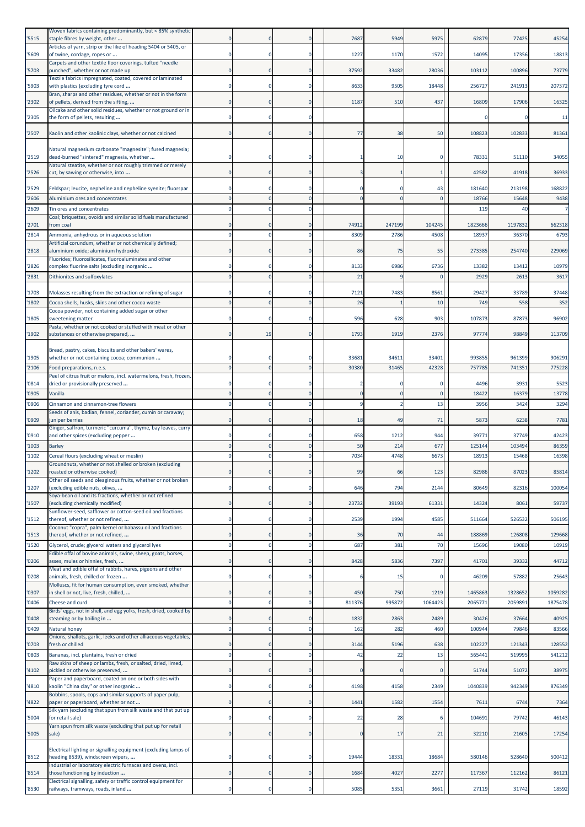| '5515          | Woven fabrics containing predominantly, but < 85% synthetic<br>staple fibres by weight, other                      |          |              |                      | 7687           | 5949           | 5975           | 62879            | 77425            | 45254            |
|----------------|--------------------------------------------------------------------------------------------------------------------|----------|--------------|----------------------|----------------|----------------|----------------|------------------|------------------|------------------|
|                | Articles of yarn, strip or the like of heading 5404 or 5405, or                                                    |          | 0            | $\Omega$             | 1227           | 1170           |                | 14095            | 17356            | 18813            |
| '5609          | of twine, cordage, ropes or<br>Carpets and other textile floor coverings, tufted "needle                           |          |              |                      |                |                | 1572           |                  |                  |                  |
| '5703          | punched", whether or not made up<br>Textile fabrics impregnated, coated, covered or laminated                      |          | $\Omega$     | $\Omega$             | 37592          | 33482          | 28036          | 103112           | 100896           | 73779            |
| '5903          | with plastics (excluding tyre cord<br>Bran, sharps and other residues, whether or not in the form                  |          |              | O                    | 8633           | 9505           | 18448          | 256727           | 241913           | 207372           |
| '2302          | of pellets, derived from the sifting,                                                                              |          | $\mathbf 0$  | $\Omega$             | 1187           | 510            | 437            | 16809            | 17906            | 16325            |
| '2305          | Oilcake and other solid residues, whether or not ground or in<br>the form of pellets, resulting                    |          | $\mathbf 0$  | $\Omega$             |                |                |                |                  |                  | 11               |
| '2507          | Kaolin and other kaolinic clays, whether or not calcined                                                           | $\Omega$ | $\Omega$     | $\mathbf{0}$         | 77             | 38             | 50             | 108823           | 102833           | 81361            |
|                | Natural magnesium carbonate "magnesite"; fused magnesia;                                                           |          |              |                      |                |                |                |                  |                  |                  |
| '2519          | dead-burned "sintered" magnesia, whether                                                                           |          |              | O                    |                | 10             |                | 78331            | 51110            | 34055            |
| '2526          | Natural steatite, whether or not roughly trimmed or merely<br>cut, by sawing or otherwise, into                    |          | $\mathbf 0$  | $\Omega$             |                |                |                | 42582            | 41918            | 36933            |
| '2529          | Feldspar; leucite, nepheline and nepheline syenite; fluorspar                                                      |          |              | $\Omega$             |                |                | 43             | 181640           | 213198           | 168822           |
| '2606          | Aluminium ores and concentrates                                                                                    |          |              | $\Omega$             |                |                |                | 18766            | 15648            | 9438             |
| '2609          | Tin ores and concentrates<br>Coal; briquettes, ovoids and similar solid fuels manufactured                         |          |              | $\Omega$             |                |                |                | 119              | 4 <sub>0</sub>   | $\overline{7}$   |
| '2701          | from coal                                                                                                          |          | $\Omega$     | $\Omega$             | 74912          | 247199         | 104245         | 1823666          | 1197832          | 662318           |
| '2814          | Ammonia, anhydrous or in aqueous solution<br>Artificial corundum, whether or not chemically defined;               |          |              | $\Omega$             | 8309           | 2786           | 4508           | 18937            | 36370            | 6793             |
| '2818          | aluminium oxide; aluminium hydroxide                                                                               |          |              | $\Omega$             | 86             | 75             | 55             | 273385           | 254740           | 229069           |
| '2826          | Fluorides; fluorosilicates, fluoroaluminates and other<br>complex fluorine salts (excluding inorganic              |          |              |                      | 8133           | 6986           | 6736           | 13382            | 13412            | 10979            |
| '2831          | Dithionites and sulfoxylates                                                                                       |          |              | $\Omega$             | 21             |                |                | 2929             | 2613             | 3617             |
| '1703          | Molasses resulting from the extraction or refining of sugar                                                        |          |              | $\Omega$             | 7121           | 7483           | 8561           | 29427            | 33789            | 37448            |
| '1802          | Cocoa shells, husks, skins and other cocoa waste                                                                   |          |              | $\Omega$             | 26             |                | 10             | 749              | 558              | 352              |
| '1805          | Cocoa powder, not containing added sugar or other<br>sweetening matter                                             |          | $\mathbf 0$  |                      | 596            | 628            | 903            | 107873           | 87873            | 96902            |
|                | Pasta, whether or not cooked or stuffed with meat or other                                                         |          |              |                      |                |                |                |                  |                  |                  |
| '1902          | substances or otherwise prepared,                                                                                  | $\Omega$ | 19           | $\mathbf 0$          | 1793           | 1919           | 2376           | 9777             | 98849            | 113709           |
|                | Bread, pastry, cakes, biscuits and other bakers' wares,                                                            |          |              |                      |                |                |                |                  |                  |                  |
| '1905<br>'2106 | whether or not containing cocoa; communion<br>Food preparations, n.e.s.                                            |          | $\Omega$     | $\Omega$             | 33681<br>30380 | 34611<br>31465 | 33401<br>42328 | 993855<br>757785 | 961399<br>741351 | 906291<br>775228 |
|                | Peel of citrus fruit or melons, incl. watermelons, fresh, frozen,                                                  |          |              |                      |                |                |                |                  |                  |                  |
| '0814          | dried or provisionally preserved                                                                                   |          |              | $\Omega$<br>$\Omega$ | $\sqrt{ }$     | -C<br>£        |                | 4496             | 3931             | 5523             |
| '0905<br>'0906 | Vanilla<br>Cinnamon and cinnamon-tree flowers                                                                      |          |              | $\Omega$             |                |                | $\Omega$<br>13 | 18422<br>3956    | 16379<br>3424    | 13778<br>3294    |
|                | Seeds of anis, badian, fennel, coriander, cumin or caraway;                                                        |          |              |                      |                |                |                |                  |                  |                  |
| '0909          | juniper berries<br>Ginger, saffron, turmeric "curcuma", thyme, bay leaves, curry                                   |          | $\mathbf{0}$ | $\Omega$             | 18             | 49             | 71             | 5873             | 6238             | 7781             |
| '0910          | and other spices (excluding pepper                                                                                 |          |              | $\Omega$             | 658            | 1212           | 944            | 39771            | 37749            | 42423            |
| '1003          | <b>Barley</b>                                                                                                      |          |              | $\Omega$             | 50             | 214            | 677            | 125144           | 103494           | 86359            |
| '1102          | Cereal flours (excluding wheat or meslin)<br>Groundnuts, whether or not shelled or broken (excluding               |          |              | $\Omega$             | 7034           | 4748           | 6673           | 18913            | 15468            | 16398            |
| '1202          | roasted or otherwise cooked)                                                                                       |          | 0            | 0                    | 99             | 66             | 123            | 82986            | 87023            | 85814            |
| '1207          | Other oil seeds and oleaginous fruits, whether or not broken<br>(excluding edible nuts, olives,                    |          | $\mathbf 0$  | $\mathbf 0$          | 646            | 794            | 2144           | 80649            | 82316            | 100054           |
| '1507          | Soya-bean oil and its fractions, whether or not refined<br>(excluding chemically modified)                         |          |              | $\mathbf 0$          | 23732          | 39193          | 61331          | 14324            | 8061             | 59737            |
|                | Sunflower-seed, safflower or cotton-seed oil and fractions                                                         |          |              |                      |                |                |                |                  |                  |                  |
| '1512          | thereof, whether or not refined,<br>Coconut "copra", palm kernel or babassu oil and fractions                      |          | $\mathbf 0$  | $\Omega$             | 2539           | 1994           | 4585           | 511664           | 526532           | 506195           |
| '1513          | thereof, whether or not refined,                                                                                   |          | $\mathbf 0$  | $\overline{0}$       | 36             | 70             | 44             | 188869           | 126808           | 129668           |
| '1520          | Glycerol, crude; glycerol waters and glycerol lyes<br>Edible offal of bovine animals, swine, sheep, goats, horses, |          | $\Omega$     | $\Omega$             | 687            | 381            | 70             | 15696            | 19080            | 10919            |
| '0206          | asses, mules or hinnies, fresh,<br>Meat and edible offal of rabbits, hares, pigeons and other                      | $\Omega$ | $\mathbf 0$  | $\mathbf 0$          | 8428           | 5836           | 7397           | 41701            | 39332            | 44712            |
| '0208          | animals, fresh, chilled or frozen                                                                                  | $\Omega$ | $\Omega$     | $\Omega$             |                | 15             | C              | 46209            | 57882            | 25643            |
| '0307          | Molluscs, fit for human consumption, even smoked, whether<br>in shell or not, live, fresh, chilled,                |          | 0            | $\Omega$             | 450            | 750            | 1219           | 1465863          | 1328652          | 1059282          |
| '0406          | Cheese and curd                                                                                                    | $\Omega$ | $\Omega$     | $\mathbf{0}$         | 811376         | 995872         | 1064423        | 206577           | 2059891          | 1875478          |
| '0408          | Birds' eggs, not in shell, and egg yolks, fresh, dried, cooked by<br>steaming or by boiling in                     |          | $\mathbf 0$  | $\mathbf 0$          | 1832           | 2863           | 2489           | 30426            | 37664            | 40925            |
| '0409          | Natural honey                                                                                                      | $\Omega$ | $\mathbf 0$  | $\mathbf 0$          | 162            | 282            | 460            | 100944           | 79846            | 83566            |
|                | Onions, shallots, garlic, leeks and other alliaceous vegetables,                                                   |          |              |                      |                |                |                |                  |                  |                  |
| '0703<br>'0803 | fresh or chilled<br>Bananas, incl. plantains, fresh or dried                                                       |          | $\Omega$     | $\Omega$<br>$\Omega$ | 3144<br>42     | 5196<br>22     | 638<br>13      | 102227<br>56544  | 121343<br>51999  | 128552<br>541212 |
|                | Raw skins of sheep or lambs, fresh, or salted, dried, limed,                                                       |          |              |                      |                |                |                |                  |                  |                  |
| '4102          | pickled or otherwise preserved,<br>Paper and paperboard, coated on one or both sides with                          |          | $\mathbf 0$  | $\mathbf 0$          |                | $\epsilon$     | $\Omega$       | 51744            | 51072            | 38975            |
| '4810          | kaolin "China clay" or other inorganic                                                                             |          |              | 0                    | 4198           | 4158           | 2349           | 1040839          | 942349           | 876349           |
| '4822          | Bobbins, spools, cops and similar supports of paper pulp,<br>paper or paperboard, whether or not                   | $\Omega$ | $\mathbf 0$  | $\mathbf 0$          | 1441           | 1582           | 1554           | 7611             | 6744             | 7364             |
| '5004          | Silk yarn (excluding that spun from silk waste and that put up<br>for retail sale)                                 | $\Omega$ | $\Omega$     | $\mathbf 0$          | 22             | 28             |                | 104691           | 79742            | 46143            |
|                | Yarn spun from silk waste (excluding that put up for retail                                                        |          |              |                      |                |                |                |                  |                  |                  |
| '5005          | sale)                                                                                                              |          | $\mathbf 0$  | $\mathbf 0$          |                | 17             | 21             | 32210            | 21605            | 17254            |
| '8512          | Electrical lighting or signalling equipment (excluding lamps of<br>heading 8539), windscreen wipers,               |          | $\mathbf 0$  | $\Omega$             | 19444          | 18331          | 18684          | 580146           | 528640           | 500412           |
| '8514          | Industrial or laboratory electric furnaces and ovens, incl.<br>those functioning by induction                      | $\Omega$ | 0            | $\mathbf 0$          | 1684           | 4027           | 2277           | 117367           | 112162           | 86121            |
|                | Electrical signalling, safety or traffic control equipment for                                                     |          |              |                      |                |                |                |                  |                  |                  |
| '8530          | railways, tramways, roads, inland                                                                                  | $\Omega$ | $\mathbf 0$  | $\Omega$             | 5085           | 5351           | 3661           | 27119            | 31742            | 18592            |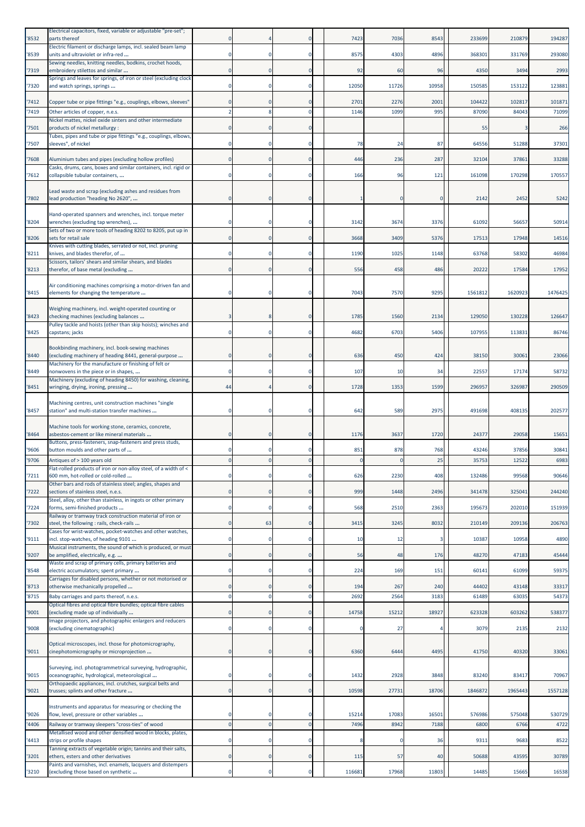| '8532 | Electrical capacitors, fixed, variable or adjustable "pre-set";<br>parts thereof                                |          |             |              | 7423   | 7036        | 8543  | 233699  | 210879  | 194287  |
|-------|-----------------------------------------------------------------------------------------------------------------|----------|-------------|--------------|--------|-------------|-------|---------|---------|---------|
| '8539 | Electric filament or discharge lamps, incl. sealed beam lamp<br>units and ultraviolet or infra-red              |          | $\Omega$    | 0            | 8575   | 4303        | 4896  | 368301  | 331769  | 293080  |
| '7319 | Sewing needles, knitting needles, bodkins, crochet hoods,<br>embroidery stilettos and similar                   |          | $\Omega$    | $\Omega$     | 92     | 60          | 96    | 4350    | 3494    | 2993    |
| '7320 | Springs and leaves for springs, of iron or steel (excluding clock<br>and watch springs, springs                 |          |             |              | 12050  | 11726       | 10958 | 150585  | 153122  | 123881  |
| '7412 | Copper tube or pipe fittings "e.g., couplings, elbows, sleeves'                                                 |          | $\Omega$    | $\mathbf 0$  | 2701   | 2276        | 2001  | 104422  | 102817  | 101871  |
| '7419 | Other articles of copper, n.e.s.                                                                                |          |             | O            | 1146   | 1099        | 995   | 87090   | 84043   | 71099   |
| '7501 | Nickel mattes, nickel oxide sinters and other intermediate<br>products of nickel metallurgy :                   |          | $\Omega$    | O            |        |             |       | 55      |         | 266     |
| '7507 | Tubes, pipes and tube or pipe fittings "e.g., couplings, elbows,<br>sleeves", of nickel                         |          | $^{\circ}$  | 0            | 78     | 24          | 87    | 64556   | 51288   | 37301   |
| '7608 | Aluminium tubes and pipes (excluding hollow profiles)                                                           |          | $\Omega$    | $\Omega$     | 446    | 236         | 287   | 32104   | 37861   | 33288   |
| '7612 | Casks, drums, cans, boxes and similar containers, incl. rigid or<br>collapsible tubular containers,             |          | $\Omega$    | 0            | 166    | 96          | 121   | 161098  | 170298  | 170557  |
| '7802 | Lead waste and scrap (excluding ashes and residues from<br>lead production "heading No 2620",                   |          | $\Omega$    | O            |        |             |       | 2142    | 2452    | 5242    |
|       | Hand-operated spanners and wrenches, incl. torque meter                                                         |          |             |              |        |             |       |         |         |         |
| '8204 | wrenches (excluding tap wrenches),<br>Sets of two or more tools of heading 8202 to 8205, put up in              |          | $\Omega$    | 0            | 3142   | 3674        | 3376  | 61092   | 56657   | 50914   |
| '8206 | sets for retail sale<br>Knives with cutting blades, serrated or not, incl. pruning                              |          | $\Omega$    | 0            | 3668   | 3409        | 5376  | 17513   | 17948   | 14516   |
| '8211 | knives, and blades therefor, of<br>Scissors, tailors' shears and similar shears, and blades                     |          | $\Omega$    | O            | 1190   | 1025        | 1148  | 63768   | 58302   | 46984   |
| '8213 | therefor, of base metal (excluding                                                                              |          | $\Omega$    | O            | 556    | 458         | 486   | 20222   | 17584   | 17952   |
| '8415 | Air conditioning machines comprising a motor-driven fan and<br>elements for changing the temperature            |          | $\Omega$    |              | 7043   | <b>7570</b> | 9295  | 1561812 | 1620923 | 1476425 |
| '8423 | Weighing machinery, incl. weight-operated counting or<br>checking machines (excluding balances                  |          |             | O            | 1785   | 1560        | 2134  | 129050  | 130228  | 126647  |
| '8425 | Pulley tackle and hoists (other than skip hoists); winches and<br>capstans; jacks                               |          | $\Omega$    | O            | 4682   | 6703        | 5406  | 107955  | 113831  | 86746   |
| '8440 | Bookbinding machinery, incl. book-sewing machines<br>(excluding machinery of heading 8441, general-purpose      |          | 0           | 0            | 636    | 450         | 424   | 38150   | 30061   | 23066   |
| '8449 | Machinery for the manufacture or finishing of felt or<br>nonwovens in the piece or in shapes,                   |          | $\Omega$    | 0            | 107    | 10          | 34    | 22557   | 17174   | 58732   |
| '8451 | Machinery (excluding of heading 8450) for washing, cleaning<br>wringing, drying, ironing, pressing              | 44       |             | O            | 1728   | 1353        | 1599  | 296957  | 326987  | 290509  |
|       | Machining centres, unit construction machines "single                                                           |          |             |              |        |             |       |         |         |         |
| '8457 | station" and multi-station transfer machines                                                                    |          | $\Omega$    |              | 642    | 589         | 2975  | 491698  | 408135  | 202577  |
| '8464 | Machine tools for working stone, ceramics, concrete,<br>asbestos-cement or like mineral materials               |          | $\Omega$    | O            | 1176   | 3637        | 1720  | 24377   | 29058   | 15651   |
| '9606 | Buttons, press-fasteners, snap-fasteners and press studs,<br>button moulds and other parts of                   |          | $^{\circ}$  | 0            | 851    | 878         | 768   | 43246   | 37856   | 30841   |
| '9706 | Antiques of > 100 years old                                                                                     |          |             |              |        |             | 25    | 35753   | 12522   | 6983    |
| '7211 | lat-rolled products of iron or non-alloy steel, of a width o<br>600 mm, hot-rolled or cold-rolled               |          |             | O            | 626    | 2230        | 408   | 132486  | 99568   | 90646   |
| '7222 | Other bars and rods of stainless steel; angles, shapes and<br>sections of stainless steel, n.e.s.               | $\Omega$ | $\Omega$    | $\Omega$     | 999    | 1448        | 2496  | 341478  | 325041  | 244240  |
| 7224  | Steel, alloy, other than stainless, in ingots or other primary<br>forms, semi-finished products                 |          | $^{\circ}$  | 0            | 568    | 2510        | 2363  | 195673  | 202010  | 151939  |
| 7302  | Railway or tramway track construction material of iron or<br>steel, the following : rails, check-rails          |          | 63          | $\mathbf 0$  | 3415   | 3245        | 8032  | 210149  | 209136  | 206763  |
| '9111 | Cases for wrist-watches, pocket-watches and other watches,<br>incl. stop-watches, of heading 9101               |          | $\Omega$    | 0            | 10     | 12          |       | 10387   | 10958   | 4890    |
| '9207 | Musical instruments, the sound of which is produced, or must<br>be amplified, electrically, e.g.                |          | $\mathbf 0$ | $\mathbf 0$  | 56     | 48          | 176   | 48270   | 47183   | 45444   |
| '8548 | Waste and scrap of primary cells, primary batteries and<br>electric accumulators; spent primary                 |          | $^{\circ}$  | 0            | 224    | 169         | 151   | 60141   | 61099   | 59375   |
| '8713 | Carriages for disabled persons, whether or not motorised or<br>otherwise mechanically propelled                 |          |             | $\Omega$     | 194    | 267         | 240   | 44402   | 43148   | 33317   |
| '8715 | Baby carriages and parts thereof, n.e.s.                                                                        |          | $\Omega$    | $\mathbf 0$  | 2692   | 2564        | 3183  | 61489   | 63035   | 54373   |
| '9001 | Optical fibres and optical fibre bundles; optical fibre cables<br>(excluding made up of individually            | $\Omega$ | $\Omega$    | $\mathbf{0}$ | 14758  | 15212       | 18927 | 623328  | 603262  | 538377  |
| '9008 | Image projectors, and photographic enlargers and reducers<br>(excluding cinematographic)                        |          | $^{\circ}$  | 0            |        | 27          |       | 3079    | 2135    | 2132    |
| '9011 | Optical microscopes, incl. those for photomicrography,<br>cinephotomicrography or microprojection               |          | $\mathbf 0$ | 0            | 6360   | 6444        | 4495  | 41750   | 40320   | 33061   |
| '9015 | Surveying, incl. photogrammetrical surveying, hydrographic,<br>oceanographic, hydrological, meteorological      |          | $^{\circ}$  |              | 1432   | 2928        | 3848  | 83240   | 83417   | 70967   |
| '9021 | Orthopaedic appliances, incl. crutches, surgical belts and<br>trusses; splints and other fracture               | 0        | $\mathbf 0$ | $\mathbf 0$  | 10598  | 27731       | 18706 | 1846872 | 1965443 | 1557128 |
| '9026 | Instruments and apparatus for measuring or checking the<br>flow, level, pressure or other variables             |          | $\mathbf 0$ | 0            | 15214  | 17083       | 16501 | 576986  | 575048  | 530729  |
| '4406 | Railway or tramway sleepers "cross-ties" of wood<br>Metallised wood and other densified wood in blocks, plates, |          | $\Omega$    | $\mathbf{0}$ | 7496   | 8942        | 7188  | 6800    | 6766    | 4722    |
| '4413 | strips or profile shapes                                                                                        |          | $^{\circ}$  | 0            |        |             | 36    | 9311    | 9683    | 8522    |
| '3201 | Tanning extracts of vegetable origin; tannins and their salts,<br>ethers, esters and other derivatives          | 0        | $\mathbf 0$ | $\mathbf 0$  | 115    | 57          | 40    | 50688   | 43595   | 30789   |
| '3210 | Paints and varnishes, incl. enamels, lacquers and distempers<br>(excluding those based on synthetic             |          | $\mathbf 0$ | $\mathbf 0$  | 116681 | 17968       | 11803 | 14485   | 15665   | 16538   |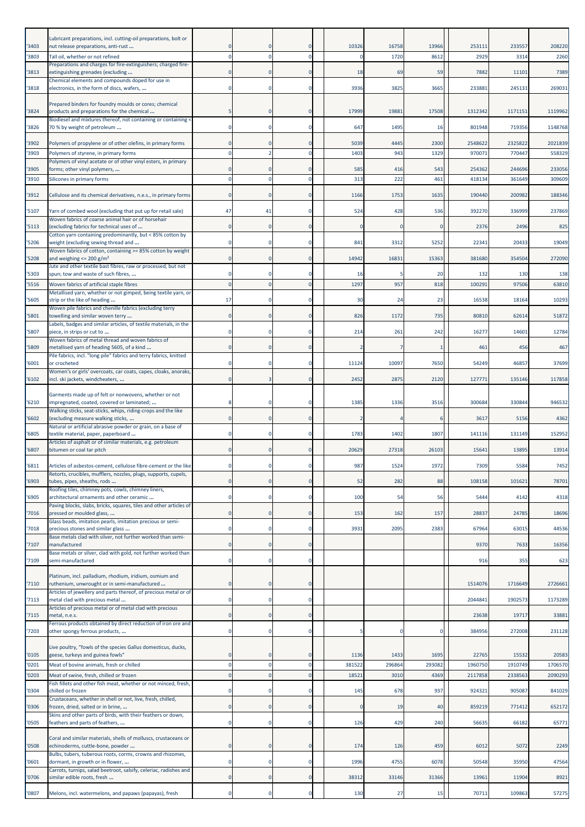|                | Lubricant preparations, incl. cutting-oil preparations, bolt or                                                  |                      |             |                      |                |                |                |                    |                    |                    |
|----------------|------------------------------------------------------------------------------------------------------------------|----------------------|-------------|----------------------|----------------|----------------|----------------|--------------------|--------------------|--------------------|
| '3403<br>'3803 | nut release preparations, anti-rust<br>Tall oil, whether or not refined                                          |                      |             | $\Omega$             | 10326          | 16758<br>1720  | 13966<br>8612  | 25311<br>2929      | 233557<br>3314     | 208220<br>2260     |
|                | Preparations and charges for fire-extinguishers; charged fire-                                                   |                      |             |                      |                |                |                |                    |                    |                    |
| '3813          | extinguishing grenades (excluding<br>Chemical elements and compounds doped for use in                            |                      |             |                      | 18             | 69             | 59             | 7882               | 11101              | 7389               |
| '3818          | electronics, in the form of discs, wafers,                                                                       |                      | $\mathbf 0$ | $\Omega$             | 3936           | 3825           | 3665           | 233881             | 245131             | 269031             |
| '3824          | Prepared binders for foundry moulds or cores; chemical<br>products and preparations for the chemical             |                      |             |                      | 17999          | 19881          | 17508          | 1312342            | 117115             | 1119962            |
| '3826          | Biodiesel and mixtures thereof, not containing or containing <<br>70 % by weight of petroleum                    |                      | 0           | $\Omega$             | 647            | 1495           | 16             | 801948             | 719356             | 1148768            |
|                |                                                                                                                  |                      |             |                      |                |                |                |                    |                    |                    |
| '3902<br>'3903 | Polymers of propylene or of other olefins, in primary forms<br>Polymers of styrene, in primary forms             |                      |             | $\Omega$<br>$\Omega$ | 5039<br>1403   | 4445<br>943    | 2300<br>1329   | 2548622<br>97007   | 2325822<br>770447  | 2021839<br>558329  |
| '3905          | Polymers of vinyl acetate or of other vinyl esters, in primary<br>forms; other vinyl polymers,                   |                      |             |                      | 585            | 416            | 543            | 254362             | 244696             | 233056             |
| '3910          | Silicones in primary forms                                                                                       |                      |             | $\Omega$             | 313            | 222            | 461            | 41813              | 361649             | 309609             |
| '3912          | Cellulose and its chemical derivatives, n.e.s., in primary forms                                                 | $\Omega$             | $\Omega$    | $\Omega$             | 1166           | 1753           | 1635           | 190440             | 200982             | 188346             |
| '5107          | Yarn of combed wool (excluding that put up for retail sale)                                                      | 47                   | 41          | $\Omega$             | 524            | 428            | 536            | 392270             | 336999             | 237869             |
| '5113          | Woven fabrics of coarse animal hair or of horsehair<br>(excluding fabrics for technical uses of                  |                      |             |                      |                |                |                | 2376               | 2496               | 825                |
| '5206          | Cotton yarn containing predominantly, but < 85% cotton by                                                        |                      |             |                      | 841            | 3312           | 5252           | 22341              | 20433              | 19049              |
|                | weight (excluding sewing thread and<br>Woven fabrics of cotton, containing >= 85% cotton by weight               |                      |             |                      |                |                |                |                    |                    |                    |
| '5208          | and weighing $\leq$ 200 g/m <sup>2</sup><br>Jute and other textile bast fibres, raw or processed, but not        |                      | $\Omega$    | $\Omega$             | 14942          | 16831          | 15363          | 381680             | 354504             | 272090             |
| '5303<br>'5516 | spun; tow and waste of such fibres,<br>Woven fabrics of artificial staple fibres                                 |                      |             | $\Omega$             | -16<br>1297    | 957            | 20<br>818      | 132<br>100291      | 130<br>97506       | 138<br>63810       |
|                | Metallised yarn, whether or not gimped, being textile yarn, or                                                   |                      |             |                      |                |                |                |                    |                    | 10293              |
| '5605          | strip or the like of heading<br>Woven pile fabrics and chenille fabrics (excluding terry                         | 17                   |             |                      | 30             | 24             | 23             | 16538              | 18164              |                    |
| '5801          | towelling and similar woven terry<br>Labels, badges and similar articles, of textile materials, in the           |                      | $\Omega$    | $\Omega$             | 826            | 1172           | 735            | 80810              | 62614              | 51872              |
| '5807          | piece, in strips or cut to<br>Woven fabrics of metal thread and woven fabrics of                                 |                      | $\Omega$    | $\Omega$             | 214            | 261            | 242            | 16277              | 14601              | 12784              |
| '5809          | metallised yarn of heading 5605, of a kind<br>Pile fabrics, incl. "long pile" fabrics and terry fabrics, knitted |                      | $\mathbf 0$ | $\mathbf 0$          |                |                |                | 461                | 456                | 467                |
| '6001          | or crocheted<br>Women's or girls' overcoats, car coats, capes, cloaks, anoraks,                                  |                      |             | 0                    | 11124          | 10097          | 7650           | 54249              | 46857              | 37699              |
| 16102          | incl. ski jackets, windcheaters,                                                                                 |                      |             | $\Omega$             | 2452           | 2875           | 2120           | 127771             | 135146             | 117858             |
|                | Garments made up of felt or nonwovens, whether or not                                                            |                      |             |                      |                |                |                |                    |                    |                    |
| '6210          | impregnated, coated, covered or laminated;<br>Walking sticks, seat-sticks, whips, riding-crops and the like      |                      |             |                      | 1385           | 1336           | 3516           | 300684             | 330844             | 946532             |
| '6602          | (excluding measure walking sticks,<br>Natural or artificial abrasive powder or grain, on a base of               |                      | $\mathbf 0$ | $\mathbf 0$          |                |                |                | 3617               | 5156               | 4362               |
| '6805          | textile material, paper, paperboard<br>Articles of asphalt or of similar materials, e.g. petroleum               |                      |             | O                    | 1783           | 1402           | 1807           | 141116             | 131149             | 152952             |
| '6807          | bitumen or coal tar pitch                                                                                        |                      |             |                      | 20629          | 27318          | 26103          | 15641              | 13895              | 13914              |
| '6811          | Articles of asbestos-cement, cellulose fibre-cement or the like                                                  |                      |             |                      | 987            | 1524           | 1972           | 7309               | 5584               | 7452               |
| '6903          | Retorts, crucibles, mufflers, nozzles, plugs, supports, cupels,<br>tubes, pipes, sheaths, rods                   |                      |             | $\Omega$             | 52             | 282            | 88             | 108158             | 101621             | 78701              |
| '6905          | Roofing tiles, chimney pots, cowls, chimney liners,<br>architectural ornaments and other ceramic                 |                      |             | 0                    | 100            | 54             | 56             | 5444               | 4142               | 4318               |
| 7016           | Paving blocks, slabs, bricks, squares, tiles and other articles of<br>pressed or moulded glass,                  | $\Omega$             | $\mathbf 0$ | $\mathbf 0$          | 153            | 162            | 157            | 28837              | 24785              | 18696              |
| '7018          | Glass beads, imitation pearls, imitation precious or semi-<br>precious stones and similar glass                  | $\Omega$             | $\Omega$    | $\mathbf 0$          | 3931           | 2095           | 2383           | 67964              | 63015              | 44536              |
|                | Base metals clad with silver, not further worked than semi-<br>manufactured                                      |                      | $\mathbf 0$ | $\mathbf 0$          |                |                |                | 9370               | 7633               |                    |
| '7107          | Base metals or silver, clad with gold, not further worked than                                                   |                      |             |                      |                |                |                |                    |                    | 16356              |
| '7109          | semi-manufactured                                                                                                | $\Omega$             | $\mathbf 0$ | $\Omega$             |                |                |                | 916                | 355                | 623                |
| '7110          | Platinum, incl. palladium, rhodium, iridium, osmium and<br>ruthenium, unwrought or in semi-manufactured          | $\Omega$             | $\mathbf 0$ | $\mathbf 0$          |                |                |                | 1514076            | 1716649            | 2726661            |
| '7113          | Articles of jewellery and parts thereof, of precious metal or of<br>metal clad with precious metal               | $\Omega$             | $\Omega$    | $\mathbf 0$          |                |                |                | 2044841            | 1902573            | 1173289            |
| '7115          | Articles of precious metal or of metal clad with precious<br>metal, n.e.s.                                       |                      | $\mathbf 0$ | $\mathbf 0$          |                |                |                | 23638              | 19717              | 33881              |
| '7203          | Ferrous products obtained by direct reduction of iron ore and<br>other spongy ferrous products,                  |                      | $\mathbf 0$ | 0                    |                | C              |                | 384956             | 272008             | 231128             |
|                |                                                                                                                  |                      |             |                      |                |                |                |                    |                    |                    |
| '0105          | Live poultry, "fowls of the species Gallus domesticus, ducks,<br>geese, turkeys and guinea fowls"                |                      | 0           | $\Omega$             | 1136           | 1433           | 1695           | 22765              | 15532              | 20583              |
| '0201<br>'0203 | Meat of bovine animals, fresh or chilled<br>Meat of swine, fresh, chilled or frozen                              | $\Omega$<br>$\Omega$ | $\Omega$    | $\Omega$<br>$\Omega$ | 381522<br>1852 | 296864<br>3010 | 293082<br>4369 | 1960750<br>2117858 | 1910749<br>2338563 | 1706570<br>2090293 |
|                | Fish fillets and other fish meat, whether or not minced, fresh,                                                  |                      |             | $\Omega$             |                |                |                |                    |                    |                    |
| '0304          | chilled or frozen<br>Crustaceans, whether in shell or not, live, fresh, chilled,                                 |                      | $\Omega$    |                      | 145            | 678            | 937            | 924321             | 905087             | 841029             |
| '0306          | frozen, dried, salted or in brine,<br>Skins and other parts of birds, with their feathers or down,               | $\Omega$             | $\mathbf 0$ | $\overline{0}$       |                | 19             | 40             | 859219             | 771412             | 652172             |
| '0505          | feathers and parts of feathers,                                                                                  | $\Omega$             | $\mathbf 0$ | 0                    | 126            | 429            | 240            | 56635              | 66182              | 65771              |
| '0508          | Coral and similar materials, shells of molluscs, crustaceans or<br>echinoderms, cuttle-bone, powder              | $\Omega$             | $\mathbf 0$ | $\Omega$             | 174            | 126            | 459            | 6012               | 5072               | 2249               |
| '0601          | Bulbs, tubers, tuberous roots, corms, crowns and rhizomes,<br>dormant, in growth or in flower,                   | $\Omega$             | $\Omega$    | $\Omega$             | 1996           | 4755           | 6078           | 50548              | 35950              | 47564              |
| '0706          | Carrots, turnips, salad beetroot, salsify, celeriac, radishes and<br>similar edible roots, fresh                 |                      | $\mathbf 0$ | $\mathbf 0$          | 38312          | 33146          | 31366          | 13961              | 11904              | 8921               |
| '0807          | Melons, incl. watermelons, and papaws (papayas), fresh                                                           | $\Omega$             | $\mathbf 0$ | $\Omega$             | 130            | 27             | 15             | 70711              | 109863             | 57275              |
|                |                                                                                                                  |                      |             |                      |                |                |                |                    |                    |                    |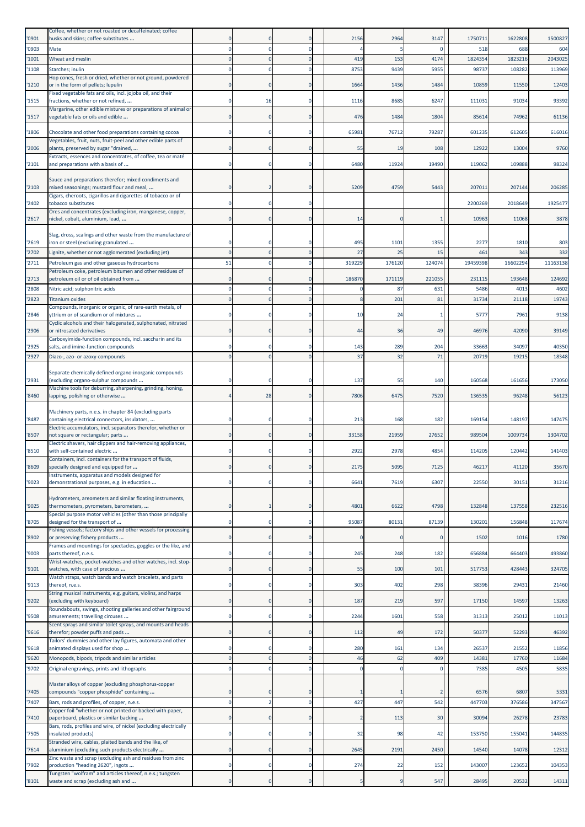| '0901         | Coffee, whether or not roasted or decaffeinated; coffee<br>husks and skins; coffee substitutes           |                |                      |                         | 2156       | 2964      | 3147               | 1750711      | 1622808        | 1500827       |
|---------------|----------------------------------------------------------------------------------------------------------|----------------|----------------------|-------------------------|------------|-----------|--------------------|--------------|----------------|---------------|
| 0903          | Mate                                                                                                     |                | $\Omega$             | $\mathbf 0$             |            |           | $\Omega$           | 518          | 688            | 604           |
| '1001         | Wheat and meslin                                                                                         |                |                      | O                       | 419        | 153       | 4174               | 1824354      | 1823216        | 2043025       |
| 1108          | Starches; inulin<br>Hop cones, fresh or dried, whether or not ground, powdered                           |                |                      | 0                       | 8753       | 9439      | 5955               | 9873         | 108282         | 113969        |
| '1210         | or in the form of pellets; lupulin                                                                       |                | $\Omega$             | $\mathbf 0$             | 1664       | 1436      | 1484               | 10859        | 11550          | 12403         |
| '1515         | Fixed vegetable fats and oils, incl. jojoba oil, and their<br>fractions, whether or not refined,         |                | 16                   | 0                       | 1116       | 8685      | 6247               | 11103:       | 91034          | 93392         |
| '1517         | Margarine, other edible mixtures or preparations of animal or<br>wegetable fats or oils and edible       |                | $\Omega$             | $\mathbf 0$             | 476        | 1484      | 1804               | 85614        | 74962          | 61136         |
| '1806         | Chocolate and other food preparations containing cocoa                                                   |                | $\Omega$             | O                       | 65981      | 76712     | 79287              | 601235       | 612605         | 616016        |
| '2006         | Vegetables, fruit, nuts, fruit-peel and other edible parts of<br>plants, preserved by sugar "drained,    | $\mathbf 0$    | $\mathbf 0$          | $\mathbf 0$             | 55         | 19        | 108                | 12922        | 13004          | 9760          |
| '2101         | Extracts, essences and concentrates, of coffee, tea or maté<br>and preparations with a basis of          |                | $^{\circ}$           | 0                       | 6480       | 11924     | 19490              | 119062       | 109888         | 98324         |
| '2103         | Sauce and preparations therefor; mixed condiments and<br>mixed seasonings; mustard flour and meal,       |                |                      | 0                       | 5209       | 4759      | 5443               | 20701:       | 207144         | 206285        |
| '2402         | Cigars, cheroots, cigarillos and cigarettes of tobacco or of<br>tobacco substitutes                      |                | $\Omega$             | O                       |            |           |                    | 2200269      | 2018649        | 1925477       |
| '2617         | Ores and concentrates (excluding iron, manganese, copper,<br>nickel, cobalt, aluminium, lead,            | $\mathbf 0$    | $\mathbf 0$          | $\mathbf 0$             | 14         |           |                    | 10963        | 11068          | 3878          |
|               |                                                                                                          |                |                      |                         |            |           |                    |              |                |               |
| '2619         | Slag, dross, scalings and other waste from the manufacture of<br>iron or steel (excluding granulated     |                |                      | 0                       | 495        | 1101      | 1355               | 2277         | 1810           | 803           |
| '2702         | Lignite, whether or not agglomerated (excluding jet)                                                     |                |                      | $\Omega$                | 27         | 25        | 15                 | 461          | 343            | 332           |
| '2711         | Petroleum gas and other gaseous hydrocarbons<br>Petroleum coke, petroleum bitumen and other residues of  | 51             |                      | O                       | 319229     | 176120    | 124074             | 19459398     | 16602294       | 11163138      |
| '2713         | petroleum oil or of oil obtained from                                                                    |                | $\Omega$             | $\mathbf 0$             | 186870     | 171119    | 221055             | 231115       | 193648         | 124692        |
| '2808         | Nitric acid; sulphonitric acids                                                                          |                |                      | 0                       |            | 87        | 631                | 5486         | 4013           | 4602          |
| 2823          | Titanium oxides<br>Compounds, inorganic or organic, of rare-earth metals, of                             |                | $\Omega$             | $\Omega$                |            | 201       | 81                 | 31734        | 21118          | 19743         |
| '2846         | yttrium or of scandium or of mixtures<br>Cyclic alcohols and their halogenated, sulphonated, nitrated    |                | $\Omega$             | $\Omega$                | 10         | 24        |                    | 577          | 7961           | 9138          |
| '2906         | or nitrosated derivatives<br>Carboxyimide-function compounds, incl. saccharin and its                    |                | $\mathbf 0$          | $\circ$                 | 44         | 36        | 49                 | 46976        | 42090          | 39149         |
| '2925         | salts, and imine-function compounds                                                                      |                | $\Omega$             | 0                       | 143        | 289       | 204                | 33663        | 34097          | 40350         |
| '2927         | Diazo-, azo- or azoxy-compounds                                                                          |                |                      | $\Omega$                | 37         | 32        | 71                 | 20719        | 19215          | 18348         |
| '2931         | Separate chemically defined organo-inorganic compounds<br>(excluding organo-sulphur compounds            |                |                      | O                       | 137        | 55        | 140                | 160568       | 161656         | 173050        |
| '8460         | Machine tools for deburring, sharpening, grinding, honing,<br>lapping, polishing or otherwise            |                | 28                   | $\mathbf 0$             | 7806       | 6475      | 7520               | 136535       | 96248          | 56123         |
|               | Machinery parts, n.e.s. in chapter 84 (excluding parts                                                   |                |                      |                         |            |           |                    |              |                |               |
| '8487         | containing electrical connectors, insulators,                                                            |                | $\Omega$             | 0                       | 213        | 168       | 182                | 169154       | 148197         | 147475        |
| '8507         | Electric accumulators, incl. separators therefor, whether or<br>not square or rectangular; parts         |                | $\mathbf 0$          | $\mathbf 0$             | 33158      | 21959     | 27652              | 989504       | 1009734        | 1304702       |
| '8510         | Electric shavers, hair clippers and hair-removing appliances,<br>with self-contained electric            |                |                      | 0                       | 2922       | 2978      | 4854               | 114205       | 120442         | 141403        |
| '8609         | Containers, incl. containers for the transport of fluids,<br>specially designed and equipped for         | $\Omega$       | $\mathbf 0$          | $\mathbf 0$             | 2175       | 5095      | 7125               | 46217        | 41120          | 35670         |
| '9023         | Instruments, apparatus and models designed for<br>demonstrational purposes, e.g. in education            | 0              | $\Omega$             | 0                       | 6641       | 7619      | 6307               | 22550        | 30151          | 31216         |
| '9025         | Hydrometers, areometers and similar floating instruments,<br>thermometers, pyrometers, barometers,       | $\mathbf{0}$   |                      | 0                       | 4801       | 6622      | 4798               | 132848       | 137558         | 232516        |
| '8705         | Special purpose motor vehicles (other than those principally<br>designed for the transport of            |                | $^{\circ}$           | 0                       | 95087      | 80131     | 87139              | 130201       | 156848         | 117674        |
| 8902          | Fishing vessels; factory ships and other vessels for processing<br>or preserving fishery products        | $\mathbf{0}$   | $\Omega$             | $\mathbf 0$             | $\epsilon$ |           | $\mathbf 0$        | 1502         | 1016           | 1780          |
| '9003         | Frames and mountings for spectacles, goggles or the like, and<br>parts thereof, n.e.s.                   | $\mathbf 0$    | $\Omega$             | $\mathbf 0$             | 245        | 248       | 182                | 656884       | 664403         | 493860        |
| '9101         | Wrist-watches, pocket-watches and other watches, incl. stop-<br>watches, with case of precious           |                | $\mathbf 0$          | $\circ$                 | 55         | 100       | 101                | 517753       | 428443         | 324705        |
| '9113         | Watch straps, watch bands and watch bracelets, and parts<br>thereof, n.e.s.                              | $\mathbf 0$    | $\mathbf 0$          | $\mathbf 0$             | 303        | 402       | 298                | 38396        | 29431          | 21460         |
| 9202          | String musical instruments, e.g. guitars, violins, and harps<br>(excluding with keyboard)                | $\overline{0}$ | $\Omega$             | $\mathbf{0}$            | 187        | 219       | 597                | 17150        | 14597          | 13263         |
| '9508         | Roundabouts, swings, shooting galleries and other fairground<br>amusements; travelling circuses          |                | $^{\circ}$           | 0                       | 2244       | 1601      | 558                | 31313        | 25012          | 11013         |
|               | Scent sprays and similar toilet sprays, and mounts and heads                                             |                |                      |                         |            |           |                    |              |                |               |
| '9616         | therefor; powder puffs and pads<br>Tailors' dummies and other lay figures, automata and other            | $\mathbf{0}$   | $\mathbf 0$          | $\mathbf 0$             | 112        | 49        | 172                | 50377        | 52293          | 46392         |
| '9618         | animated displays used for shop                                                                          | $\Omega$       | $\Omega$<br>$\Omega$ | $\mathbf 0$<br>$\Omega$ | 280        | 161<br>62 | 134                | 26537        | 21552<br>17760 | 11856         |
| 9620<br>'9702 | Monopods, bipods, tripods and similar articles<br>Original engravings, prints and lithographs            |                | $\Omega$             | $\mathbf 0$             | 46<br>C    | C         | 409<br>$\mathbf 0$ | 1438<br>7385 | 4505           | 11684<br>5835 |
|               | Master alloys of copper (excluding phosphorus-copper                                                     |                |                      |                         |            |           |                    |              |                |               |
| '7405         | compounds "copper phosphide" containing                                                                  | $\Omega$       | $\Omega$             | $\Omega$                |            |           |                    | 6576         | 6807           | 5331          |
| 7407          | Bars, rods and profiles, of copper, n.e.s.<br>Copper foil "whether or not printed or backed with paper,  |                | $\overline{2}$       | 0                       | 427        | 447       | 542                | 447703       | 376586         | 347567        |
| 7410          | paperboard, plastics or similar backing                                                                  | 0              | $\Omega$             | $\mathbf 0$             |            | 113       | 30                 | 30094        | 26278          | 23783         |
| '7505         | Bars, rods, profiles and wire, of nickel (excluding electrically<br>insulated products)                  |                | $\Omega$             | 0                       | 32         | 98        | 42                 | 153750       | 155041         | 144835        |
| 7614          | Stranded wire, cables, plaited bands and the like, of<br>aluminium (excluding such products electrically | $\mathbf{0}$   | $\overline{0}$       | $\mathbf 0$             | 2645       | 2191      | 2450               | 14540        | 14078          | 12312         |
| '7902         | Zinc waste and scrap (excluding ash and residues from zinc<br>production "heading 2620", ingots          | $\mathbf 0$    | $^{\circ}$           | $\mathbf 0$             | 274        | 22        | 152                | 143007       | 123652         | 104353        |
| '8101         | Tungsten "wolfram" and articles thereof, n.e.s.; tungsten<br>waste and scrap (excluding ash and          |                |                      | $\Omega$                |            |           | 547                | 28495        | 20532          | 14311         |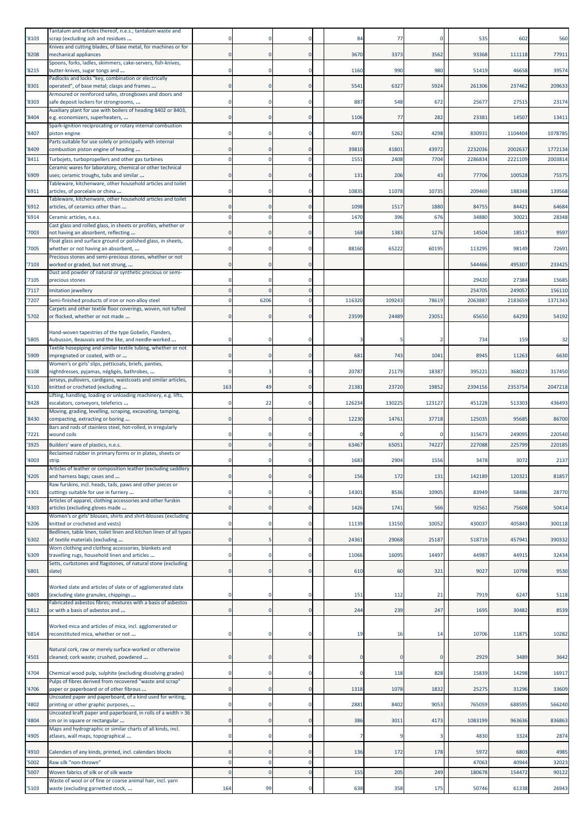|                | Tantalum and articles thereof, n.e.s.; tantalum waste and                                             |              |                |                |        |          |          |                 |                 |         |
|----------------|-------------------------------------------------------------------------------------------------------|--------------|----------------|----------------|--------|----------|----------|-----------------|-----------------|---------|
| '8103          | scrap (excluding ash and residues                                                                     |              |                |                | 84     | 77       | 0        | 535             | 602             | 560     |
| '8208          | Knives and cutting blades, of base metal, for machines or for<br>mechanical appliances                |              | $\Omega$       | $\Omega$       | 3670   | 3373     | 3562     | 93368           | 111118          | 77911   |
| '8215          | Spoons, forks, ladles, skimmers, cake-servers, fish-knives,<br>butter-knives, sugar tongs and         |              | $\mathbf 0$    | $\Omega$       | 1160   | 990      | 980      | 51419           | 46658           | 39574   |
| '8301          | Padlocks and locks "key, combination or electrically<br>operated", of base metal; clasps and frames   |              |                | $\Omega$       | 5541   | 6327     | 5924     | 261306          | 237462          | 209633  |
| '8303          | Armoured or reinforced safes, strongboxes and doors and<br>safe deposit lockers for strongrooms,      |              |                |                | 887    | 548      | 672      | 25677           | 27515           | 23174   |
| '8404          | Auxiliary plant for use with boilers of heading 8402 or 8403,<br>e.g. economizers, superheaters,      |              | $\mathbf{0}$   | $\Omega$       | 1106   | 77       | 282      | 23381           | 14507           | 13411   |
| '8407          | Spark-ignition reciprocating or rotary internal combustion<br>piston engine                           |              |                |                | 4073   | 5262     | 4298     | 830931          | 1104404         | 1078785 |
|                | Parts suitable for use solely or principally with internal<br>combustion piston engine of heading     |              |                |                | 39810  | 41801    | 43972    | 2232036         | 2002637         | 1772134 |
| '8409<br>'8411 | Turbojets, turbopropellers and other gas turbines                                                     |              |                | $\Omega$       | 1551   | 2408     | 7704     | 2286834         | 2221109         | 2003814 |
| '6909          | Ceramic wares for laboratory, chemical or other technical<br>uses; ceramic troughs, tubs and similar  |              | $\Omega$       | $\Omega$       | 131    | 206      | 43       | 77706           | 100528          | 75575   |
| '6911          | Tableware, kitchenware, other household articles and toilet<br>articles, of porcelain or china        |              |                |                | 10835  | 11078    | 10735    | 209469          | 188348          | 139568  |
| '6912          | Tableware, kitchenware, other household articles and toilet<br>articles, of ceramics other than       |              |                |                | 1098   | 1517     | 1880     | 84755           | 84421           | 64684   |
| '6914          | Ceramic articles, n.e.s.                                                                              |              |                |                | 1470   | 396      | 676      | 34880           | 3002:           | 28348   |
| 7003           | Cast glass and rolled glass, in sheets or profiles, whether or<br>not having an absorbent, reflecting |              | $\Omega$       | $\Omega$       | 168    | 1383     | 1276     | 14504           | 18517           | 9597    |
| '7005          | Float glass and surface ground or polished glass, in sheets,<br>whether or not having an absorbent,   |              | $\Omega$       | $\Omega$       | 88160  | 65222    | 60195    | 113295          | 98149           | 72691   |
| '7103          | Precious stones and semi-precious stones, whether or not<br>worked or graded, but not strung,         |              |                | $\mathbf 0$    |        |          |          | 544466          | 495307          | 233425  |
|                | Dust and powder of natural or synthetic precious or semi-                                             |              |                | n              |        |          |          |                 |                 | 15685   |
| '7105<br>'7117 | precious stones<br>Imitation jewellery                                                                |              |                | $\Omega$       |        |          |          | 29420<br>254705 | 27384<br>249057 | 156110  |
| 7207           | Semi-finished products of iron or non-alloy steel                                                     |              | 6206           | $\Omega$       | 116320 | 109243   | 78619    | 206388          | 2183659         | 1371343 |
| '5702          | Carpets and other textile floor coverings, woven, not tufted<br>or flocked, whether or not made       |              | $\Omega$       | $\Omega$       | 23599  | 24489    | 23051    | 65650           | 64293           | 54192   |
|                | Hand-woven tapestries of the type Gobelin, Flanders,                                                  |              |                |                |        |          |          |                 |                 |         |
| '5805          | Aubusson, Beauvais and the like, and needle-worked                                                    |              |                |                |        |          |          | 734             | <b>159</b>      | 32      |
| '5909          | Textile hosepiping and similar textile tubing, whether or not<br>impregnated or coated, with or       |              |                | 0              | 681    | 743      | 1041     | 8945            | 11263           | 6630    |
| '6108          | Women's or girls' slips, petticoats, briefs, panties,<br>nightdresses, pyjamas, négligés, bathrobes,  | 0            | 3              | $\Omega$       | 20787  | 21179    | 18387    | 395221          | 368023          | 317450  |
| '6110          | Jerseys, pullovers, cardigans, waistcoats and similar articles,<br>knitted or crocheted (excluding    | 163          | 49             | $\Omega$       | 21381  | 23720    | 19852    | 2394156         | 2353754         | 2047218 |
| '8428          | Lifting, handling, loading or unloading machinery, e.g. lifts,<br>escalators, conveyors, teleferics   |              | 22             |                | 126234 | 130225   | 123127   | 451228          | 513303          | 436493  |
| '8430          | Moving, grading, levelling, scraping, excavating, tamping,<br>compacting, extracting or boring        |              | 0              | $\Omega$       | 12230  | 14761    | 37718    | 125035          | 95685           | 86700   |
| '7221          | Bars and rods of stainless steel, hot-rolled, in irregularly<br>wound coils                           |              |                | $\Omega$       |        |          |          | 315673          | 249095          | 220540  |
| '3925          | Builders' ware of plastics, n.e.s.                                                                    |              |                | $\Omega$       | 63467  | 65051    | 74227    | 227088          | 225799          | 220185  |
| '4003          | Reclaimed rubber in primary forms or in plates, sheets or<br>strip                                    |              |                |                | 1683   | 2904     | 1556     | 3478            | 3072            | 2137    |
| '4205          | Articles of leather or composition leather (excluding saddlery<br>and harness bags; cases and         |              |                |                | 156    | 172      | 131      | 142189          | 120321          | 81857   |
| '4301          | Raw furskins, incl. heads, tails, paws and other pieces or<br>cuttings suitable for use in furriery   | $\mathbf 0$  | $\mathbf 0$    | $\mathbf 0$    | 14301  | 8536     | 10905    | 83949           | 58486           | 28770   |
| '4303          | Articles of apparel, clothing accessories and other furskin<br>articles (excluding gloves made        | $\Omega$     | $\Omega$       | $\Omega$       | 1426   | 1741     | 566      | 92561           | 75608           | 50414   |
| '6206          | Women's or girls' blouses, shirts and shirt-blouses (excluding<br>knitted or crocheted and vests)     |              | $\mathbf 0$    | $\mathbf 0$    | 11139  | 13150    | 10052    | 430037          | 405843          | 300118  |
| '6302          | Bedlinen, table linen, toilet linen and kitchen linen of all types<br>of textile materials (excluding | $\Omega$     |                | $\mathbf 0$    | 24361  | 29068    | 25187    | 518719          | 457941          | 390332  |
| '6309          | Worn clothing and clothing accessories, blankets and<br>travelling rugs, household linen and articles |              | $\Omega$       | $\Omega$       | 11066  | 16095    | 14497    | 44987           | 44915           | 32434   |
|                | Setts, curbstones and flagstones, of natural stone (excluding                                         |              |                |                |        |          |          |                 |                 |         |
| '6801          | slate)                                                                                                | $\Omega$     | $\mathbf{0}$   | $\overline{0}$ | 610    | 60       | 321      | 9027            | 10798           | 9530    |
| '6803          | Worked slate and articles of slate or of agglomerated slate<br>(excluding slate granules, chippings   |              | $\mathbf 0$    | 0              | 151    | 112      | 21       | 7919            | 6247            | 5118    |
| 6812           | Fabricated asbestos fibres; mixtures with a basis of asbestos<br>or with a basis of asbestos and      | $\mathbf{0}$ | 0              | $\mathbf 0$    | 244    | 239      | 247      | 1695            | 30482           | 8539    |
| 16814          | Worked mica and articles of mica, incl. agglomerated or<br>reconstituted mica, whether or not         | $\Omega$     | $\mathbf 0$    | 0              | 19     | 16       | 14       | 10706           | 11875           | 10282   |
|                | Natural cork, raw or merely surface-worked or otherwise                                               |              |                |                |        |          |          |                 |                 |         |
| '4501          | cleaned; cork waste; crushed, powdered                                                                | $\mathbf{0}$ | $\mathbf{0}$   | $\mathbf 0$    |        | $\Omega$ | $\Omega$ | 2929            | 3489            | 3642    |
| '4704          | Chemical wood pulp, sulphite (excluding dissolving grades)                                            | $\Omega$     | $\Omega$       | $\mathbf 0$    | O      | 118      | 828      | 15839           | 14298           | 16917   |
| 4706           | Pulps of fibres derived from recovered "waste and scrap"<br>paper or paperboard or of other fibrous   | $\Omega$     | $\overline{0}$ | $\overline{0}$ | 1318   | 1078     | 1832     | 25275           | 31296           | 33609   |
| 4802           | Uncoated paper and paperboard, of a kind used for writing,<br>printing or other graphic purposes,     | $\Omega$     | $\mathbf 0$    | 0              | 2881   | 8402     | 9053     | 765059          | 688595          | 566240  |
| '4804          | Uncoated kraft paper and paperboard, in rolls of a width > 36<br>cm or in square or rectangular       | $\Omega$     | $\Omega$       | $\Omega$       | 386    | 3011     | 4173     | 1083199         | 963636          | 836863  |
| '4905          | Maps and hydrographic or similar charts of all kinds, incl.<br>atlases, wall maps, topographical      | $\Omega$     | $\mathbf 0$    | $\Omega$       |        |          | 3        | 4830            | 3324            | 2874    |
| '4910          | Calendars of any kinds, printed, incl. calendars blocks                                               |              | $\mathbf{0}$   | $\mathbf 0$    | 136    | 172      | 178      | 5972            | 6803            | 4985    |
| '5002          | Raw silk "non-thrown"                                                                                 |              | $\mathbf 0$    | $\overline{0}$ |        |          |          | 47063           | 40944           | 32023   |
| '5007          | Woven fabrics of silk or of silk waste<br>Waste of wool or of fine or coarse animal hair, incl. yarn  | $\Omega$     | $\overline{0}$ | $\bf 0$        | 155    | 205      | 249      | 180678          | 15447           | 90122   |
| '5103          | waste (excluding garnetted stock,                                                                     | 164          | 99             | $\overline{0}$ | 638    | 358      | 175      | 50746           | 61338           | 26943   |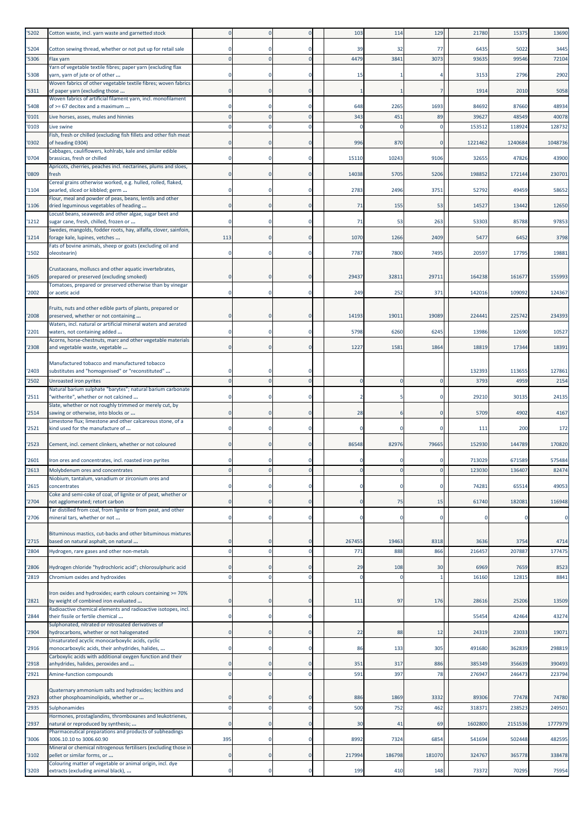| '5202          | Cotton waste, incl. yarn waste and garnetted stock                                                             |                            |                      |                             | 103              | 114                  | 129          | 21780          | 15375           | 13690        |
|----------------|----------------------------------------------------------------------------------------------------------------|----------------------------|----------------------|-----------------------------|------------------|----------------------|--------------|----------------|-----------------|--------------|
| '5204          | Cotton sewing thread, whether or not put up for retail sale                                                    | $\Omega$                   | $\Omega$             | $\Omega$                    | 39               | 32                   | 77           | 6435           | 5022            | 3445         |
| '5306          | Flax yarn                                                                                                      | $\Omega$                   |                      | $\Omega$                    | 4479             | 3841                 | 3073         | 93635          | 99546           | 72104        |
| '5308          | Yarn of vegetable textile fibres; paper yarn (excluding flax<br>yarn, yarn of jute or of other                 | $\Omega$                   |                      | $\Omega$                    | 15               |                      |              | 3153           | 2796            | 2902         |
| '5311          | Woven fabrics of other vegetable textile fibres; woven fabrics<br>of paper yarn (excluding those               | $\mathbf 0$                | 0                    | $\mathbf 0$                 |                  |                      |              | 1914           | 2010            | 5058         |
| '5408          | Woven fabrics of artificial filament yarn, incl. monofilament<br>of >= 67 decitex and a maximum                | $\mathbf 0$                |                      | $\Omega$                    | 648              | 2265                 | 1693         | 84692          | 87660           | 48934        |
| '0101          | Live horses, asses, mules and hinnies                                                                          | $\Omega$                   | $\overline{0}$       | $\mathbf{0}$                | 343              | 451                  | 89           | 39627          | 48549           | 40078        |
| '0103          | Live swine                                                                                                     | $\Omega$                   | $\Omega$             | $\Omega$                    | C                |                      | $\mathbf 0$  | 153512         | 118924          | 128732       |
| '0302          | Fish, fresh or chilled (excluding fish fillets and other fish meat<br>of heading 0304)                         | $\mathbf 0$                |                      | 0                           | 996              | 870                  | $\Omega$     | 1221462        | 1240684         | 1048736      |
|                | Cabbages, cauliflowers, kohlrabi, kale and similar edible                                                      |                            |                      |                             |                  |                      |              |                |                 |              |
| '0704          | brassicas, fresh or chilled<br>Apricots, cherries, peaches incl. nectarines, plums and sloes,                  | $^{\circ}$                 | $\mathbf 0$          | $\Omega$                    | 15110            | 10243                | 9106         | 32655          | 47826           | 43900        |
| '0809          | fresh<br>Cereal grains otherwise worked, e.g. hulled, rolled, flaked,                                          | $\Omega$                   |                      | $\Omega$                    | 14038            | 5705                 | 5206         | 198852         | 172144          | 230701       |
| '1104          | pearled, sliced or kibbled; germ                                                                               | $^{\circ}$                 | $\Omega$             | $\Omega$                    | 2783             | 2496                 | 3751         | 52792          | 49459           | 58652        |
| '1106          | Flour, meal and powder of peas, beans, lentils and other<br>dried leguminous vegetables of heading             | $\mathbf 0$                | $\Omega$             | $\mathbf 0$                 | 71               | 155                  | 53           | 14527          | 13442           | 12650        |
|                | Locust beans, seaweeds and other algae, sugar beet and                                                         |                            |                      |                             |                  |                      |              |                |                 |              |
| '1212          | sugar cane, fresh, chilled, frozen or<br>Swedes, mangolds, fodder roots, hay, alfalfa, clover, sainfoin,       | $\Omega$                   | $\Omega$             | $\Omega$                    | 71               | 53                   | 263          | 53303          | 85788           | 97853        |
| '1214          | forage kale, lupines, vetches<br>Fats of bovine animals, sheep or goats (excluding oil and                     | 113                        | $\Omega$             | $\Omega$                    | 1070             | 1266                 | 2409         | 5477           | 6452            | 3798         |
| '1502          | oleostearin)                                                                                                   | $\Omega$                   | $\Omega$             | $\Omega$                    | 7787             | 7800                 | 7495         | 20597          | 17795           | 19881        |
| '1605          | Crustaceans, molluscs and other aquatic invertebrates,<br>prepared or preserved (excluding smoked)             |                            |                      |                             | 29437            | 32811                | 29711        | 164238         | 16167           | 155993       |
|                | Tomatoes, prepared or preserved otherwise than by vinegar                                                      |                            |                      |                             |                  |                      |              |                |                 |              |
| '2002          | or acetic acid                                                                                                 |                            |                      | $\Omega$                    | 249              | 252                  | 371          | 142016         | 109092          | 124367       |
| '2008          | Fruits, nuts and other edible parts of plants, prepared or<br>preserved, whether or not containing             | $\Omega$                   |                      | $\Omega$                    | 14193            | 19011                | 19089        | 224441         | 225742          | 234393       |
| '2201          | Waters, incl. natural or artificial mineral waters and aerated<br>waters, not containing added                 | $\Omega$                   | $\Omega$             | $\Omega$                    | 5798             | 6260                 | 6245         | 13986          | 12690           | 10527        |
|                | Acorns, horse-chestnuts, marc and other vegetable materials                                                    | $\Omega$                   |                      | $\Omega$                    |                  |                      |              |                |                 |              |
| '2308          | and vegetable waste, vegetable                                                                                 |                            |                      |                             | 1227             | 1581                 | 1864         | 18819          | 17344           | 18391        |
| '2403          | Manufactured tobacco and manufactured tobacco<br>substitutes and "homogenised" or "reconstituted"              |                            |                      |                             |                  |                      |              | 132393         | 113655          | 127861       |
| '2502          | Unroasted iron pyrites                                                                                         | $\Omega$                   |                      | $\Omega$                    |                  |                      | $\mathbf{0}$ | 3793           | 4959            | 2154         |
| '2511          | Natural barium sulphate "barytes"; natural barium carbonate<br>"witherite", whether or not calcined            | $\Omega$                   | $\mathbf 0$          | $\mathbf 0$                 | 2                |                      | 0            | 29210          | 30135           | 24135        |
|                | Slate, whether or not roughly trimmed or merely cut, by                                                        | $\mathbf 0$                |                      | $\mathbf 0$                 | 28               |                      | $\Omega$     |                |                 |              |
| '2514          | sawing or otherwise, into blocks or<br>Limestone flux; limestone and other calcareous stone, of a              |                            |                      |                             |                  |                      |              | 5709           | 4902            | 4167         |
| '2521          | kind used for the manufacture of                                                                               | 0                          |                      |                             |                  |                      |              | 111            | 200             | 172          |
| '2523          | Cement, incl. cement clinkers, whether or not coloured                                                         | $\mathbf 0$                | $\mathbf 0$          | $\mathbf 0$                 | 86548            | 82976                | 79665        | 152930         | 144789          | 170820       |
| '2601          | Iron ores and concentrates, incl. roasted iron pyrites                                                         |                            |                      | $\Omega$                    |                  |                      |              | 713029         | 671589          | 575484       |
| '2613          | Molybdenum ores and concentrates                                                                               |                            |                      |                             |                  |                      | 0            | 123030         | 13640           | 82474        |
| '2615          | Niobium, tantalum, vanadium or zirconium ores and<br>concentrates                                              | $\Omega$                   | $\Omega$             | $\mathbf 0$                 | O                |                      | $\Omega$     | 74281          | 65514           | 49053        |
| '2704          | Coke and semi-coke of coal, of lignite or of peat, whether or<br>not agglomerated; retort carbon               | $\overline{0}$             |                      | $\mathbf 0$                 | $\Omega$         | 75                   | 15           | 61740          | 182081          | 116948       |
|                | Tar distilled from coal, from lignite or from peat, and other                                                  |                            |                      |                             |                  |                      |              |                |                 |              |
| '2706          | mineral tars, whether or not                                                                                   | $\mathbf 0$                | $\mathbf 0$          | $\mathbf 0$                 | $\sqrt{2}$       | $\Omega$             | $\mathbf 0$  |                |                 | 0            |
| '2715          | Bituminous mastics, cut-backs and other bituminous mixtures<br>based on natural asphalt, on natural            | $\mathbf 0$                | $\Omega$             | $\Omega$                    | 267455           | 19463                | 8318         | 3636           | 3754            | 4714         |
| '2804          | Hydrogen, rare gases and other non-metals                                                                      | $\Omega$                   | $\overline{0}$       | $\Omega$                    | 771              | 888                  | 866          | 216457         | 207887          | 177475       |
|                |                                                                                                                |                            |                      |                             |                  |                      |              |                |                 |              |
| '2806<br>'2819 | Hydrogen chloride "hydrochloric acid"; chlorosulphuric acid<br>Chromium oxides and hydroxides                  | $\mathbf 0$<br>$\mathbf 0$ | $\Omega$<br>$\Omega$ | $\mathbf 0$<br>$\mathbf{0}$ | 29<br>$\epsilon$ | 108<br>$\mathcal{C}$ | 30           | 6969<br>16160  | 7659<br>12815   | 8523<br>8841 |
|                |                                                                                                                |                            |                      |                             |                  |                      |              |                |                 |              |
| '2821          | Iron oxides and hydroxides; earth colours containing >= 70%<br>by weight of combined iron evaluated            | $\overline{0}$             |                      | $\overline{0}$              | 111              | 97                   | 176          | 28616          | 25206           | 13509        |
| '2844          | Radioactive chemical elements and radioactive isotopes, incl.<br>their fissile or fertile chemical             | $\mathbf 0$                | $\Omega$             | 0                           |                  |                      |              | 55454          | 42464           | 43274        |
|                | Sulphonated, nitrated or nitrosated derivatives of                                                             |                            |                      |                             |                  |                      |              |                |                 |              |
| '2904          | hydrocarbons, whether or not halogenated<br>Unsaturated acyclic monocarboxylic acids, cyclic                   | $\mathbf 0$                | $\mathbf 0$          | $\mathbf 0$                 | 22               | 88                   | 12           | 24319          | 23033           | 19071        |
| '2916          | monocarboxylic acids, their anhydrides, halides,<br>Carboxylic acids with additional oxygen function and their | $\mathbf 0$                | $\Omega$             | $\mathbf 0$                 | 86               | 133                  | 305          | 491680         | 362839          | 298819       |
| '2918          | anhydrides, halides, peroxides and                                                                             | $\mathbf 0$                |                      | 0                           | 351              | 317                  | 886          | 385349         | 356639          | 390493       |
| '2921          | Amine-function compounds                                                                                       | $\mathbf 0$                | $\overline{0}$       | $\mathbf{0}$                | 591              | 397                  | 78           | 27694          | 24647           | 223794       |
|                | Quaternary ammonium salts and hydroxides; lecithins and                                                        | $\mathbf 0$                |                      | $\Omega$                    | 886              | 1869                 | 3332         |                |                 | 74780        |
| '2923<br>'2935 | other phosphoaminolipids, whether or<br>Sulphonamides                                                          | $\mathbf 0$                | 0<br>$\mathbf 0$     | 0                           | 500              | 752                  | 462          | 89306<br>31837 | 77478<br>238523 | 249501       |
|                | Hormones, prostaglandins, thromboxanes and leukotrienes,                                                       |                            |                      |                             |                  |                      |              |                |                 |              |
| '2937          | natural or reproduced by synthesis;<br>Pharmaceutical preparations and products of subheadings                 | $\mathbf 0$                | $\Omega$             | $\mathbf 0$                 | 30               | 41                   | 69           | 1602800        | 2151536         | 1777979      |
| '3006          | 3006.10.10 to 3006.60.90<br>Mineral or chemical nitrogenous fertilisers (excluding those in                    | 395                        | $\overline{0}$       | $\Omega$                    | 8992             | 7324                 | 6854         | 541694         | 502448          | 482595       |
| '3102          | pellet or similar forms, or                                                                                    | $\mathbf 0$                | $\Omega$             | $\Omega$                    | 217994           | 186798               | 181070       | 324767         | 365778          | 338478       |
| '3203          | Colouring matter of vegetable or animal origin, incl. dye<br>extracts (excluding animal black),                | $\mathbf 0$                | $\mathbf 0$          | $\mathbf 0$                 | 199              | 410                  | 148          | 73372          | 70295           | 75954        |
|                |                                                                                                                |                            |                      |                             |                  |                      |              |                |                 |              |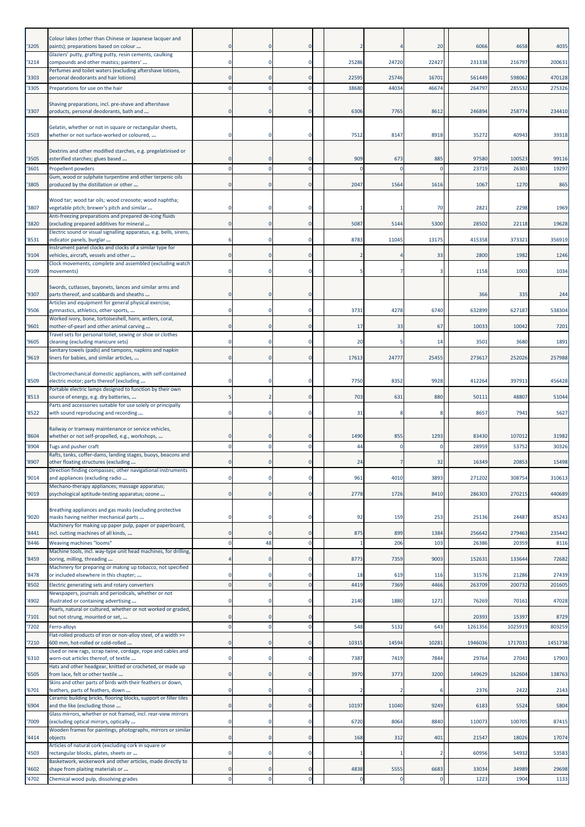| 3205          | Colour lakes (other than Chinese or Japanese lacquer and<br>paints); preparations based on colour                                                             |                         | $\Omega$                | $\mathbf 0$                |            |             | 20                  | 6066             | 4658             | 4035            |
|---------------|---------------------------------------------------------------------------------------------------------------------------------------------------------------|-------------------------|-------------------------|----------------------------|------------|-------------|---------------------|------------------|------------------|-----------------|
| '3214         | Glaziers' putty, grafting putty, resin cements, caulking<br>compounds and other mastics; painters'                                                            |                         | $\Omega$                | $\Omega$                   | 25286      | 24720       | 22427               | 231338           | 216797           | 200631          |
| 3303          | Perfumes and toilet waters (excluding aftershave lotions,<br>personal deodorants and hair lotions)                                                            | $\Omega$                | $\Omega$                | $\Omega$                   | 22595      | 25746       | 16701               | 561449           | 598062           | 470128          |
| '3305         | Preparations for use on the hair                                                                                                                              |                         | $\Omega$                | $\Omega$                   | 38680      | 44034       | 46674               | 264797           | 285532           | 275326          |
| '3307         | Shaving preparations, incl. pre-shave and aftershave<br>products, personal deodorants, bath and                                                               |                         | $\Omega$                | $\Omega$                   | 6306       | 7765        | 8612                | 246894           | 258774           | 234410          |
| '3503         | Gelatin, whether or not in square or rectangular sheets,<br>whether or not surface-worked or coloured,                                                        |                         | $\Omega$                | 0                          | 7512       | 8147        | 8918                | 35272            | 40943            | 39318           |
|               | Dextrins and other modified starches, e.g. pregelatinised or                                                                                                  |                         |                         |                            |            |             |                     |                  |                  |                 |
| '3505<br>3601 | esterified starches; glues based<br>Propellent powders                                                                                                        |                         | $\Omega$                | $\Omega$<br>$\Omega$       | 909        | 673         | 885<br>$\Omega$     | 97580<br>2371    | 100523<br>26303  | 99116<br>19297  |
| 3805          | Gum, wood or sulphate turpentine and other terpenic oils<br>produced by the distillation or other                                                             | $\mathbf 0$             | $\mathbf 0$             | $\mathbf 0$                | 2047       | 1564        | 1616                | 1067             | 1270             | 865             |
| '3807         | Wood tar; wood tar oils; wood creosote; wood naphtha;<br>vegetable pitch; brewer's pitch and similar                                                          |                         | $\Omega$                | 0                          |            |             | 70                  | 282              | 2298             | 1969            |
| '3820         | Anti-freezing preparations and prepared de-icing fluids<br>(excluding prepared additives for mineral                                                          | $\Omega$                | $\Omega$                | $\mathbf{0}$               | 5087       | 5144        | 5300                | 28502            | 22118            | 19628           |
| 8531          | Electric sound or visual signalling apparatus, e.g. bells, sirens,<br>indicator panels, burglar                                                               |                         | $\Omega$                | 0                          | 8783       | 11045       | 13175               | 415358           | 373321           | 356919          |
|               | Instrument panel clocks and clocks of a similar type for                                                                                                      |                         |                         |                            |            |             |                     |                  |                  |                 |
| '9104         | vehicles, aircraft, vessels and other<br>Clock movements, complete and assembled (excluding watch                                                             | 0                       | $\mathbf 0$             | $\mathbf 0$                |            |             | 33                  | 2800             | 1982             | 1246            |
| '9109         | movements)                                                                                                                                                    | $\Omega$                | $\Omega$                | $\mathbf 0$                |            |             | з                   | 1158             | 1003             | 1034            |
| '9307         | Swords, cutlasses, bayonets, lances and similar arms and<br>parts thereof, and scabbards and sheaths<br>Articles and equipment for general physical exercise, |                         | $\Omega$                | $\Omega$                   |            |             |                     | 366              | 335              | 244             |
| '9506         | gymnastics, athletics, other sports,                                                                                                                          |                         | $\Omega$                | 0                          | 3731       | 4278        | 6740                | 632899           | 627187           | 538304          |
| '9601         | Worked ivory, bone, tortoiseshell, horn, antlers, coral,<br>mother-of-pearl and other animal carving                                                          | 0                       | $\mathbf 0$             | $\mathbf 0$                | 17         | 33          | 67                  | 10033            | 10042            | 7201            |
| '9605         | Travel sets for personal toilet, sewing or shoe or clothes<br>cleaning (excluding manicure sets)                                                              | $\Omega$                | $\Omega$                | $\mathbf 0$                | 20         |             | 14                  | 3501             | 3680             | 1891            |
| 9619          | Sanitary towels (pads) and tampons, napkins and napkin<br>liners for babies, and similar articles,                                                            | $\Omega$                | $\Omega$                | $\Omega$                   | 17613      | 24777       | 25455               | 273617           | 252026           | 257988          |
| '8509         | Electromechanical domestic appliances, with self-contained<br>electric motor; parts thereof (excluding                                                        |                         | $\Omega$                | -0                         | 7750       | 8352        | 9928                | 41226            | 397911           | 456428          |
|               | Portable electric lamps designed to function by their own                                                                                                     |                         |                         |                            |            |             |                     |                  |                  |                 |
| '8513         | source of energy, e.g. dry batteries,<br>Parts and accessories suitable for use solely or principally                                                         | 5                       | $\overline{2}$          | $\mathbf 0$                | 703        | 631         | 880                 | 5011:            | 48807            | 51044           |
| '8522         | with sound reproducing and recording                                                                                                                          | $\Omega$                | $\Omega$                | $\mathbf 0$                | 31         |             | 8                   | 8657             | 7941             | 5627            |
|               |                                                                                                                                                               |                         |                         |                            |            |             |                     |                  |                  |                 |
|               | Railway or tramway maintenance or service vehicles,                                                                                                           |                         | $\Omega$                | O                          |            |             |                     |                  |                  |                 |
| '8604<br>8904 | whether or not self-propelled, e.g., workshops,<br>Tugs and pusher craft                                                                                      |                         | $\Omega$                | 0                          | 1490<br>44 | 855         | 1293<br>$\mathbf 0$ | 83430<br>28959   | 107012<br>53752  | 31982<br>30326  |
| '8907         | Rafts, tanks, coffer-dams, landing stages, buoys, beacons and<br>other floating structures (excluding                                                         |                         |                         |                            | 24         |             | 32                  | 16349            | 20853            | 15498           |
| '9014         | Direction finding compasses; other navigational instruments<br>and appliances (excluding radio                                                                |                         |                         | 0                          | 961        | 4010        | 3893                | 271202           | 308754           | 310613          |
|               | Mechano-therapy appliances; massage apparatus;                                                                                                                | $\mathbf 0$             | $\mathbf 0$             | $\mathbf 0$                |            |             |                     |                  |                  |                 |
| '9019         | psychological aptitude-testing apparatus; ozone<br>Breathing appliances and gas masks (excluding protective                                                   |                         |                         |                            | 2778       | 1726        | 8410                | 286303           | 270215           | 440689          |
| '9020         | masks having neither mechanical parts<br>Machinery for making up paper pulp, paper or paperboard,                                                             | 0                       | $^{\circ}$              | 0                          | 92         | 159         | 253                 | 25136            | 24487            | 85243           |
| '8441<br>8446 | incl. cutting machines of all kinds,                                                                                                                          | $\Omega$<br>$\mathbf 0$ | $\Omega$                | $\Omega$<br>$\mathbf 0$    | 875        | 899<br>206  | 1384                | 256642           | 279463           | 235442          |
|               | Weaving machines "looms"<br>Machine tools, incl. way-type unit head machines, for drilling,                                                                   |                         | 48<br>$\Omega$          | $\mathbf{0}$               |            |             | 103                 | 26386            | 20359            | 8116            |
| 8459          | boring, milling, threading<br>Machinery for preparing or making up tobacco, not specified                                                                     |                         |                         |                            | 8773       | 7359        | 9003                | 152631           | 133644           | 72682           |
| '8478<br>8502 | or included elsewhere in this chapter;<br>Electric generating sets and rotary converters                                                                      |                         | $\Omega$                | $\mathbf 0$                | 18<br>4419 | 619<br>7369 | 116<br>4466         | 31576<br>263709  | 21286<br>200732  | 27439<br>201605 |
| 4902          | Newspapers, journals and periodicals, whether or not<br>illustrated or containing advertising                                                                 | $\mathbf 0$             | $\Omega$                | $\mathbf 0$                | 2140       | 1880        | 1271                | 76269            | 70161            | 47028           |
|               | Pearls, natural or cultured, whether or not worked or graded,                                                                                                 |                         |                         |                            |            |             |                     |                  |                  |                 |
| 7101<br>7202  | but not strung, mounted or set,<br>Ferro-alloys                                                                                                               | 0                       | $\mathbf 0$<br>$\Omega$ | $\mathbf 0$<br>$\mathbf 0$ | 548        | 5132        | 643                 | 20393<br>1261356 | 15397<br>1025919 | 8729<br>803259  |
| 7210          | Flat-rolled products of iron or non-alloy steel, of a width >=<br>600 mm, hot-rolled or cold-rolled                                                           | $\mathbf{0}$            | $\overline{0}$          | $\circ$                    | 10315      | 14594       | 10281               | 1946036          | 1717031          | 1451738         |
|               | Used or new rags, scrap twine, cordage, rope and cables and                                                                                                   | 0                       | $\Omega$                |                            |            |             |                     |                  |                  |                 |
| 6310          | worn-out articles thereof, of textile<br>Hats and other headgear, knitted or crocheted, or made up                                                            |                         |                         | 0                          | 7387       | 7419        | 7844                | 29764            | 27041            | 17903           |
| '6505         | from lace, felt or other textile<br>Skins and other parts of birds with their feathers or down,                                                               | $\mathbf{0}$            | $\mathbf 0$             | $\mathbf 0$                | 3970       | 3773        | 3200                | 149629           | 162604           | 138763          |
| 6701          | feathers, parts of feathers, down<br>Ceramic building bricks, flooring blocks, support or filler tiles                                                        | $\mathbf 0$             | $\mathbf 0$             | 0                          |            |             |                     | 2376             | 2422             | 2143            |
| 6904          | and the like (excluding those<br>Glass mirrors, whether or not framed, incl. rear-view mirrors                                                                | $\mathbf{0}$            | $\overline{0}$          | $\mathbf 0$                | 10197      | 11040       | 9249                | 6183             | 5524             | 5804            |
| '7009         | (excluding optical mirrors, optically                                                                                                                         | $\Omega$                | $\Omega$                | $\mathbf 0$                | 6720       | 8064        | 8840                | 110073           | 100705           | 87415           |
| 4414          | Wooden frames for paintings, photographs, mirrors or similar<br>objects                                                                                       | $\mathbf{0}$            | $\overline{0}$          | $\mathbf 0$                | 168        | 312         | 401                 | 21547            | 18026            | 17074           |
| 4503          | Articles of natural cork (excluding cork in square or<br>rectangular blocks, plates, sheets or                                                                | $\mathbf 0$             | $^{\circ}$              | 0                          |            |             | 2                   | 60956            | 54932            | 53583           |
| 4602          | Basketwork, wickerwork and other articles, made directly to<br>shape from plaiting materials or                                                               |                         | $\Omega$                | 0                          | 4838       | 5555        | 6683                | 33034            | 34989            | 29698           |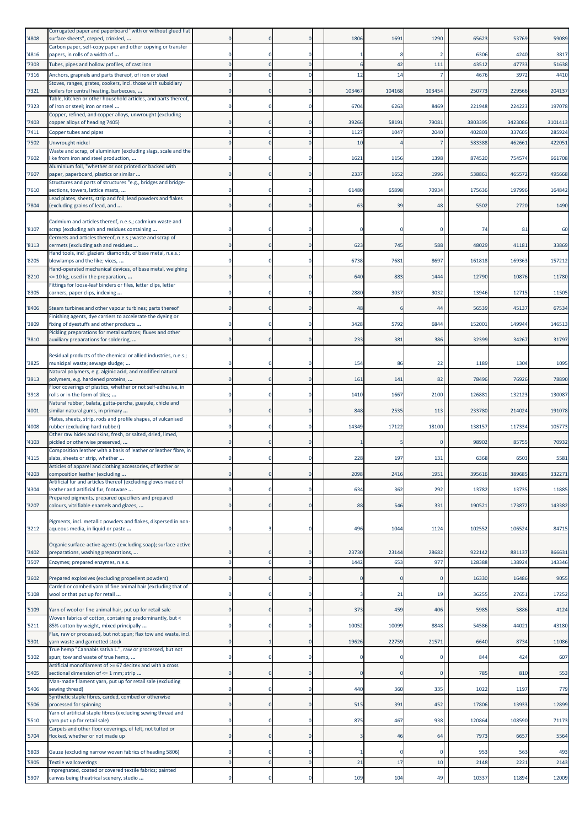| '4808          | Corrugated paper and paperboard "with or without glued flat<br>surface sheets", creped, crinkled,                  |             |                      |                            | 1806       | 1691     | 1290           | 65623            | 53769            | 59089            |
|----------------|--------------------------------------------------------------------------------------------------------------------|-------------|----------------------|----------------------------|------------|----------|----------------|------------------|------------------|------------------|
| '4816          | Carbon paper, self-copy paper and other copying or transfer<br>papers, in rolls of a width of                      |             |                      | $\mathbf 0$                |            |          | 2              | 6306             | 4240             | 3817             |
| '7303          | Tubes, pipes and hollow profiles, of cast iron                                                                     |             |                      | $\mathbf{0}$               |            | 42       | 111            | 43512            | 47733            | 51638            |
| '7316          | Anchors, grapnels and parts thereof, of iron or steel                                                              |             |                      | $\mathbf 0$                | 12         | 14       | $\overline{7}$ | 4676             | 3972             | 4410             |
| '7321          | Stoves, ranges, grates, cookers, incl. those with subsidiary<br>boilers for central heating, barbecues,            |             |                      | $\mathbf 0$                | 103467     | 104168   | 103454         | 250773           | 229566           | 204137           |
| '7323          | Table, kitchen or other household articles, and parts thereof,<br>of iron or steel; iron or steel                  |             |                      | $\Omega$                   | 6704       | 6263     | 8469           | 221948           | 224223           | 197078           |
|                | Copper, refined, and copper alloys, unwrought (excluding                                                           |             |                      |                            |            |          |                |                  |                  |                  |
| '7403          | copper alloys of heading 7405)                                                                                     | $\Omega$    |                      | $\mathbf 0$<br>$\Omega$    | 39266      | 58191    | 79081          | 3803395          | 3423086          | 3101413          |
| '7411<br>'7502 | Copper tubes and pipes<br>Unwrought nickel                                                                         |             |                      | $\mathbf 0$                | 1127<br>10 | 1047     | 2040<br>7      | 402803<br>583388 | 337605<br>462661 | 285924<br>422051 |
|                | Waste and scrap, of aluminium (excluding slags, scale and the                                                      |             |                      |                            |            |          |                |                  |                  |                  |
| '7602          | like from iron and steel production,<br>Aluminium foil, "whether or not printed or backed with                     |             |                      | 0                          | 1621       | 1156     | 1398           | 874520           | 754574           | 661708           |
| '7607          | paper, paperboard, plastics or similar                                                                             |             |                      | $\mathbf 0$                | 2337       | 1652     | 1996           | 538861           | 465572           | 495668           |
| '7610          | Structures and parts of structures "e.g., bridges and bridge-<br>sections, towers, lattice masts,                  |             |                      | $\mathbf 0$                | 61480      | 65898    | 70934          | 175636           | 197996           | 164842           |
| '7804          | Lead plates, sheets, strip and foil; lead powders and flakes<br>(excluding grains of lead, and                     |             |                      | $\mathbf 0$                | 63         | 39       | 48             | 5502             | 2720             | 1490             |
|                |                                                                                                                    |             |                      |                            |            |          |                |                  |                  |                  |
| '8107          | Cadmium and articles thereof, n.e.s.; cadmium waste and<br>scrap (excluding ash and residues containing            |             |                      | 0                          |            |          |                | 74               | 81               | 60               |
| '8113          | Cermets and articles thereof, n.e.s.; waste and scrap of<br>cermets (excluding ash and residues                    |             |                      | $\mathbf 0$                | 623        | 745      | 588            | 48029            | 41181            | 33869            |
|                | Hand tools, incl. glaziers' diamonds, of base metal, n.e.s.;                                                       |             |                      |                            |            |          |                |                  |                  |                  |
| '8205          | blowlamps and the like; vices,<br>Hand-operated mechanical devices, of base metal, weighing                        | 0           |                      | $\mathbf 0$                | 6738       | 7681     | 8697           | 161818           | 169363           | 157212           |
| '8210          | <= 10 kg, used in the preparation,<br>Fittings for loose-leaf binders or files, letter clips, letter               | $\Omega$    |                      | $\mathbf 0$                | 640        | 883      | 1444           | 12790            | 10876            | 11780            |
| '8305          | corners, paper clips, indexing                                                                                     |             |                      | 0                          | 2880       | 3037     | 3032           | 13946            | 12715            | 11505            |
| '8406          | Steam turbines and other vapour turbines; parts thereof                                                            | 0           |                      | $\mathbf 0$                | 48         |          | 44             | 56539            | 45137            | 67534            |
| '3809          | Finishing agents, dye carriers to accelerate the dyeing or<br>fixing of dyestuffs and other products               |             |                      | $\mathbf 0$                | 3428       | 5792     | 6844           | 152001           | 149944           | 146513           |
| '3810          | Pickling preparations for metal surfaces; fluxes and other<br>auxiliary preparations for soldering,                |             |                      | $\mathbf 0$                | 233        | 381      | 386            | 32399            | 34267            | 31797            |
|                |                                                                                                                    |             |                      |                            |            |          |                |                  |                  |                  |
| '3825          | Residual products of the chemical or allied industries, n.e.s.;<br>municipal waste; sewage sludge;                 |             |                      | 0                          | 154        | 86       | 22             | 1189             | 1304             | 1095             |
| '3913          | Natural polymers, e.g. alginic acid, and modified natural<br>polymers, e.g. hardened proteins,                     |             |                      | $\mathbf 0$                | 161        | 141      | 82             | 78496            | 76926            | 78890            |
|                | Floor coverings of plastics, whether or not self-adhesive, in                                                      |             |                      |                            |            |          |                |                  |                  |                  |
| '3918          | rolls or in the form of tiles;<br>Natural rubber, balata, gutta-percha, guayule, chicle and                        |             |                      | $\mathbf 0$                | 1410       | 1667     | 2100           | 12688            | 132123           | 130087           |
| '4001          | similar natural gums, in primary                                                                                   |             |                      | $\mathbf 0$                | 848        | 2535     | 113            | 233780           | 214024           | 191078           |
| '4008          | Plates, sheets, strip, rods and profile shapes, of vulcanised<br>rubber (excluding hard rubber)                    |             |                      | $\mathbf 0$                | 14349      | 17122    | 18100          | 138157           | 117334           | 105773           |
|                | Other raw hides and skins, fresh, or salted, dried, limed,                                                         |             |                      |                            |            |          |                |                  |                  |                  |
| '4103          | pickled or otherwise preserved,<br>Composition leather with a basis of leather or leather fibre, in                |             |                      | $\mathbf 0$                |            |          | n              | 98902            | 85755            | 70932            |
| '4115          | slabs, sheets or strip, whether                                                                                    |             |                      | $\Omega$                   | 228        | 197      | 131            | 6368             | 6503             | 5581             |
| '4203          | Articles of apparel and clothing accessories, of leather or<br>composition leather (excluding                      |             |                      | $\mathbf 0$                | 2098       | 2416     | 1951           | 395616           | 389685           | 332271           |
| '4304          | Artificial fur and articles thereof (excluding gloves made of<br>leather and artificial fur, footware              | 0           | $\Omega$             | $\bf{0}$                   | 634        | 362      | 292            | 13782            | 13735            | 11885            |
|                | Prepared pigments, prepared opacifiers and prepared                                                                |             |                      |                            |            |          |                |                  |                  |                  |
| '3207          | colours, vitrifiable enamels and glazes,                                                                           | $\mathbf 0$ | $\mathbf{0}$         | $\mathbf 0$                | 88         | 546      | 331            | 190521           | 173872           | 143382           |
| '3212          | Pigments, incl. metallic powders and flakes, dispersed in non-<br>aqueous media, in liquid or paste                | 0           |                      | $\mathbf 0$                | 496        | 1044     | 1124           | 102552           | 106524           | 84715            |
|                | Organic surface-active agents (excluding soap); surface-active                                                     |             |                      |                            |            |          |                |                  |                  |                  |
| '3402          | preparations, washing preparations,                                                                                | $\Omega$    | $\Omega$<br>$\Omega$ | $\mathbf 0$<br>$\mathbf 0$ | 23730      | 23144    | 28682          | 922142           | 881137           | 866631           |
| '3507          | Enzymes; prepared enzymes, n.e.s.                                                                                  |             |                      |                            | 1442       | 653      | 977            | 128388           | 138924           | 143346           |
| '3602          | Prepared explosives (excluding propellent powders)<br>Carded or combed yarn of fine animal hair (excluding that of |             | $\Omega$             | $\mathbf 0$                |            |          | $\mathbf 0$    | 16330            | 16486            | 9055             |
| 5108           | wool or that put up for retail                                                                                     | 0           | $\mathbf 0$          | $\bf{0}$                   |            | 21       | 19             | 36255            | 27651            | 17252            |
| '5109          | Yarn of wool or fine animal hair, put up for retail sale                                                           |             |                      | $\mathbf 0$                | 373        | 459      | 406            | 5985             | 5886             | 4124             |
| 5211           | Woven fabrics of cotton, containing predominantly, but <<br>85% cotton by weight, mixed principally                | $\Omega$    | 0                    | $\mathbf 0$                | 10052      | 10099    | 8848           | 54586            | 44021            | 43180            |
| '5301          | Flax, raw or processed, but not spun; flax tow and waste, incl.<br>yarn waste and garnetted stock                  | $\Omega$    |                      | $\mathbf 0$                | 19626      | 22759    | 21571          | 6640             | 8734             | 11086            |
|                | True hemp "Cannabis sativa L.", raw or processed, but not                                                          |             |                      |                            |            |          | $\Omega$       |                  |                  |                  |
| '5302          | spun; tow and waste of true hemp,<br>Artificial monofilament of >= 67 decitex and with a cross                     |             |                      | $\mathbf 0$                |            |          |                | 844              | 424              | 607              |
| 5405           | sectional dimension of <= 1 mm; strip<br>Man-made filament yarn, put up for retail sale (excluding                 | $\Omega$    | $\mathbf 0$          | $\bf{0}$                   | $\Omega$   | $\Omega$ | $\mathbf 0$    | 785              | 810              | 553              |
| '5406          | sewing thread)<br>Synthetic staple fibres, carded, combed or otherwise                                             | $\Omega$    | $\Omega$             | $\mathbf 0$                | 440        | 360      | 335            | 1022             | 1197             | 779              |
| '5506          | processed for spinning<br>Yarn of artificial staple fibres (excluding sewing thread and                            |             |                      | $\mathbf 0$                | 515        | 391      | 452            | 17806            | 13933            | 12899            |
| '5510          | yarn put up for retail sale)                                                                                       | 0           | $\mathbf 0$          | $\bf{0}$                   | 875        | 467      | 938            | 120864           | 108590           | 71173            |
| '5704          | Carpets and other floor coverings, of felt, not tufted or<br>flocked, whether or not made up                       | $\Omega$    | $\Omega$             | $\mathbf 0$                | 3          | 46       | 64             | 7973             | 6657             | 5564             |
| '5803          | Gauze (excluding narrow woven fabrics of heading 5806)                                                             |             |                      | $\mathbf 0$                |            |          | $\Omega$       | 953              | 563              | 493              |
| '5905          | <b>Textile wallcoverings</b>                                                                                       | $\mathbf 0$ | $\Omega$             | $\pmb{0}$                  | 21         | 17       | 10             | 2148             | 222:             | 2143             |
|                | Impregnated, coated or covered textile fabrics; painted                                                            | $\Omega$    | $\Omega$             | $\mathbf 0$                |            |          |                |                  |                  |                  |
| '5907          | canvas being theatrical scenery, studio                                                                            |             |                      |                            | 109        | 104      | 49             | 10337            | 11894            | 12009            |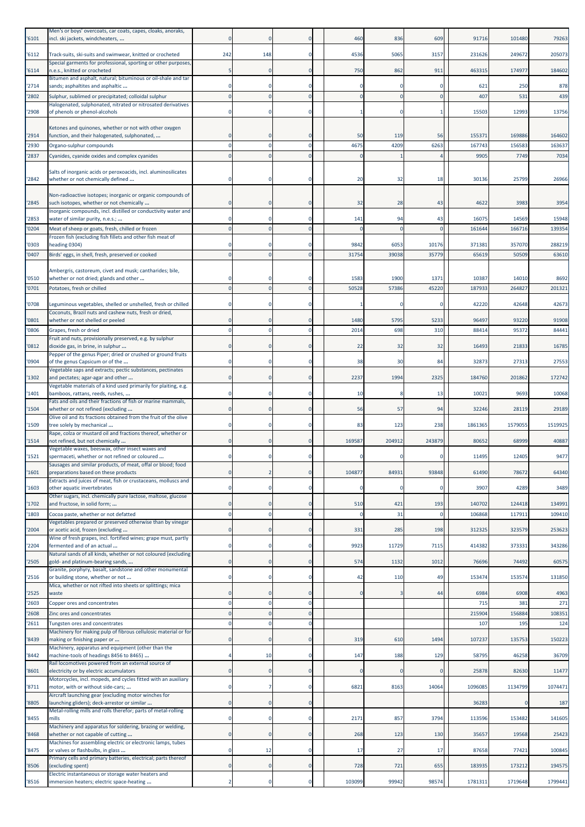| '6101          | Men's or boys' overcoats, car coats, capes, cloaks, anoraks,<br>incl. ski jackets, windcheaters,                     |          |              |                      | 460        | 836        | 609      | 91716         | 101480        | 79263         |
|----------------|----------------------------------------------------------------------------------------------------------------------|----------|--------------|----------------------|------------|------------|----------|---------------|---------------|---------------|
| '6112          | Track-suits, ski-suits and swimwear, knitted or crocheted                                                            | 242      | 148          | $\Omega$             | 4536       | 5065       | 3157     | 231626        | 249672        | 205073        |
| '6114          | Special garments for professional, sporting or other purposes,<br>n.e.s., knitted or crocheted                       |          | $\Omega$     | $\Omega$             | 750        | 862        | 911      | 463315        | 174977        | 184602        |
| '2714          | Bitumen and asphalt, natural; bituminous or oil-shale and tar<br>sands; asphaltites and asphaltic                    |          |              | $\Omega$             |            |            |          | 621           | <b>250</b>    | 878           |
| '2802          | Sulphur, sublimed or precipitated; colloidal sulphur<br>Halogenated, sulphonated, nitrated or nitrosated derivatives |          | $\Omega$     | $\Omega$             |            | $\sqrt{ }$ | $\Omega$ | 407           | 531           | 439           |
| '2908          | of phenols or phenol-alcohols                                                                                        |          | $\mathbf 0$  | $\Omega$             |            |            |          | 15503         | 12993         | 13756         |
| '2914          | Ketones and quinones, whether or not with other oxygen<br>function, and their halogenated, sulphonated,              |          |              |                      | 50         | 119        | 56       | 15537         | 169886        | 164602        |
| '2930          | Organo-sulphur compounds                                                                                             |          |              | $\Omega$             | 4675       | 4209       | 6263     | 167743        | 156583        | 163637        |
| '2837          | Cyanides, cyanide oxides and complex cyanides                                                                        |          |              |                      |            |            |          | 9905          | 7749          | 7034          |
| '2842          | Salts of inorganic acids or peroxoacids, incl. aluminosilicates<br>whether or not chemically defined                 |          |              |                      | 20         | 32         | 18       | 30136         | 25799         | 26966         |
| '2845          | Non-radioactive isotopes; inorganic or organic compounds of<br>such isotopes, whether or not chemically              |          |              | $\Omega$             | 32         | 28         | 43       | 4622          | 3983          | 3954          |
| '2853          | Inorganic compounds, incl. distilled or conductivity water and<br>water of similar purity, n.e.s.;                   |          | 0            | $\Omega$             | 141        | 94         | 43       | 16075         | 14569         | 15948         |
| '0204          | Meat of sheep or goats, fresh, chilled or frozen<br>Frozen fish (excluding fish fillets and other fish meat of       | $\Omega$ | $\Omega$     | $\Omega$             | $\sqrt{ }$ | $\sqrt{ }$ | $\Omega$ | 161644        | 166716        | 139354        |
| '0303          | heading 0304)                                                                                                        |          |              |                      | 9842       | 6053       | 10176    | 371381        | 357070        | 288219        |
| '0407          | Birds' eggs, in shell, fresh, preserved or cooked                                                                    |          |              | $\Omega$             | 31754      | 39038      | 35779    | 65619         | 50509         | 63610         |
| '0510          | Ambergris, castoreum, civet and musk; cantharides; bile,<br>whether or not dried; glands and other                   |          |              |                      | 1583       | 1900       | 1371     | 1038          | 14010         | 8692          |
| '0701          | Potatoes, fresh or chilled                                                                                           |          |              |                      | 50528      | 57386      | 45220    | 187933        | 264827        | 201321        |
| '0708          | Leguminous vegetables, shelled or unshelled, fresh or chilled                                                        |          |              | $\Omega$             |            |            | r        | 42220         | 42648         | 42673         |
| '0801          | Coconuts, Brazil nuts and cashew nuts, fresh or dried,<br>whether or not shelled or peeled                           |          |              |                      | 1480       | 5795       | 5233     | 96497         | 93220         | 91908         |
| '0806          | Grapes, fresh or dried<br>Fruit and nuts, provisionally preserved, e.g. by sulphur                                   |          |              |                      | 2014       | 698        | 310      | 88414         | 95372         | 84441         |
| '0812          | dioxide gas, in brine, in sulphur<br>Pepper of the genus Piper; dried or crushed or ground fruits                    |          |              | $\Omega$             | 22         | 32         | 32       | 16493         | 21833         | 16785         |
| '0904          | of the genus Capsicum or of the                                                                                      |          |              | $\Omega$             | 38         | 30         | 84       | 32873         | 27313         | 27553         |
| '1302          | Vegetable saps and extracts; pectic substances, pectinates<br>and pectates; agar-agar and other                      |          | $\mathbf{0}$ | $\Omega$             | 2237       | 1994       | 2325     | 184760        | 201862        | 172742        |
| '1401          | Vegetable materials of a kind used primarily for plaiting, e.g.<br>bamboos, rattans, reeds, rushes,                  |          | $\Omega$     | $\Omega$             | 10         |            | 13       | 10021         | 9693          | 10068         |
| '1504          | Fats and oils and their fractions of fish or marine mammals,<br>whether or not refined (excluding                    |          |              | $\Omega$             | 56         | 57         | 94       | 32246         | 28119         | 29189         |
| '1509          | Olive oil and its fractions obtained from the fruit of the olive<br>tree solely by mechanical                        |          | $\mathbf 0$  | $\Omega$             | 83         | 123        | 238      | 1861365       | 1579055       | 1519925       |
| '1514          | Rape, colza or mustard oil and fractions thereof, whether or<br>not refined, but not chemically                      |          | $\mathbf{0}$ | $\Omega$             | 169587     | 204912     | 243879   | 80652         | 68999         | 40887         |
|                | Vegetable waxes, beeswax, other insect waxes and                                                                     |          |              |                      |            |            |          |               |               |               |
| '1521          | spermaceti, whether or not refined or coloured<br>Sausages and similar products, of meat, offal or blood; food       |          |              |                      |            |            |          | 11495         | 12405         | 9477          |
| '1601          | preparations based on these products<br>Extracts and juices of meat, fish or crustaceans, molluscs and               | $\Omega$ | 2            | $\mathbf 0$          | 104877     | 84931      | 93848    | 61490         | 78672         | 64340         |
| '1603          | other aquatic invertebrates<br>Other sugars, incl. chemically pure lactose, maltose, glucose                         | $\Omega$ | $\Omega$     | $\mathbf 0$          |            | -C         |          | 3907          | 4289          | 3489          |
| '1702          | and fructose, in solid form;                                                                                         |          | 0            | $\mathbf 0$          | 510        | 421        | 193      | 140702        | 124418        | 134991        |
| '1803          | Cocoa paste, whether or not defatted<br>Vegetables prepared or preserved otherwise than by vinegar                   | $\Omega$ | $\mathbf 0$  | $\mathbf{0}$         |            | 31         | $\Omega$ | 106868        | 11791:        | 109410        |
| '2004          | or acetic acid, frozen (excluding<br>Wine of fresh grapes, incl. fortified wines; grape must, partly                 | $\Omega$ | $\mathbf{0}$ | $\mathbf 0$          | 331        | 285        | 198      | 312325        | 323579        | 253623        |
| '2204          | fermented and of an actual<br>Natural sands of all kinds, whether or not coloured (excluding                         |          | $\Omega$     | $\Omega$             | 9923       | 11729      | 7115     | 414382        | 373331        | 343286        |
| '2505          | gold- and platinum-bearing sands,<br>Granite, porphyry, basalt, sandstone and other monumental                       | $\Omega$ | $\mathbf{0}$ | $\mathbf 0$          | 574        | 1132       | 1012     | 76696         | 74492         | 60575         |
| 2516           | or building stone, whether or not<br>Mica, whether or not rifted into sheets or splittings; mica                     |          | 0            | 0                    | 42         | 110        | 49       | 153474        | 153574        | 131850        |
| '2525          | waste                                                                                                                | $\Omega$ | $\mathbf{0}$ | $\mathbf{0}$         | $\sqrt{ }$ |            | 44       | 6984          | 6908          | 4963          |
| '2603<br>'2608 | Copper ores and concentrates<br>Zinc ores and concentrates                                                           |          | $\Omega$     | $\Omega$<br>$\Omega$ |            |            |          | 715<br>215904 | 381<br>156884 | 271<br>108351 |
| '2611          | Tungsten ores and concentrates                                                                                       | $\Omega$ | $\Omega$     | $\mathbf{0}$         |            |            |          | 107           | 195           | 124           |
| '8439          | Machinery for making pulp of fibrous cellulosic material or for<br>making or finishing paper or                      |          | $\mathbf 0$  | $\mathbf 0$          | 319        | 610        | 1494     | 107237        | 135753        | 150223        |
| '8442          | Machinery, apparatus and equipment (other than the<br>machine-tools of headings 8456 to 8465)                        |          | 10           | 0                    | 147        | 188        | 129      | 58795         | 46258         | 36709         |
| '8601          | Rail locomotives powered from an external source of<br>electricity or by electric accumulators                       | $\Omega$ | $\Omega$     | $\Omega$             |            | £          | C        | 25878         | 82630         | 11477         |
| '8711          | Motorcycles, incl. mopeds, and cycles fitted with an auxiliary<br>motor, with or without side-cars;                  |          |              | $\Omega$             | 6821       | 8163       | 14064    | 1096085       | 1134799       | 1074471       |
| '8805          | Aircraft launching gear (excluding motor winches for<br>launching gliders); deck-arrestor or similar                 |          | $\mathbf 0$  | $\Omega$             |            |            |          | 36283         |               | 187           |
|                | Metal-rolling mills and rolls therefor; parts of metal-rolling                                                       |          |              |                      |            |            |          |               |               |               |
| '8455          | mills<br>Machinery and apparatus for soldering, brazing or welding,                                                  |          | $\mathbf 0$  | 0                    | 2171       | 857        | 3794     | 113596        | 153482        | 141605        |
| '8468          | whether or not capable of cutting<br>Machines for assembling electric or electronic lamps, tubes                     |          | $\Omega$     | $\mathbf{0}$         | 268        | 123        | 130      | 35657         | 19568         | 25423         |
| '8475          | or valves or flashbulbs, in glass<br>Primary cells and primary batteries, electrical; parts thereof                  |          | 12           | $\mathbf 0$          | 17         | 27         | 17       | 87658         | 77421         | 100845        |
| '8506          | (excluding spent)<br>Electric instantaneous or storage water heaters and                                             |          | $\mathbf 0$  | $\mathbf 0$          | 728        | 721        | 655      | 183935        | 173212        | 194575        |
| '8516          | immersion heaters; electric space-heating                                                                            |          | 0            | $\Omega$             | 103099     | 99942      | 98574    | 1781311       | 1719648       | 1799441       |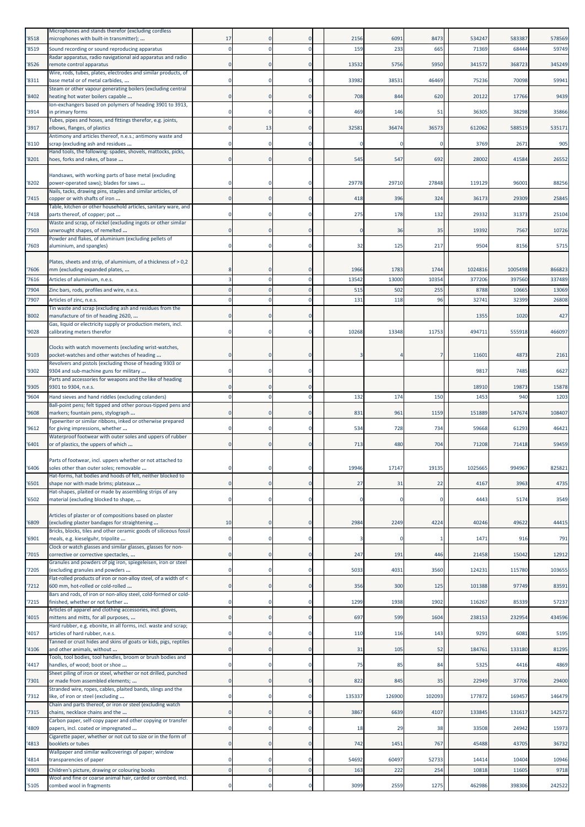| '8518 | Microphones and stands therefor (excluding cordless<br>microphones with built-in transmitter);                 | 17       |             |             | 2156     | 6091   | 8473        | 534247  | 583387  | 578569 |
|-------|----------------------------------------------------------------------------------------------------------------|----------|-------------|-------------|----------|--------|-------------|---------|---------|--------|
| '8519 | Sound recording or sound reproducing apparatus                                                                 | $\Omega$ |             | $\mathbf 0$ | 159      | 233    | 665         | 71369   | 68444   | 59749  |
|       | Radar apparatus, radio navigational aid apparatus and radio                                                    |          |             |             |          |        |             |         |         |        |
| '8526 | remote control apparatus<br>Wire, rods, tubes, plates, electrodes and similar products, of                     |          |             | $\Omega$    | 13532    | 5756   | 5950        | 341572  | 368723  | 345249 |
| '8311 | base metal or of metal carbides,                                                                               |          |             | $\mathbf 0$ | 33982    | 38531  | 46469       | 75236   | 70098   | 59941  |
| '8402 | Steam or other vapour generating boilers (excluding central<br>heating hot water boilers capable               |          |             | $\mathbf 0$ | 708      | 844    | 620         | 20122   | 17766   | 9439   |
|       | Ion-exchangers based on polymers of heading 3901 to 3913,                                                      |          |             |             |          |        |             |         |         |        |
| '3914 | in primary forms                                                                                               |          |             | 0           | 469      | 146    | 51          | 36305   | 38298   | 35866  |
| '3917 | Tubes, pipes and hoses, and fittings therefor, e.g. joints,<br>elbows, flanges, of plastics                    |          | 13          | $\mathbf 0$ | 32581    | 36474  | 36573       | 612062  | 588519  | 535171 |
|       | Antimony and articles thereof, n.e.s.; antimony waste and                                                      |          |             | $\mathbf 0$ |          |        | $\Omega$    |         |         |        |
| '8110 | scrap (excluding ash and residues<br>Hand tools, the following: spades, shovels, mattocks, picks,              |          |             |             |          |        |             | 3769    | 2671    | 905    |
| '8201 | hoes, forks and rakes, of base                                                                                 |          |             | $\mathbf 0$ | 545      | 547    | 692         | 28002   | 41584   | 26552  |
|       | Handsaws, with working parts of base metal (excluding                                                          |          |             |             |          |        |             |         |         |        |
| '8202 | power-operated saws); blades for saws                                                                          |          |             | 0           | 29778    | 29710  | 27848       | 119129  | 96001   | 88256  |
| '7415 | Nails, tacks, drawing pins, staples and similar articles, of<br>copper or with shafts of iron                  | n        | $\Omega$    | $\mathbf 0$ | 418      | 396    | 324         | 36173   | 29309   | 25845  |
|       | Table, kitchen or other household articles, sanitary ware, and                                                 |          |             |             |          |        |             |         |         |        |
| '7418 | parts thereof, of copper; pot<br>Waste and scrap, of nickel (excluding ingots or other similar                 |          |             | $\mathbf 0$ | 275      | 178    | 132         | 29332   | 31373   | 25104  |
| '7503 | unwrought shapes, of remelted                                                                                  |          |             | $\mathbf 0$ |          | 36     | 35          | 19392   | 7567    | 10726  |
| '7603 | Powder and flakes, of aluminium (excluding pellets of<br>aluminium, and spangles)                              |          |             | $\mathbf 0$ | 32       | 125    | 217         | 9504    | 8156    | 5715   |
|       |                                                                                                                |          |             |             |          |        |             |         |         |        |
| '7606 | Plates, sheets and strip, of aluminium, of a thickness of > 0,2<br>mm (excluding expanded plates,              |          |             | $\mathbf 0$ | 1966     | 1783   | 1744        | 1024816 | 1005498 | 866823 |
| '7616 | Articles of aluminium, n.e.s.                                                                                  |          |             | $\Omega$    | 13542    | 13000  | 10354       | 377206  | 397560  | 337489 |
| '7904 | Zinc bars, rods, profiles and wire, n.e.s.                                                                     | $\Omega$ |             | $\Omega$    | 515      | 502    | 255         | 8788    | 10665   | 13069  |
| '7907 | Articles of zinc, n.e.s.                                                                                       |          |             | $\Omega$    | 131      | 118    | 96          | 32741   | 32399   | 26808  |
| '8002 | Tin waste and scrap (excluding ash and residues from the<br>manufacture of tin of heading 2620,                |          |             | $\mathbf 0$ |          |        |             | 1355    | 1020    | 427    |
|       | Gas, liquid or electricity supply or production meters, incl.                                                  |          |             |             |          |        |             |         |         |        |
| '9028 | calibrating meters therefor                                                                                    |          |             | $\mathbf 0$ | 10268    | 13348  | 11753       | 494711  | 555918  | 466097 |
|       | Clocks with watch movements (excluding wrist-watches,                                                          |          |             |             |          |        |             |         |         |        |
| '9103 | pocket-watches and other watches of heading<br>Revolvers and pistols (excluding those of heading 9303 or       |          |             | $\mathbf 0$ |          |        | 7           | 1160    | 4873    | 2161   |
| '9302 | 9304 and sub-machine guns for military                                                                         | n        |             | $\mathbf 0$ |          |        |             | 9817    | 7485    | 6627   |
| '9305 | Parts and accessories for weapons and the like of heading<br>9301 to 9304, n.e.s.                              |          |             | 0           |          |        |             | 18910   | 19873   | 15878  |
| '9604 | Hand sieves and hand riddles (excluding colanders)                                                             | $\Omega$ | $\Omega$    | $\mathbf 0$ | 132      | 174    | 150         | 1453    | 940     | 1203   |
| '9608 | Ball-point pens; felt tipped and other porous-tipped pens and                                                  |          |             | 0           | 831      | 961    | 1159        | 151889  | 147674  | 108407 |
|       | markers; fountain pens, stylograph<br>Typewriter or similar ribbons, inked or otherwise prepared               |          |             |             |          |        |             |         |         |        |
| '9612 | for giving impressions, whether                                                                                | 0        |             | $\mathbf 0$ | 534      | 728    | 734         | 59668   | 61293   | 46421  |
| '6401 | Waterproof footwear with outer soles and uppers of rubber<br>or of plastics, the uppers of which               |          | $\Omega$    | $\Omega$    | 713      | 480    | 704         | 71208   | 71418   | 59459  |
|       |                                                                                                                |          |             |             |          |        |             |         |         |        |
| '6406 | Parts of footwear, incl. uppers whether or not attached to<br>soles other than outer soles; removable          |          |             |             | 19946    | 17147  | 19135       | 1025665 | 994967  | 82582  |
|       | Hat-forms, hat bodies and hoods of felt, neither blocked to                                                    |          |             |             |          |        |             |         |         |        |
| '6501 | shape nor with made brims; plateaux<br>Hat-shapes, plaited or made by assembling strips of any                 |          |             | $\mathbf 0$ | 27       | 31     | 22          | 4167    | 3963    | 4735   |
| '6502 | material (excluding blocked to shape,                                                                          | 0        |             | $\mathbf 0$ | $\Omega$ |        | $\mathbf 0$ | 4443    | 5174    | 3549   |
|       | Articles of plaster or of compositions based on plaster                                                        |          |             |             |          |        |             |         |         |        |
| '6809 | (excluding plaster bandages for straightening                                                                  | 10       | $\Omega$    | $\mathbf 0$ | 2984     | 2249   | 4224        | 40246   | 49622   | 44415  |
| '6901 | Bricks, blocks, tiles and other ceramic goods of siliceous fossil<br>meals, e.g. kieselguhr, tripolite         | $\Omega$ | $\Omega$    | $\mathbf 0$ |          |        | -1          | 1471    | 916     | 791    |
|       | Clock or watch glasses and similar glasses, glasses for non-                                                   |          |             |             |          |        |             |         |         |        |
| 7015  | corrective or corrective spectacles,<br>Granules and powders of pig iron, spiegeleisen, iron or steel          |          | $\mathbf 0$ | $\mathbf 0$ | 247      | 191    | 446         | 21458   | 15042   | 12912  |
| '7205 | (excluding granules and powders                                                                                | $\Omega$ | $\mathbf 0$ | $\bf{0}$    | 5033     | 4031   | 3560        | 124231  | 115780  | 103655 |
| 7212  | Flat-rolled products of iron or non-alloy steel, of a width of <<br>600 mm, hot-rolled or cold-rolled          |          |             | $\mathbf 0$ | 356      | 300    | 125         | 101388  | 97749   | 83591  |
|       | Bars and rods, of iron or non-alloy steel, cold-formed or cold-                                                |          |             |             |          |        |             |         |         |        |
| 7215  | finished, whether or not further<br>Articles of apparel and clothing accessories, incl. gloves,                | $\Omega$ | 0           | $\mathbf 0$ | 1299     | 1938   | 1902        | 116267  | 85339   | 57237  |
| '4015 | mittens and mitts, for all purposes,                                                                           | $\Omega$ | $\Omega$    | $\mathbf 0$ | 697      | 599    | 1604        | 238153  | 232954  | 434596 |
| 4017  | Hard rubber, e.g. ebonite, in all forms, incl. waste and scrap;<br>articles of hard rubber, n.e.s.             |          |             | $\mathbf 0$ | 110      | 116    | 143         | 9291    | 6081    | 5195   |
|       | Tanned or crust hides and skins of goats or kids, pigs, reptiles                                               | $\Omega$ |             |             |          |        |             |         |         |        |
| '4106 | and other animals, without<br>Tools, tool bodies, tool handles, broom or brush bodies and                      |          | $\mathbf 0$ | $\bf{0}$    | 31       | 105    | 52          | 184761  | 133180  | 81295  |
| '4417 | handles, of wood; boot or shoe                                                                                 | $\Omega$ |             | $\mathbf 0$ | 75       | 85     | 84          | 5325    | 4416    | 4869   |
| 7301  | Sheet piling of iron or steel, whether or not drilled, punched<br>or made from assembled elements;             |          |             | $\mathbf 0$ | 822      | 845    | 35          | 22949   | 37706   | 29400  |
|       | Stranded wire, ropes, cables, plaited bands, slings and the                                                    |          |             |             |          |        |             |         |         |        |
| 7312  | like, of iron or steel (excluding<br>Chain and parts thereof, or iron or steel (excluding watch                | 0        | $\mathbf 0$ | $\pmb{0}$   | 135337   | 126900 | 102093      | 177872  | 169457  | 146479 |
| '7315 | chains, necklace chains and the                                                                                | $\Omega$ | $\Omega$    | $\mathbf 0$ | 3867     | 6639   | 4107        | 133845  | 131617  | 142572 |
| '4809 | Carbon paper, self-copy paper and other copying or transfer<br>papers, incl. coated or impregnated             |          |             | $\mathbf 0$ | 18       | 29     | 38          | 33508   | 24942   | 15973  |
|       | Cigarette paper, whether or not cut to size or in the form of                                                  |          |             |             |          |        |             |         |         |        |
| '4813 | booklets or tubes<br>Wallpaper and similar wallcoverings of paper; window                                      | 0        | $\mathbf 0$ | $\mathbf 0$ | 742      | 1451   | 767         | 45488   | 43705   | 36732  |
| '4814 | transparencies of paper                                                                                        | $\Omega$ |             | $\mathbf 0$ | 54692    | 60497  | 52733       | 14414   | 10404   | 10946  |
| '4903 | Children's picture, drawing or colouring books<br>Wool and fine or coarse animal hair, carded or combed, incl. | $\Omega$ |             | $\mathbf 0$ | 163      | 222    | 254         | 10818   | 11605   | 9718   |
| '5105 | combed wool in fragments                                                                                       | 0        | $\mathbf 0$ | $\bf{0}$    | 3099     | 2559   | 1275        | 462986  | 398306  | 242522 |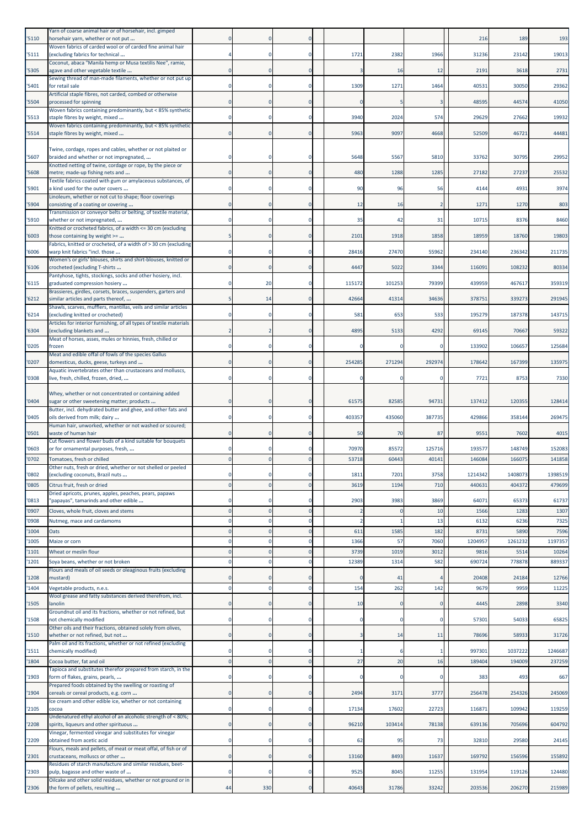| '5110          | Yarn of coarse animal hair or of horsehair, incl. gimped<br>horsehair yarn, whether or not put             |             |              | 0                       |              |              |             | 216               | 189               | 193               |
|----------------|------------------------------------------------------------------------------------------------------------|-------------|--------------|-------------------------|--------------|--------------|-------------|-------------------|-------------------|-------------------|
| '5111          | Woven fabrics of carded wool or of carded fine animal hair<br>(excluding fabrics for technical             |             |              | $\mathbf 0$             | 1721         | 2382         | 1966        | 31236             | 23142             | 19013             |
| '5305          | Coconut, abaca "Manila hemp or Musa textilis Nee", ramie,<br>agave and other vegetable textile             |             |              | 0                       |              | 16           | 12          | 2191              | 3618              | 2731              |
| '5401          | Sewing thread of man-made filaments, whether or not put up<br>for retail sale                              |             |              | $\mathbf 0$             | 1309         | 1271         | 1464        | 40531             | 30050             | 29362             |
| '5504          | Artificial staple fibres, not carded, combed or otherwise<br>processed for spinning                        |             |              | $\Omega$                |              |              | 3           | 48595             | 44574             | 41050             |
| '5513          | Woven fabrics containing predominantly, but < 85% synthetic<br>staple fibres by weight, mixed              |             |              | $\mathbf 0$             | 3940         | 2024         | 574         | 29629             | 27662             | 19932             |
| '5514          | Woven fabrics containing predominantly, but < 85% synthetic<br>staple fibres by weight, mixed              |             |              | $\mathbf 0$             | 5963         | 9097         | 4668        | 52509             | 46721             | 44481             |
|                | Twine, cordage, ropes and cables, whether or not plaited or                                                |             |              |                         |              |              |             |                   |                   |                   |
| '5607          | braided and whether or not impregnated,<br>Knotted netting of twine, cordage or rope, by the piece or      |             |              | 0                       | 5648         | 5567         | 5810        | 33762             | 30795             | 29952             |
| '5608          | metre; made-up fishing nets and<br>Textile fabrics coated with gum or amylaceous substances, of            |             |              | $\mathbf 0$             | 480          | 1288         | 1285        | 27182             | 27237             | 25532             |
| '5901          | a kind used for the outer covers<br>Linoleum, whether or not cut to shape; floor coverings                 |             |              | $\mathbf 0$             | 90           | 96           | 56          | 4144              | 4931              | 3974              |
| '5904          | consisting of a coating or covering<br>Transmission or conveyor belts or belting, of textile material,     |             |              | $\mathbf 0$             | 12           | 16           |             | 1271              | 1270              | 803               |
| '5910          | whether or not impregnated,<br>Knitted or crocheted fabrics, of a width <= 30 cm (excluding                |             |              | $\Omega$                | 35           | 42           | 31          | 10715             | 8376              | 8460              |
| '6003          | those containing by weight >=<br>Fabrics, knitted or crocheted, of a width of > 30 cm (excluding           |             |              | $\mathbf 0$             | 2101         | 1918         | 1858        | 18959             | 18760             | 19803             |
| '6006          | warp knit fabrics "incl. those<br>Women's or girls' blouses, shirts and shirt-blouses, knitted or          |             |              | $\mathbf 0$             | 28416        | 27470        | 55962       | 234140            | 236342            | 211735            |
| '6106          | crocheted (excluding T-shirts<br>Pantyhose, tights, stockings, socks and other hosiery, incl.              |             |              | $\mathbf 0$             | 4447         | 5022         | 3344        | 116091            | 108232            | 80334             |
| '6115          | graduated compression hosiery                                                                              |             | 20           | $\mathbf 0$             | 115172       | 101253       | 79399       | 439959            | 467617            | 359319            |
| 16212          | Brassieres, girdles, corsets, braces, suspenders, garters and<br>similar articles and parts thereof,       |             | 14           | $\mathbf 0$             | 42664        | 41314        | 34636       | 37875             | 339273            | 291945            |
| '6214          | Shawls, scarves, mufflers, mantillas, veils and similar articles<br>(excluding knitted or crocheted)       |             |              | 0                       | 581          | 653          | 533         | 195279            | 187378            | 143715            |
| '6304          | Articles for interior furnishing, of all types of textile materials<br>(excluding blankets and             |             |              | $\mathbf 0$             | 4895         | 5133         | 4292        | 69145             | 70667             | 59322             |
| '0205          | Meat of horses, asses, mules or hinnies, fresh, chilled or<br>frozen                                       | $\Omega$    |              | $\mathbf 0$             |              |              | $\Omega$    | 133902            | 106657            | 125684            |
| '0207          | Meat and edible offal of fowls of the species Gallus<br>domesticus, ducks, geese, turkeys and              |             |              | $\mathbf 0$             | 254285       | 271294       | 292974      | 178642            | 167399            | 135975            |
| '0308          | Aquatic invertebrates other than crustaceans and molluscs,<br>live, fresh, chilled, frozen, dried,         |             |              | $\mathbf 0$             |              |              | 0           | 7721              | 8753              | 7330              |
|                | Whey, whether or not concentrated or containing added                                                      |             |              |                         |              |              |             |                   |                   |                   |
| '0404          | sugar or other sweetening matter; products<br>Butter, incl. dehydrated butter and ghee, and other fats and |             |              | $\mathbf 0$             | 61575        | 82585        | 94731       | 137412            | 120355            | 128414            |
| '0405          | oils derived from milk; dairy<br>Human hair, unworked, whether or not washed or scoured;                   |             |              | $\mathbf 0$             | 403357       | 435060       | 387735      | 429866            | 358144            | 269475            |
| '0501          | waste of human hair<br>Cut flowers and flower buds of a kind suitable for bouquets                         |             |              | $\mathbf 0$             | 50           | 70           | 87          | 9551              | 7602              | 4015              |
| '0603          | or for ornamental purposes, fresh,                                                                         |             |              | 0                       | 70970        | 85572        | 125716      | 193577            | 148749            | 152083            |
| '0702          | Tomatoes, fresh or chilled<br>Other nuts, fresh or dried, whether or not shelled or peele                  |             |              |                         | 53718        | 60443        | 40141       | 146084            | 16607             | 141858            |
| '0802<br>'0805 | (excluding coconuts, Brazil nuts<br>Citrus fruit, fresh or dried                                           | $\Omega$    | $\Omega$     | 0<br>$\mathbf{0}$       | 1811<br>3619 | 7201<br>1194 | 3758<br>710 | 1214342<br>440631 | 1408073<br>404372 | 1398519<br>479699 |
| '0813          | Dried apricots, prunes, apples, peaches, pears, papaws<br>'papayas", tamarinds and other edible            |             |              | 0                       | 2903         | 3983         | 3869        | 64071             | 65373             | 61737             |
| '0907          | Cloves, whole fruit, cloves and stems                                                                      | $\Omega$    |              | $\overline{0}$          |              |              | 10          | 1566              | 1283              | 1307              |
| '0908          | Nutmeg, mace and cardamoms<br>Oats                                                                         |             |              | $\mathbf 0$<br>$\Omega$ | 611          | 1585         | 13<br>182   | 6132              | 6236<br>5890      | 7325              |
| '1004<br>'1005 | Maize or corn                                                                                              |             |              | 0                       | 1366         | 57           | 7060        | 8731<br>1204957   | 1261232           | 7596<br>1197357   |
| '1101          | Wheat or meslin flour                                                                                      |             |              | $\mathbf 0$             | 3739         | 1019         | 3012        | 9816              | 5514              | 10264             |
| '1201          | Soya beans, whether or not broken<br>Flours and meals of oil seeds or oleaginous fruits (excluding         |             |              | $\mathbf 0$             | 12389        | 1314         | 582         | 690724            | 778878            | 889337            |
| '1208          | mustard)                                                                                                   | 0           | 0            | $\mathbf 0$             |              | 41           |             | 20408             | 24184             | 12766             |
| '1404          | Vegetable products, n.e.s.<br>Wool grease and fatty substances derived therefrom, incl.                    | $\Omega$    |              | $\mathbf 0$             | 154          | 262          | 142         | 9679              | 9959              | 11225             |
| '1505          | lanolin<br>Groundnut oil and its fractions, whether or not refined, but                                    |             |              | $\mathbf 0$             | 10           |              | $\mathbf 0$ | 4445              | 2898              | 3340              |
| '1508          | not chemically modified<br>Other oils and their fractions, obtained solely from olives,                    | 0           | $\mathbf 0$  | $\mathbf 0$             | $\Omega$     | $\Omega$     | $\mathbf 0$ | 5730              | 54033             | 65825             |
| '1510          | whether or not refined, but not                                                                            | $\Omega$    | $\Omega$     | $\mathbf 0$             | 3            | 14           | 11          | 78696             | 58933             | 31726             |
| '1511          | Palm oil and its fractions, whether or not refined (excluding<br>chemically modified)                      |             |              | $\mathbf 0$             |              |              | -1          | 997301            | 1037222           | 1246687           |
| '1804          | Cocoa butter, fat and oil<br>Tapioca and substitutes therefor prepared from starch, in the                 | $\mathbf 0$ | $\Omega$     | $\mathbf 0$             | 27           | 20           | 16          | 189404            | 194009            | 237259            |
| '1903          | form of flakes, grains, pearls,                                                                            |             |              | 0                       |              |              | 0           | 383               | 493               | 667               |
| '1904          | Prepared foods obtained by the swelling or roasting of<br>cereals or cereal products, e.g. corn            | 0           | 0            | $\mathbf 0$             | 2494         | 3171         | 3777        | 256478            | 254326            | 245069            |
| '2105          | Ice cream and other edible ice, whether or not containing<br>cocoa                                         | $\Omega$    | $\Omega$     | $\mathbf 0$             | 17134        | 17602        | 22723       | 116871            | 109942            | 119259            |
| '2208          | Undenatured ethyl alcohol of an alcoholic strength of < 80%;<br>spirits, liqueurs and other spirituous     |             | $\mathbf{0}$ | $\mathbf 0$             | 96210        | 103414       | 78138       | 639136            | 705696            | 604792            |
| '2209          | Vinegar, fermented vinegar and substitutes for vinegar<br>obtained from acetic acid                        | $\Omega$    |              | $\mathbf 0$             | 62           | 95           | 73          | 32810             | 29580             | 24145             |
| '2301          | Flours, meals and pellets, of meat or meat offal, of fish or of<br>crustaceans, molluscs or other          | $\Omega$    | $\Omega$     | $\mathbf 0$             | 13160        | 8493         | 11637       | 169792            | 156596            | 155892            |
| '2303          | Residues of starch manufacture and similar residues, beet-<br>pulp, bagasse and other waste of             | $\Omega$    | 0            | $\bf{0}$                | 9525         | 8045         | 11255       | 131954            | 119126            | 124480            |
| '2306          | Oilcake and other solid residues, whether or not ground or in<br>the form of pellets, resulting            | 44          | 330          | $\pmb{0}$               | 40643        | 31786        | 33242       | 203536            | 206270            | 215989            |